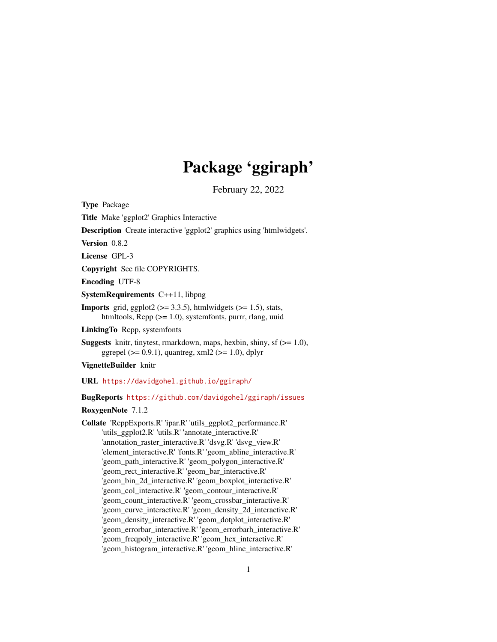# Package 'ggiraph'

February 22, 2022

<span id="page-0-0"></span>Type Package

Title Make 'ggplot2' Graphics Interactive

Description Create interactive 'ggplot2' graphics using 'htmlwidgets'.

Version 0.8.2

License GPL-3

Copyright See file COPYRIGHTS.

Encoding UTF-8

SystemRequirements C++11, libpng

**Imports** grid, ggplot2 ( $>= 3.3.5$ ), htmlwidgets ( $>= 1.5$ ), stats, htmltools, Rcpp (>= 1.0), systemfonts, purrr, rlang, uuid

LinkingTo Rcpp, systemfonts

**Suggests** knitr, tinytest, rmarkdown, maps, hexbin, shiny, sf  $(>= 1.0)$ , ggrepel ( $> = 0.9.1$ ), quantreg, xml2 ( $> = 1.0$ ), dplyr

VignetteBuilder knitr

URL <https://davidgohel.github.io/ggiraph/>

BugReports <https://github.com/davidgohel/ggiraph/issues>

RoxygenNote 7.1.2

Collate 'RcppExports.R' 'ipar.R' 'utils\_ggplot2\_performance.R' 'utils\_ggplot2.R' 'utils.R' 'annotate\_interactive.R' 'annotation\_raster\_interactive.R' 'dsvg.R' 'dsvg\_view.R' 'element\_interactive.R' 'fonts.R' 'geom\_abline\_interactive.R' 'geom\_path\_interactive.R' 'geom\_polygon\_interactive.R' 'geom\_rect\_interactive.R' 'geom\_bar\_interactive.R' 'geom\_bin\_2d\_interactive.R' 'geom\_boxplot\_interactive.R' 'geom\_col\_interactive.R' 'geom\_contour\_interactive.R' 'geom\_count\_interactive.R' 'geom\_crossbar\_interactive.R' 'geom\_curve\_interactive.R' 'geom\_density\_2d\_interactive.R' 'geom\_density\_interactive.R' 'geom\_dotplot\_interactive.R' 'geom\_errorbar\_interactive.R' 'geom\_errorbarh\_interactive.R' 'geom\_freqpoly\_interactive.R' 'geom\_hex\_interactive.R' 'geom\_histogram\_interactive.R' 'geom\_hline\_interactive.R'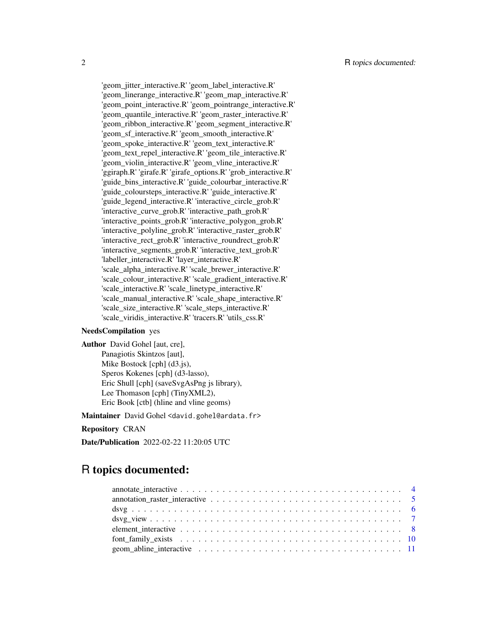'geom\_jitter\_interactive.R' 'geom\_label\_interactive.R' 'geom\_linerange\_interactive.R' 'geom\_map\_interactive.R' 'geom\_point\_interactive.R' 'geom\_pointrange\_interactive.R' 'geom\_quantile\_interactive.R' 'geom\_raster\_interactive.R' 'geom\_ribbon\_interactive.R' 'geom\_segment\_interactive.R' 'geom\_sf\_interactive.R' 'geom\_smooth\_interactive.R' 'geom\_spoke\_interactive.R' 'geom\_text\_interactive.R' 'geom\_text\_repel\_interactive.R' 'geom\_tile\_interactive.R' 'geom\_violin\_interactive.R' 'geom\_vline\_interactive.R' 'ggiraph.R' 'girafe.R' 'girafe\_options.R' 'grob\_interactive.R' 'guide\_bins\_interactive.R' 'guide\_colourbar\_interactive.R' 'guide\_coloursteps\_interactive.R' 'guide\_interactive.R' 'guide\_legend\_interactive.R' 'interactive\_circle\_grob.R' 'interactive\_curve\_grob.R' 'interactive\_path\_grob.R' 'interactive\_points\_grob.R' 'interactive\_polygon\_grob.R' 'interactive\_polyline\_grob.R' 'interactive\_raster\_grob.R' 'interactive\_rect\_grob.R' 'interactive\_roundrect\_grob.R' 'interactive\_segments\_grob.R' 'interactive\_text\_grob.R' 'labeller\_interactive.R' 'layer\_interactive.R' 'scale\_alpha\_interactive.R' 'scale\_brewer\_interactive.R' 'scale\_colour\_interactive.R' 'scale\_gradient\_interactive.R' 'scale\_interactive.R' 'scale\_linetype\_interactive.R' 'scale\_manual\_interactive.R' 'scale\_shape\_interactive.R' 'scale\_size\_interactive.R' 'scale\_steps\_interactive.R' 'scale\_viridis\_interactive.R' 'tracers.R' 'utils\_css.R'

# NeedsCompilation yes

Author David Gohel [aut, cre], Panagiotis Skintzos [aut], Mike Bostock [cph] (d3.js), Speros Kokenes [cph] (d3-lasso), Eric Shull [cph] (saveSvgAsPng js library), Lee Thomason [cph] (TinyXML2), Eric Book [ctb] (hline and vline geoms)

Maintainer David Gohel <david.gohel@ardata.fr>

#### Repository CRAN

Date/Publication 2022-02-22 11:20:05 UTC

# R topics documented: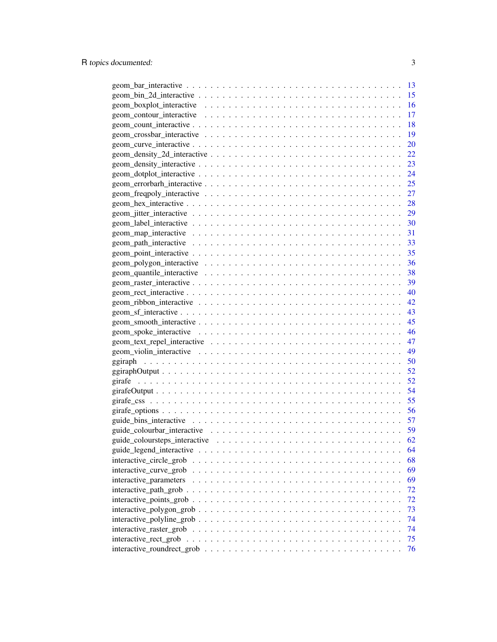| $geom_bar_intractive \ldots \ldots \ldots \ldots \ldots \ldots \ldots \ldots \ldots \ldots \ldots \ldots \ldots$   | 13        |
|--------------------------------------------------------------------------------------------------------------------|-----------|
| $geom\_bin\_2d\_interactive \dots \dots \dots \dots \dots \dots \dots \dots \dots \dots \dots \dots \dots$         | 15        |
|                                                                                                                    | 16        |
|                                                                                                                    | 17        |
| $geom\_count\_interactive \dots \dots \dots \dots \dots \dots \dots \dots \dots \dots \dots \dots \dots$           | 18        |
|                                                                                                                    | 19        |
| $geom\_curve\_interactive \dots \dots \dots \dots \dots \dots \dots \dots \dots \dots \dots \dots \dots$           | <b>20</b> |
| $geom\_density\_2d\_interactive \dots \dots \dots \dots \dots \dots \dots \dots \dots \dots \dots$                 | <u>22</u> |
|                                                                                                                    | 23        |
|                                                                                                                    | 24        |
|                                                                                                                    | 25        |
|                                                                                                                    | <b>27</b> |
| $geom\_hex\_interactive \ldots \ldots \ldots \ldots \ldots \ldots \ldots \ldots \ldots \ldots \ldots \ldots$       | 28        |
|                                                                                                                    | 29        |
| $geom\_label\_interactive \ldots \ldots \ldots \ldots \ldots \ldots \ldots \ldots \ldots \ldots \ldots$            | 30        |
|                                                                                                                    | 31        |
|                                                                                                                    | 33        |
| $geom\_point\_interactive \ldots \ldots \ldots \ldots \ldots \ldots \ldots \ldots \ldots \ldots \ldots$            | 35        |
|                                                                                                                    | 36        |
|                                                                                                                    | 38        |
| $geom\_raster\_interactive \dots \dots \dots \dots \dots \dots \dots \dots \dots \dots \dots \dots \dots \dots$    | 39        |
| $geom\_rect\_interactive \dots \dots \dots \dots \dots \dots \dots \dots \dots \dots \dots \dots \dots \dots$      | 40        |
|                                                                                                                    | 42        |
| $geom_sf_{\text{interactive}} \ldots \ldots \ldots \ldots \ldots \ldots \ldots \ldots \ldots \ldots \ldots \ldots$ | 43        |
|                                                                                                                    | 45        |
|                                                                                                                    | 46        |
|                                                                                                                    | 47        |
|                                                                                                                    | 49        |
|                                                                                                                    | 50        |
|                                                                                                                    | 52        |
|                                                                                                                    | 52        |
|                                                                                                                    | 54        |
|                                                                                                                    | 55        |
|                                                                                                                    | 56        |
|                                                                                                                    | 57        |
|                                                                                                                    | 59        |
|                                                                                                                    | 62        |
|                                                                                                                    | 64        |
| interactive_circle_grob                                                                                            | 68        |
| interactive_curve_grob                                                                                             | 69        |
| interactive_parameters                                                                                             | 69        |
|                                                                                                                    | 72        |
| $interactive\_points\_grob \dots \dots \dots \dots \dots \dots \dots \dots \dots \dots \dots \dots \dots$          | 72        |
| $interactive\_polygon\_grob \ldots \ldots \ldots \ldots \ldots \ldots \ldots \ldots \ldots \ldots$                 | 73        |
|                                                                                                                    | 74        |
|                                                                                                                    | 74        |
| interactive rect grob                                                                                              | 75        |
|                                                                                                                    | 76        |
|                                                                                                                    |           |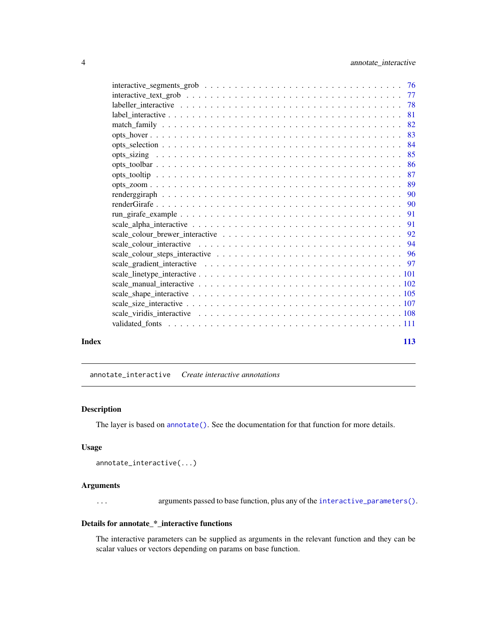<span id="page-3-0"></span>

|       | 81  |  |
|-------|-----|--|
|       | 82  |  |
|       | 83  |  |
|       | 84  |  |
|       | 85  |  |
|       | 86  |  |
|       | 87  |  |
|       | -89 |  |
|       | 90  |  |
|       | -90 |  |
|       | 91  |  |
|       |     |  |
|       |     |  |
|       |     |  |
|       |     |  |
|       |     |  |
|       |     |  |
|       |     |  |
|       |     |  |
|       |     |  |
|       |     |  |
|       |     |  |
|       |     |  |
| Index | 113 |  |

annotate\_interactive *Create interactive annotations*

# Description

The layer is based on [annotate\(\)](#page-0-0). See the documentation for that function for more details.

#### Usage

```
annotate_interactive(...)
```
# Arguments

... arguments passed to base function, plus any of the [interactive\\_parameters\(\)](#page-68-1).

# Details for annotate\_\*\_interactive functions

The interactive parameters can be supplied as arguments in the relevant function and they can be scalar values or vectors depending on params on base function.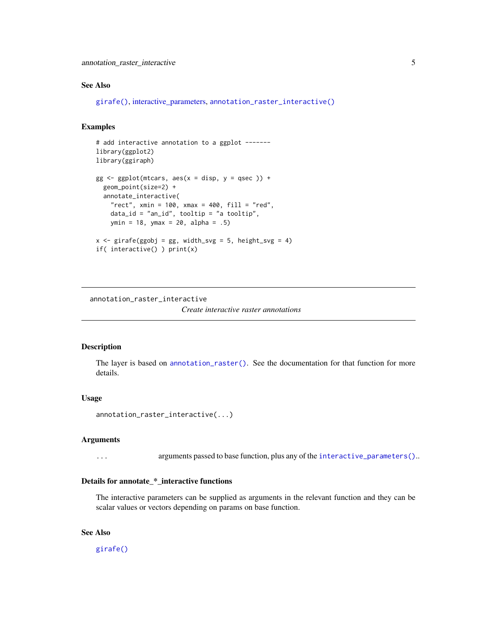# <span id="page-4-0"></span>annotation\_raster\_interactive 5

# See Also

[girafe\(\)](#page-51-1), [interactive\\_parameters,](#page-68-1) [annotation\\_raster\\_interactive\(\)](#page-4-1)

# Examples

```
# add interactive annotation to a ggplot -------
library(ggplot2)
library(ggiraph)
gg \leq-ggplot(mtcars, aes(x = disp, y = qsec)) +geom_point(size=2) +
  annotate_interactive(
    "rect", xmin = 100, xmax = 400, fill = "red",
    data_id = "an_id", tooltip = "a tooltip",
   ymin = 18, ymax = 20, alpha = .5)
x \leq - girafe(ggobj = gg, width_svg = 5, height_svg = 4)
if( interactive() ) print(x)
```
<span id="page-4-1"></span>annotation\_raster\_interactive *Create interactive raster annotations*

# Description

The layer is based on [annotation\\_raster\(\)](#page-0-0). See the documentation for that function for more details.

#### Usage

annotation\_raster\_interactive(...)

#### Arguments

... arguments passed to base function, plus any of the [interactive\\_parameters\(\)](#page-68-1)..

# Details for annotate\_\*\_interactive functions

The interactive parameters can be supplied as arguments in the relevant function and they can be scalar values or vectors depending on params on base function.

# See Also

[girafe\(\)](#page-51-1)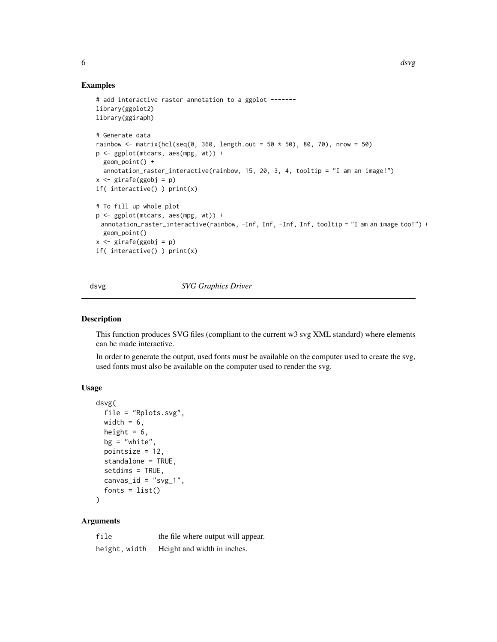#### <span id="page-5-0"></span>Examples

```
# add interactive raster annotation to a ggplot -------
library(ggplot2)
library(ggiraph)
# Generate data
rainbow <- matrix(hcl(seq(0, 360, length.out = 50 \times 50), 80, 70), nrow = 50)
p <- ggplot(mtcars, aes(mpg, wt)) +
  geom_point() +
  annotation_raster_interactive(rainbow, 15, 20, 3, 4, tooltip = "I am an image!")
x \leftarrow girafe(ggobj = p)
if( interactive() ) print(x)
# To fill up whole plot
p <- ggplot(mtcars, aes(mpg, wt)) +
 annotation_raster_interactive(rainbow, -Inf, Inf, -Inf, Inf, tooltip = "I am an image too!") +
 geom_point()
x \le - girafe(ggobj = p)
if( interactive() ) print(x)
```
<span id="page-5-1"></span>dsvg *SVG Graphics Driver*

#### Description

This function produces SVG files (compliant to the current w3 svg XML standard) where elements can be made interactive.

In order to generate the output, used fonts must be available on the computer used to create the svg, used fonts must also be available on the computer used to render the svg.

# Usage

```
dsvg(
  file = "Rplots.svg",
  width = 6,
  height = 6,
  bg = "white",pointsize = 12,
  standalone = TRUE,
  setdims = TRUE,
  canvas_id = "svg_1",
  fonts = list()\mathcal{L}
```
# Arguments

| file          | the file where output will appear. |
|---------------|------------------------------------|
| height, width | Height and width in inches.        |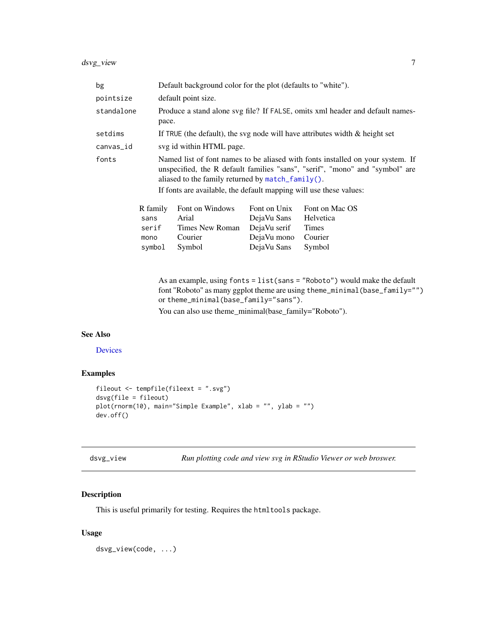<span id="page-6-0"></span>

| bg                                                                                                                                                                                                                                                                                                 |          | Default background color for the plot (defaults to "white").                   |              |                                                                                                                                                                                                 |
|----------------------------------------------------------------------------------------------------------------------------------------------------------------------------------------------------------------------------------------------------------------------------------------------------|----------|--------------------------------------------------------------------------------|--------------|-------------------------------------------------------------------------------------------------------------------------------------------------------------------------------------------------|
| pointsize                                                                                                                                                                                                                                                                                          |          | default point size.                                                            |              |                                                                                                                                                                                                 |
| standalone<br>Produce a stand alone svg file? If FALSE, omits xml header and default names-<br>pace.                                                                                                                                                                                               |          |                                                                                |              |                                                                                                                                                                                                 |
| setdims                                                                                                                                                                                                                                                                                            |          | If TRUE (the default), the svg node will have attributes width $\&$ height set |              |                                                                                                                                                                                                 |
| canvas_id                                                                                                                                                                                                                                                                                          |          | svg id within HTML page.                                                       |              |                                                                                                                                                                                                 |
| fonts<br>Named list of font names to be aliased with fonts installed on your system. If<br>unspecified, the R default families "sans", "serif", "mono" and "symbol" are<br>aliased to the family returned by match_family().<br>If fonts are available, the default mapping will use these values: |          |                                                                                |              |                                                                                                                                                                                                 |
|                                                                                                                                                                                                                                                                                                    | R family | Font on Windows                                                                | Font on Unix | Font on Mac OS                                                                                                                                                                                  |
|                                                                                                                                                                                                                                                                                                    | sans     | Arial                                                                          | DejaVu Sans  | Helvetica                                                                                                                                                                                       |
|                                                                                                                                                                                                                                                                                                    | serif    | Times New Roman                                                                | DejaVu serif | <b>Times</b>                                                                                                                                                                                    |
|                                                                                                                                                                                                                                                                                                    | mono     | Courier                                                                        | DejaVu mono  | Courier                                                                                                                                                                                         |
|                                                                                                                                                                                                                                                                                                    | symbol   | Symbol                                                                         | DejaVu Sans  | Symbol                                                                                                                                                                                          |
|                                                                                                                                                                                                                                                                                                    |          |                                                                                |              | As an example, using $fonts = list(sans = "Roboto")$ would make the default<br>$f_{\text{out}}$ "Debota" as many gap at theme are using theme minimal (has $f_{\text{out}}$ ) $v_{\text{in}}$ " |

font "Roboto" as many ggplot theme are using theme\_minimal(base\_family="") or theme\_minimal(base\_family="sans"). You can also use theme\_minimal(base\_family="Roboto").

# See Also

**[Devices](#page-0-0)** 

# Examples

```
fileout <- tempfile(fileext = ".svg")
dsvg(file = fileout)
plot(rnorm(10), main="Simple Example", xlab = "", ylab = "")
dev.off()
```
dsvg\_view *Run plotting code and view svg in RStudio Viewer or web broswer.*

# Description

This is useful primarily for testing. Requires the htmltools package.

#### Usage

dsvg\_view(code, ...)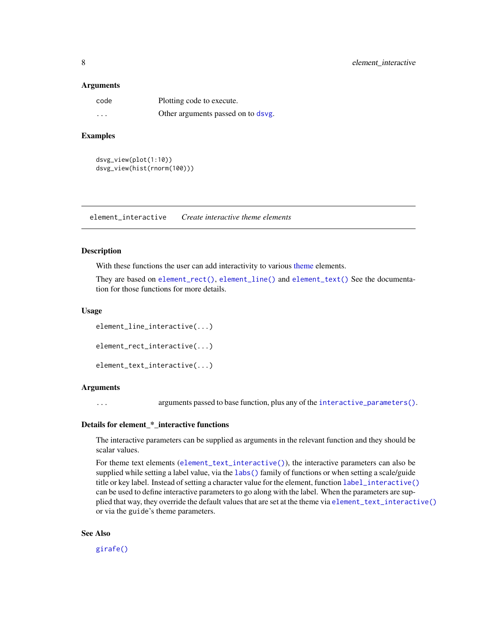#### <span id="page-7-0"></span>Arguments

| code     | Plotting code to execute.          |
|----------|------------------------------------|
| $\cdots$ | Other arguments passed on to dsvg. |

# Examples

```
dsvg_view(plot(1:10))
dsvg_view(hist(rnorm(100)))
```
element\_interactive *Create interactive theme elements*

#### <span id="page-7-1"></span>Description

With these functions the user can add interactivity to various [theme](#page-0-0) elements.

They are based on [element\\_rect\(\)](#page-0-0), [element\\_line\(\)](#page-0-0) and [element\\_text\(\)](#page-0-0) See the documentation for those functions for more details.

#### Usage

```
element_line_interactive(...)
element_rect_interactive(...)
element_text_interactive(...)
```
#### Arguments

... arguments passed to base function, plus any of the [interactive\\_parameters\(\)](#page-68-1).

# Details for element\_\*\_interactive functions

The interactive parameters can be supplied as arguments in the relevant function and they should be scalar values.

For theme text elements ([element\\_text\\_interactive\(\)](#page-7-1)), the interactive parameters can also be supplied while setting a label value, via the [labs\(\)](#page-0-0) family of functions or when setting a scale/guide title or key label. Instead of setting a character value for the element, function [label\\_interactive\(\)](#page-80-1) can be used to define interactive parameters to go along with the label. When the parameters are supplied that way, they override the default values that are set at the theme via [element\\_text\\_interactive\(\)](#page-7-1) or via the guide's theme parameters.

#### See Also

[girafe\(\)](#page-51-1)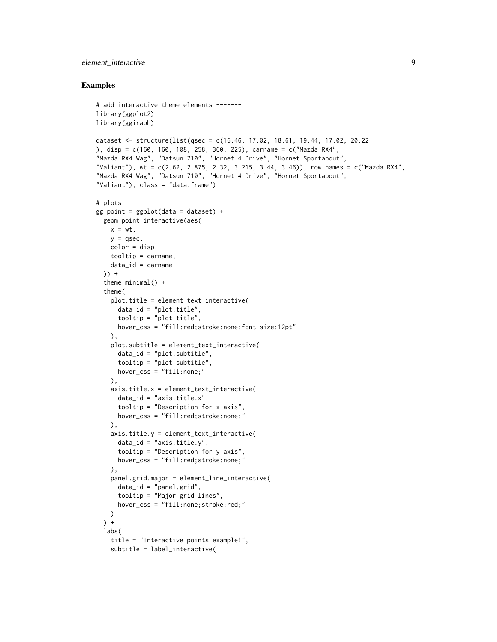# element\_interactive 9

```
# add interactive theme elements -------
library(ggplot2)
library(ggiraph)
dataset <- structure(list(qsec = c(16.46, 17.02, 18.61, 19.44, 17.02, 20.22
), disp = c(160, 160, 108, 258, 360, 225), carname = c("Mazda RX4",
"Mazda RX4 Wag", "Datsun 710", "Hornet 4 Drive", "Hornet Sportabout",
"Valiant"), wt = c(2.62, 2.875, 2.32, 3.215, 3.44, 3.46)), row.names = c("Mazda RX4",
"Mazda RX4 Wag", "Datsun 710", "Hornet 4 Drive", "Hornet Sportabout",
"Valiant"), class = "data.frame")
# plots
gg\_point = ggplot(data = dataset) +geom_point_interactive(aes(
   x = wt,
   y = qsec,color = disp,
   tooltip = carname,
    data_id = carname)) +
  theme_minimal() +
  theme(
   plot.title = element_text_interactive(
      data_id = "plot.title",tooltip = "plot title",
     hover_css = "fill:red;stroke:none;font-size:12pt"
   ),
    plot.subtitle = element_text_interactive(
      data_id = "plot.subtitle",
     tooltip = "plot subtitle",
     hover_css = "fill:none;"
    ),
    axis.title.x = element_text_interactive(
      data_id = "axis.title.x",tooltip = "Description for x axis",
     hover_css = "fill:red;stroke:none;"
   ),
    axis.title.y = element_text_interactive(
      data_id = "axis.title.y",tooltip = "Description for y axis",
     hover_css = "fill:red;stroke:none;"
    ),
   panel.grid.major = element_line_interactive(
      data_id = "panel.grid",
      tooltip = "Major grid lines",
     hover_css = "fill:none;stroke:red;"
   )
  ) +labs(
   title = "Interactive points example!",
   subtitle = label_interactive(
```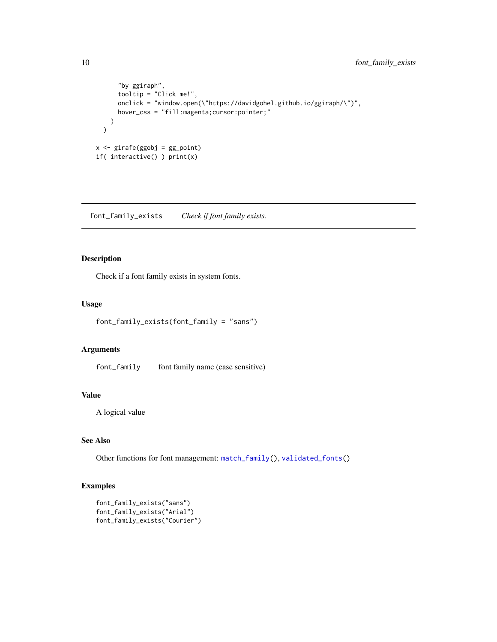```
"by ggiraph",
      tooltip = "Click me!",
      onclick = "window.open(\"https://davidgohel.github.io/ggiraph/\")",
      hover_css = "fill:magenta;cursor:pointer;"
   )
 \overline{)}x <- girafe(ggobj = gg_point)
if( interactive() ) print(x)
```
font\_family\_exists *Check if font family exists.*

# Description

Check if a font family exists in system fonts.

# Usage

```
font_family_exists(font_family = "sans")
```
# Arguments

font\_family font family name (case sensitive)

# Value

A logical value

# See Also

Other functions for font management: [match\\_family\(](#page-81-1)), [validated\\_fonts\(](#page-110-1))

```
font_family_exists("sans")
font_family_exists("Arial")
font_family_exists("Courier")
```
<span id="page-9-0"></span>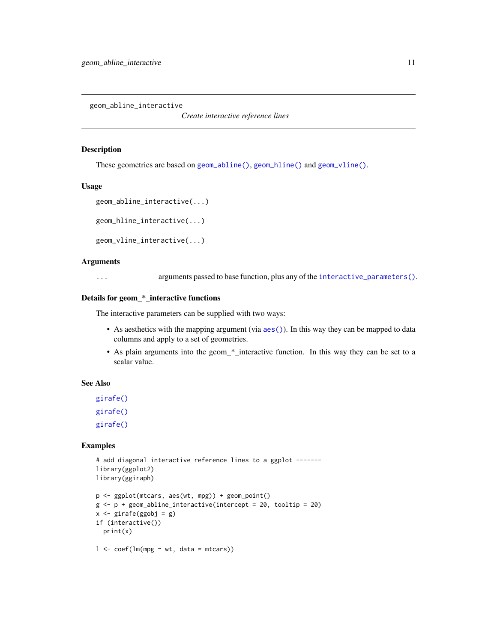<span id="page-10-0"></span>geom\_abline\_interactive

*Create interactive reference lines*

#### Description

These geometries are based on [geom\\_abline\(\)](#page-0-0), [geom\\_hline\(\)](#page-0-0) and [geom\\_vline\(\)](#page-0-0).

# Usage

```
geom_abline_interactive(...)
```
geom\_hline\_interactive(...)

```
geom_vline_interactive(...)
```
#### Arguments

... arguments passed to base function, plus any of the [interactive\\_parameters\(\)](#page-68-1).

# Details for geom\_\*\_interactive functions

The interactive parameters can be supplied with two ways:

- As aesthetics with the mapping argument (via  $a \in S($ )). In this way they can be mapped to data columns and apply to a set of geometries.
- As plain arguments into the geom\_\*\_interactive function. In this way they can be set to a scalar value.

# See Also

[girafe\(\)](#page-51-1) [girafe\(\)](#page-51-1) [girafe\(\)](#page-51-1)

```
# add diagonal interactive reference lines to a ggplot ------
library(ggplot2)
library(ggiraph)
```

```
p <- ggplot(mtcars, aes(wt, mpg)) + geom_point()
g \leftarrow p + geom\_abline\_interactive(interept = 20, tooltip = 20)x \leftarrow girafe(ggobj = g)
if (interactive())
  print(x)
l \leq coef(lm(mpg \sim wt, data = mtcars))
```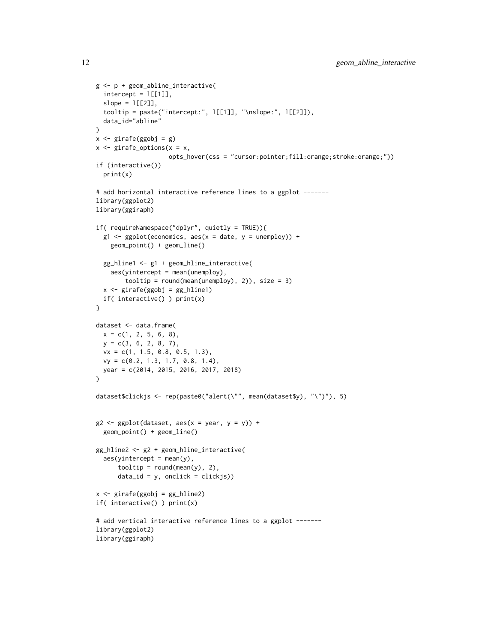```
g <- p + geom_abline_interactive(
  intercept = l[[1]],slope = l[[2]],tooltip = paste("intercept:", l[[1]], "\nslope:", l[[2]]),
  data_id="abline"
\lambdax \leftarrow girafe(ggobj = g)
x \leq - girafe_options(x = x,
                    opts_hover(css = "cursor:pointer;fill:orange;stroke:orange;"))
if (interactive())
  print(x)
# add horizontal interactive reference lines to a ggplot -------
library(ggplot2)
library(ggiraph)
if( requireNamespace("dplyr", quietly = TRUE)){
  g1 \leftarrow ggplot(economics, aes(x = date, y = unempty)) +geom_point() + geom_line()
  gg_hline1 <- g1 + geom_hline_interactive(
    aes(yintercept = mean(unempty),tooltip = round(mean(unemploy), 2)), size = 3)
  x <- girafe(ggobj = gg_hline1)
  if( interactive() ) print(x)
}
dataset <- data.frame(
 x = c(1, 2, 5, 6, 8),
 y = c(3, 6, 2, 8, 7),
  vx = c(1, 1.5, 0.8, 0.5, 1.3),
 vy = c(0.2, 1.3, 1.7, 0.8, 1.4),
  year = c(2014, 2015, 2016, 2017, 2018)
)
dataset$clickjs <- rep(paste0("alert(\"", mean(dataset$y), "\")"), 5)
g2 \leq-ggplot(dataset, aes(x = year, y = y)) +geom_point() + geom_line()
gg_hline2 <- g2 + geom_hline_interactive(
  aes(yintercept = mean(y),toOltip = round(mean(y), 2),
      data_id = y, onclick = clickjs))
x <- girafe(ggobj = gg_hline2)
if( interactive() ) print(x)
# add vertical interactive reference lines to a ggplot -------
library(ggplot2)
library(ggiraph)
```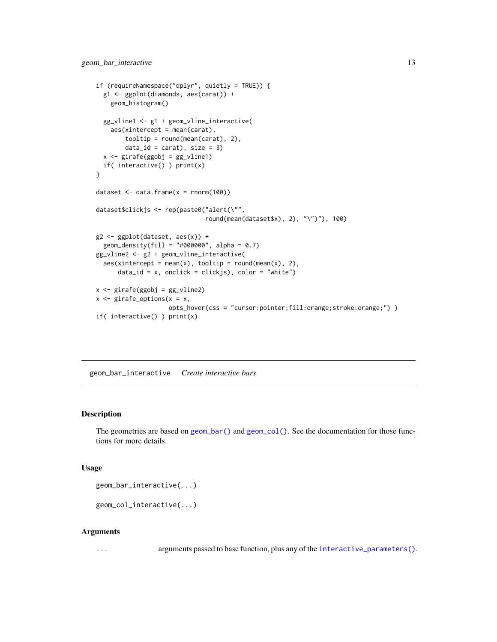```
if (requireNamespace("dplyr", quietly = TRUE)) {
 g1 <- ggplot(diamonds, aes(carat)) +
   geom_histogram()
 gg_vline1 <- g1 + geom_vline_interactive(
    aes(xintercept = mean(carat),
        tooltip = round(mean(carat), 2),
        data_id = carat), size = 3)
 x <- girafe(ggobj = gg_vline1)
 if( interactive() ) print(x)
}
dataset \leq data.frame(x = \text{norm}(100))
dataset$clickjs <- rep(paste0("alert(\"",
                                round(mean(dataset$x), 2), "\")"), 100)
g2 <- ggplot(dataset, aes(x)) +
 geom\_density(fill = "#000000", alpha = 0.7)gg_vline2 <- g2 + geom_vline_interactive(
 \text{aes}(x\text{intercept} = \text{mean}(x), \text{tooltip} = \text{round}(\text{mean}(x), 2),data_id = x, onclick = clickjs), color = "white")
x <- girafe(ggobj = gg_vline2)
x \leq - girafe_options(x = x,
                     opts_hover(css = "cursor:pointer;fill:orange;stroke:orange;") )
if( interactive() ) print(x)
```
geom\_bar\_interactive *Create interactive bars*

# Description

The geometries are based on [geom\\_bar\(\)](#page-0-0) and [geom\\_col\(\)](#page-0-0). See the documentation for those functions for more details.

# Usage

```
geom_bar_interactive(...)
```

```
geom_col_interactive(...)
```
#### Arguments

... arguments passed to base function, plus any of the [interactive\\_parameters\(\)](#page-68-1).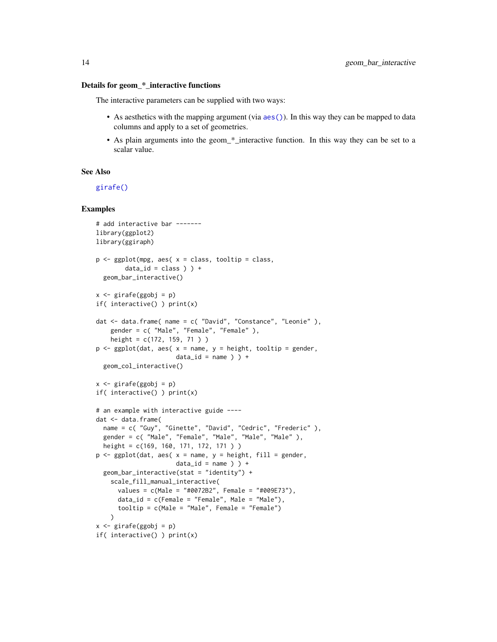#### Details for geom\_\*\_interactive functions

The interactive parameters can be supplied with two ways:

- As aesthetics with the mapping argument (via  $aes()$ ). In this way they can be mapped to data columns and apply to a set of geometries.
- As plain arguments into the geom\_\*\_interactive function. In this way they can be set to a scalar value.

#### See Also

[girafe\(\)](#page-51-1)

```
# add interactive bar -------
library(ggplot2)
library(ggiraph)
p <- ggplot(mpg, aes( x = class, tooltip = class,
        data_id = class ) +
  geom_bar_interactive()
x <- girafe(ggobj = p)
if( interactive() ) print(x)
dat <- data.frame( name = c( "David", "Constance", "Leonie" ),
    gender = c( "Male", "Female", "Female" ),
    height = c(172, 159, 71 ) )
p \leq - ggplot(dat, aes( x = name, y = height, tooltip = gender,
                      data_id = name ) +
  geom_col_interactive()
x <- girafe(ggobj = p)
if( interactive() ) print(x)
# an example with interactive guide ----
dat <- data.frame(
  name = c( "Guy", "Ginette", "David", "Cedric", "Frederic" ),
  gender = c( "Male", "Female", "Male", "Male", "Male" ),
  height = c(169, 160, 171, 172, 171 ) )
p \leq - ggplot(dat, aes( x = name, y = height, fill = gender,
                      data_id = name ) +
  geom_bar_interactive(stat = "identity") +
    scale_fill_manual_interactive(
      values = c(Male = "#0072B2", Female = "#009E73"),
      data_id = c(Female = "Female", Male = "Male"),
      tooltip = c(Male = "Male", Female = "Female")
    \lambdax <- girafe(ggobj = p)
if( interactive() ) print(x)
```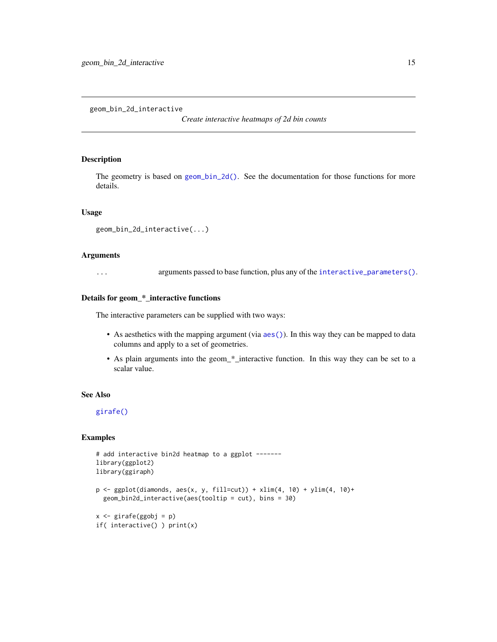<span id="page-14-0"></span>geom\_bin\_2d\_interactive

*Create interactive heatmaps of 2d bin counts*

# Description

The geometry is based on  $geom_b$   $\infty$  (). See the documentation for those functions for more details.

#### Usage

```
geom_bin_2d_interactive(...)
```
# Arguments

... arguments passed to base function, plus any of the [interactive\\_parameters\(\)](#page-68-1).

# Details for geom\_\*\_interactive functions

The interactive parameters can be supplied with two ways:

- As aesthetics with the mapping argument (via [aes\(\)](#page-0-0)). In this way they can be mapped to data columns and apply to a set of geometries.
- As plain arguments into the geom\_\*\_interactive function. In this way they can be set to a scalar value.

# See Also

[girafe\(\)](#page-51-1)

```
# add interactive bin2d heatmap to a ggplot -------
library(ggplot2)
library(ggiraph)
p \leftarrow \text{ggplot}(diamonds, aes(x, y, fill=cut)) + xlim(4, 10) + ylim(4, 10) +geom_bin2d_interactive(aes(tooltip = cut), bins = 30)
```

```
x <- girafe(ggobj = p)
if( interactive() ) print(x)
```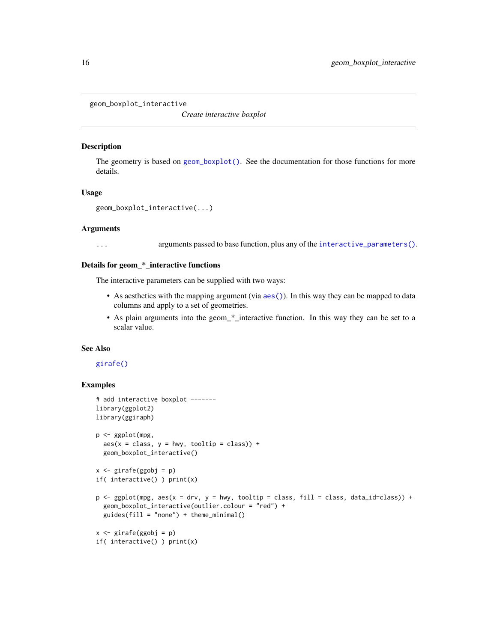```
geom_boxplot_interactive
```
*Create interactive boxplot*

# Description

The geometry is based on [geom\\_boxplot\(\)](#page-0-0). See the documentation for those functions for more details.

#### Usage

```
geom_boxplot_interactive(...)
```
#### Arguments

... arguments passed to base function, plus any of the [interactive\\_parameters\(\)](#page-68-1).

# Details for geom\_\*\_interactive functions

The interactive parameters can be supplied with two ways:

- As aesthetics with the mapping argument (via  $aes()$ ). In this way they can be mapped to data columns and apply to a set of geometries.
- As plain arguments into the geom\_\*\_interactive function. In this way they can be set to a scalar value.

#### See Also

# [girafe\(\)](#page-51-1)

```
# add interactive boxplot -------
library(ggplot2)
library(ggiraph)
p <- ggplot(mpg,
  aes(x = class, y = hwy, tooltip = class)) +geom_boxplot_interactive()
x \le - girafe(ggobj = p)
if( interactive() ) print(x)
p <- ggplot(mpg, aes(x = drv, y = hwy, tooltip = class, fill = class, data_id=class)) +
  geom_boxplot_interactive(outlier.colour = "red") +
  guides(fill = "none") + theme_minnal()x \le - girafe(ggobj = p)
if( interactive() ) print(x)
```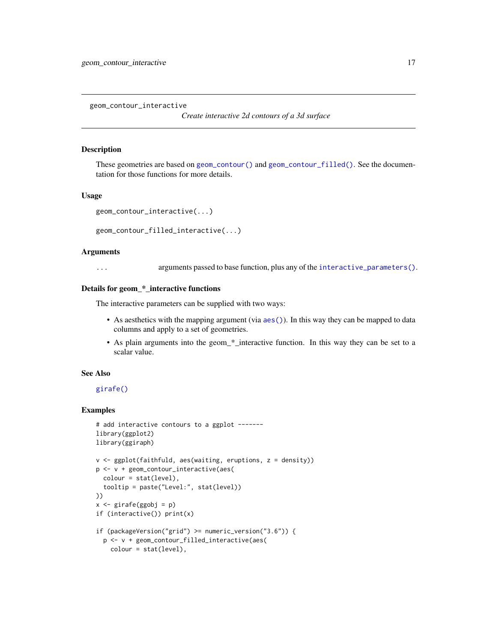<span id="page-16-0"></span>geom\_contour\_interactive

*Create interactive 2d contours of a 3d surface*

#### **Description**

These geometries are based on [geom\\_contour\(\)](#page-0-0) and [geom\\_contour\\_filled\(\)](#page-0-0). See the documentation for those functions for more details.

# Usage

```
geom_contour_interactive(...)
```
geom\_contour\_filled\_interactive(...)

#### Arguments

... arguments passed to base function, plus any of the [interactive\\_parameters\(\)](#page-68-1).

#### Details for geom\_\*\_interactive functions

The interactive parameters can be supplied with two ways:

- As aesthetics with the mapping argument (via [aes\(\)](#page-0-0)). In this way they can be mapped to data columns and apply to a set of geometries.
- As plain arguments into the geom\_\*\_interactive function. In this way they can be set to a scalar value.

# See Also

[girafe\(\)](#page-51-1)

```
# add interactive contours to a ggplot -------
library(ggplot2)
library(ggiraph)
v <- ggplot(faithfuld, aes(waiting, eruptions, z = density))
p <- v + geom_contour_interactive(aes(
  colour = stat(level),
  tooltip = paste("Level:", stat(level))
))
x <- girafe(ggobj = p)
if (interactive()) print(x)
if (packageVersion("grid") >= numeric_version("3.6")) {
  p <- v + geom_contour_filled_interactive(aes(
   colour = stat(level),
```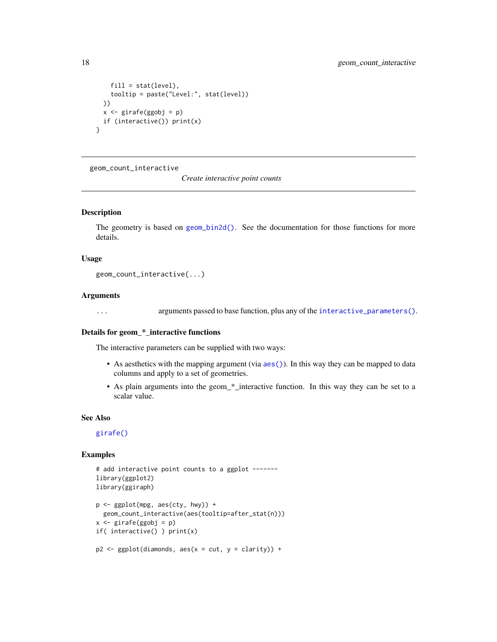```
fill = stat(level),tooltip = paste("Level:", stat(level))
 ))
 x <- girafe(ggobj = p)
 if (interactive()) print(x)
}
```
geom\_count\_interactive

*Create interactive point counts*

#### Description

The geometry is based on [geom\\_bin2d\(\)](#page-0-0). See the documentation for those functions for more details.

#### Usage

geom\_count\_interactive(...)

#### Arguments

... arguments passed to base function, plus any of the [interactive\\_parameters\(\)](#page-68-1).

# Details for geom\_\*\_interactive functions

The interactive parameters can be supplied with two ways:

- As aesthetics with the mapping argument (via [aes\(\)](#page-0-0)). In this way they can be mapped to data columns and apply to a set of geometries.
- As plain arguments into the geom\_\*\_interactive function. In this way they can be set to a scalar value.

#### See Also

[girafe\(\)](#page-51-1)

```
# add interactive point counts to a ggplot -------
library(ggplot2)
library(ggiraph)
p <- ggplot(mpg, aes(cty, hwy)) +
  geom_count_interactive(aes(tooltip=after_stat(n)))
x \leftarrow girafe(ggobj = p)
if( interactive() ) print(x)
p2 \leq - ggplot(diamonds, aes(x = cut, y = clarity)) +
```
<span id="page-17-0"></span>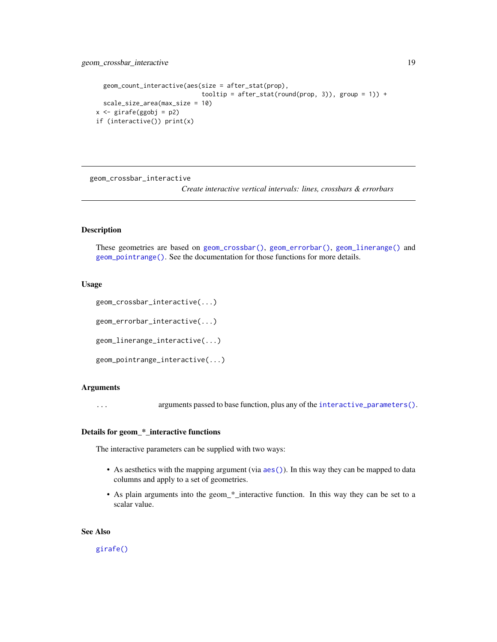# <span id="page-18-0"></span>geom\_crossbar\_interactive 19

```
geom_count_interactive(aes(size = after_stat(prop),
                            tooltip = after_stat(round(prop, 3)), group = 1)) +
 scale_size_area(max_size = 10)
x <- girafe(ggobj = p2)
if (interactive()) print(x)
```
geom\_crossbar\_interactive

*Create interactive vertical intervals: lines, crossbars & errorbars*

# Description

These geometries are based on [geom\\_crossbar\(\)](#page-0-0), [geom\\_errorbar\(\)](#page-0-0), [geom\\_linerange\(\)](#page-0-0) and [geom\\_pointrange\(\)](#page-0-0). See the documentation for those functions for more details.

### Usage

```
geom_crossbar_interactive(...)
```
geom\_errorbar\_interactive(...)

geom\_linerange\_interactive(...)

geom\_pointrange\_interactive(...)

#### Arguments

... arguments passed to base function, plus any of the [interactive\\_parameters\(\)](#page-68-1).

# Details for geom\_\*\_interactive functions

The interactive parameters can be supplied with two ways:

- As aesthetics with the mapping argument (via [aes\(\)](#page-0-0)). In this way they can be mapped to data columns and apply to a set of geometries.
- As plain arguments into the geom\_\*\_interactive function. In this way they can be set to a scalar value.

# See Also

[girafe\(\)](#page-51-1)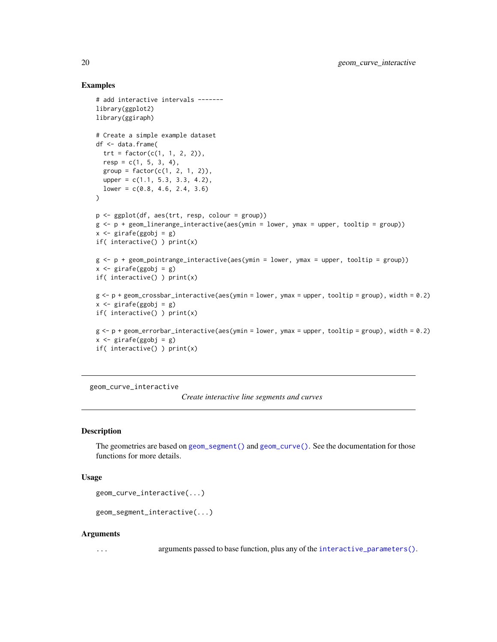# Examples

```
# add interactive intervals -------
library(ggplot2)
library(ggiraph)
# Create a simple example dataset
df <- data.frame(
  trt = factor(c(1, 1, 2, 2)),resp = c(1, 5, 3, 4),group = factor(c(1, 2, 1, 2)),upper = c(1.1, 5.3, 3.3, 4.2),
  lower = c(0.8, 4.6, 2.4, 3.6))
p <- ggplot(df, aes(trt, resp, colour = group))
g \leftarrow p + geom\_linearange\_interactive(aes(ymin = lower, ymax = upper, tooltip = group))x \leq -\text{girafe(ggobj = g)}if( interactive() ) print(x)
g \leftarrow p + geom\_pointrange\_interactive(aes(ymin = lower, ymax = upper, tooltip = group))x \leftarrow girafe(ggobj = g)
if( interactive() ) print(x)
g <- p + geom_crossbar_interactive(aes(ymin = lower, ymax = upper, tooltip = group), width = 0.2)
x \leftarrow girafe(ggobj = g)
if( interactive() ) print(x)
g \leftarrow p + geom_errorbar\_interactive(aes(ymin = lower, ymax = upper, tooltip = group), width = 0.2)x \leftarrow girafe(ggobj = g)
if( interactive() ) print(x)
```
geom\_curve\_interactive

*Create interactive line segments and curves*

#### Description

The geometries are based on [geom\\_segment\(\)](#page-0-0) and [geom\\_curve\(\)](#page-0-0). See the documentation for those functions for more details.

# Usage

```
geom_curve_interactive(...)
```

```
geom_segment_interactive(...)
```
#### Arguments

... arguments passed to base function, plus any of the [interactive\\_parameters\(\)](#page-68-1).

<span id="page-19-0"></span>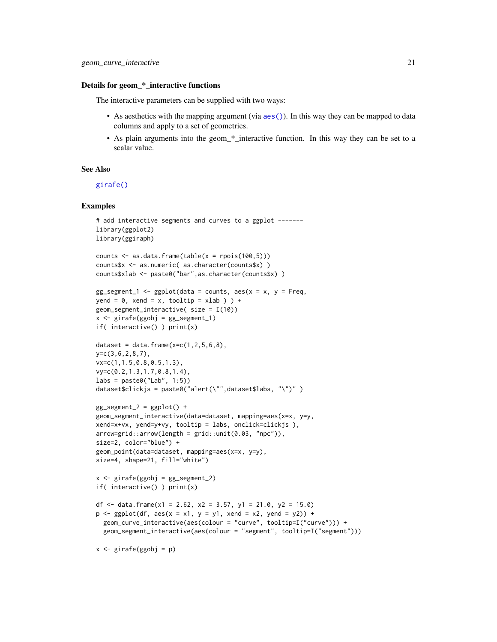#### Details for geom\_\*\_interactive functions

The interactive parameters can be supplied with two ways:

- As aesthetics with the mapping argument (via  $aes()$ ). In this way they can be mapped to data columns and apply to a set of geometries.
- As plain arguments into the geom\_\*\_interactive function. In this way they can be set to a scalar value.

# See Also

[girafe\(\)](#page-51-1)

```
# add interactive segments and curves to a ggplot ------
library(ggplot2)
library(ggiraph)
counts \leq as.data.frame(table(x = rpois(100,5)))
counts$x <- as.numeric( as.character(counts$x) )
counts$xlab <- paste0("bar",as.character(counts$x) )
gg_segment_1 <- gglot(data = counts, aes(x = x, y = Freq,
yend = 0, xend = x, tooltip = xlab ) ) +
geom_segment_interactive( size = I(10))
x \leftarrow girafe(ggobj = gg_segment_1)
if( interactive() ) print(x)
dataset = data.frame(x=c(1, 2, 5, 6, 8)),
y=c(3,6,2,8,7),
vx=c(1,1.5,0.8,0.5,1.3),
vy=c(0.2,1.3,1.7,0.8,1.4),
\text{labels} = \text{paste0}("\text{Lab", 1:5})dataset$clickjs = paste0("alert(\"",dataset$labs, "\")" )
gg_segment_2 = ggplot() +
geom_segment_interactive(data=dataset, mapping=aes(x=x, y=y,
xend=x+vx, yend=y+vy, tooltip = labs, onclick=clickjs ),
arrow=grid::arrow(length = grid::unit(0.03, 'npc")),
size=2, color="blue") +
geom_point(data=dataset, mapping=aes(x=x, y=y),
size=4, shape=21, fill="white")
x \leftarrow girafe(ggobj = gg_segment_2)
if( interactive() ) print(x)
df <- data.frame(x1 = 2.62, x2 = 3.57, y1 = 21.0, y2 = 15.0)
p \leq - ggplot(df, aes(x = x1, y = y1, xend = x2, yend = y2)) +
  geom_curve_interactive(aes(colour = "curve", tooltip=I("curve"))) +
  geom_segment_interactive(aes(colour = "segment", tooltip=I("segment")))
x <- girafe(ggobj = p)
```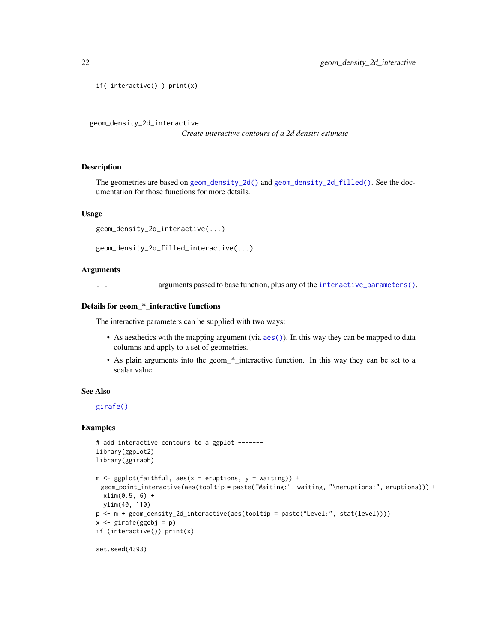```
if( interactive() ) print(x)
```
geom\_density\_2d\_interactive

*Create interactive contours of a 2d density estimate*

#### Description

The geometries are based on [geom\\_density\\_2d\(\)](#page-0-0) and [geom\\_density\\_2d\\_filled\(\)](#page-0-0). See the documentation for those functions for more details.

#### Usage

```
geom_density_2d_interactive(...)
```

```
geom_density_2d_filled_interactive(...)
```
#### Arguments

... arguments passed to base function, plus any of the [interactive\\_parameters\(\)](#page-68-1).

#### Details for geom\_\*\_interactive functions

The interactive parameters can be supplied with two ways:

- As aesthetics with the mapping argument (via [aes\(\)](#page-0-0)). In this way they can be mapped to data columns and apply to a set of geometries.
- As plain arguments into the geom\_\*\_interactive function. In this way they can be set to a scalar value.

#### See Also

[girafe\(\)](#page-51-1)

```
# add interactive contours to a ggplot -------
library(ggplot2)
library(ggiraph)
m \leq - ggplot(faithful, aes(x = eruptions, y = waiting)) +
 geom_point_interactive(aes(tooltip = paste("Waiting:", waiting, "\neruptions:", eruptions))) +
 xlim(0.5, 6) +
  ylim(40, 110)
p <- m + geom_density_2d_interactive(aes(tooltip = paste("Level:", stat(level))))
x \leftarrow girafe(ggobj = p)
if (interactive()) print(x)
set.seed(4393)
```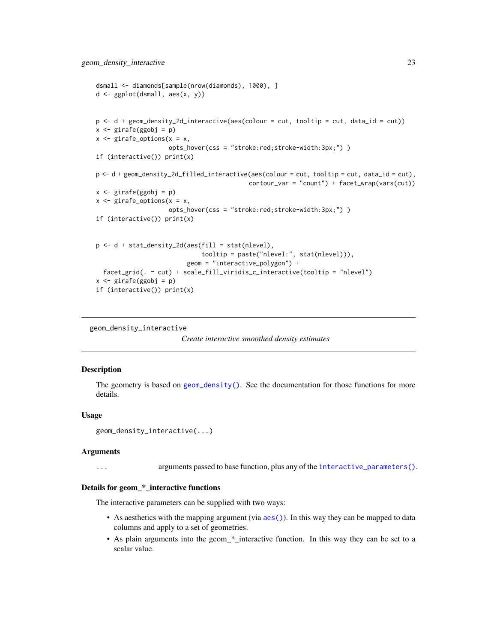```
dsmall <- diamonds[sample(nrow(diamonds), 1000), ]
d <- ggplot(dsmall, aes(x, y))
p <- d + geom_density_2d_interactive(aes(colour = cut, tooltip = cut, data_id = cut))
x \leq - girafe(ggobj = p)
x \leq - girafe_options(x = x,
                    opts_hover(css = "stroke:red;stroke-width:3px;") )
if (interactive()) print(x)
p <- d + geom_density_2d_filled_interactive(aes(colour = cut, tooltip = cut, data_id = cut),
                                           contour_var = "count") + facet_wrap(vars(cut))
x <- girafe(ggobj = p)
x \leq - girafe_options(x = x,
                    opts_hover(css = "stroke:red;stroke-width:3px;") )
if (interactive()) print(x)
p \leftarrow d + stat\_density_2d(aes(fill = stat(nlevel)),tooltip = paste("nlevel:", stat(nlevel))),
                         geom = "interactive_polygon") +
 facet_grid(. ~ cut) + scale_fill_viridis_c_interactive(tooltip = "nlevel")
x <- girafe(ggobj = p)
if (interactive()) print(x)
```

```
geom_density_interactive
```
#### *Create interactive smoothed density estimates*

### Description

The geometry is based on [geom\\_density\(\)](#page-0-0). See the documentation for those functions for more details.

#### Usage

```
geom_density_interactive(...)
```
#### Arguments

... arguments passed to base function, plus any of the [interactive\\_parameters\(\)](#page-68-1).

#### Details for geom\_\*\_interactive functions

The interactive parameters can be supplied with two ways:

- As aesthetics with the mapping argument (via  $aes()$ ). In this way they can be mapped to data columns and apply to a set of geometries.
- As plain arguments into the geom\_\*\_interactive function. In this way they can be set to a scalar value.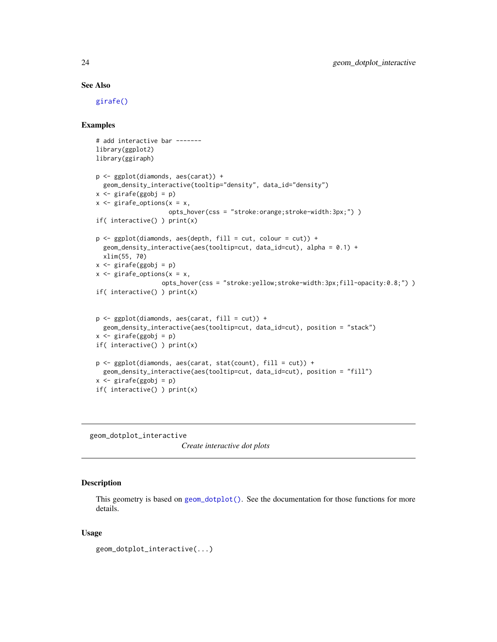#### See Also

[girafe\(\)](#page-51-1)

# Examples

```
# add interactive bar -------
library(ggplot2)
library(ggiraph)
p <- ggplot(diamonds, aes(carat)) +
 geom_density_interactive(tooltip="density", data_id="density")
x <- girafe(ggobj = p)
x \leq - girafe_options(x = x,
                     opts_hover(css = "stroke:orange;stroke-width:3px;") )
if( interactive() ) print(x)
p \leftarrow \text{ggplot}(diamonds, aes(depth, fill = cut, colour = cut)) +geom_density_interactive(aes(tooltip=cut, data_id=cut), alpha = 0.1) +
  xlim(55, 70)
x \le - girafe(ggobj = p)
x \leq - girafe_options(x = x,
                   opts_hover(css = "stroke:yellow;stroke-width:3px;fill-opacity:0.8;") )
if( interactive() ) print(x)
p \leftarrow ggplot(diamonds, aes(carat, fill = cut)) +
  geom_density_interactive(aes(tooltip=cut, data_id=cut), position = "stack")
x \leq - girafe(ggobj = p)
if( interactive() ) print(x)
p <- ggplot(diamonds, aes(carat, stat(count), fill = cut)) +
  geom_density_interactive(aes(tooltip=cut, data_id=cut), position = "fill")
x \leq -\text{girafe(ggobj = p)}if( interactive() ) print(x)
```
geom\_dotplot\_interactive

*Create interactive dot plots*

# **Description**

This geometry is based on [geom\\_dotplot\(\)](#page-0-0). See the documentation for those functions for more details.

#### Usage

```
geom_dotplot_interactive(...)
```
<span id="page-23-0"></span>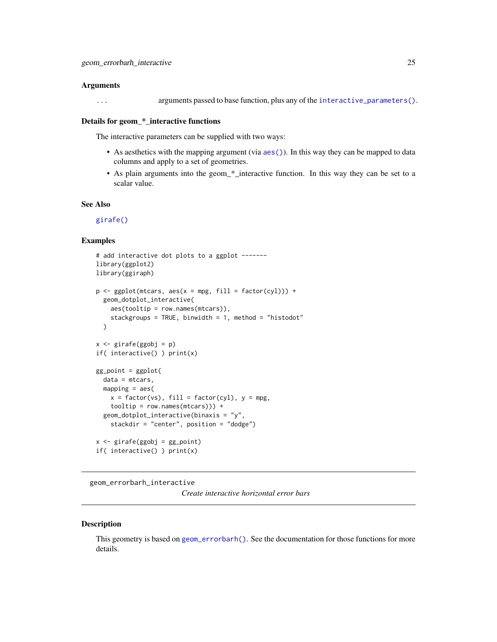#### <span id="page-24-0"></span>Arguments

... arguments passed to base function, plus any of the [interactive\\_parameters\(\)](#page-68-1).

#### Details for geom \* interactive functions

The interactive parameters can be supplied with two ways:

- As aesthetics with the mapping argument (via [aes\(\)](#page-0-0)). In this way they can be mapped to data columns and apply to a set of geometries.
- As plain arguments into the geom\_\*\_interactive function. In this way they can be set to a scalar value.

# See Also

[girafe\(\)](#page-51-1)

#### Examples

```
# add interactive dot plots to a ggplot -------
library(ggplot2)
library(ggiraph)
p \leq - ggplot(mtcars, \text{aes}(x = mpg, \text{ fill} = \text{factor}(cyl))) +geom_dotplot_interactive(
    aes(tooltip = row.names(mtcars)),
    stackgroups = TRUE, binwidth = 1, method = "histodot"
  )
x <- girafe(ggobj = p)
if( interactive() ) print(x)
gg\_point = ggplot(data = mtcars,
  mapping = aes(
    x = factor(vs), fill = factor(cyl), y = mpg,tooltip = row.names(mtcars))) +
  geom_dotplot_interactive(binaxis = "y",
    stackdir = "center", position = "dodge")
x <- girafe(ggobj = gg_point)
if( interactive() ) print(x)
```
geom\_errorbarh\_interactive

*Create interactive horizontal error bars*

#### Description

This geometry is based on [geom\\_errorbarh\(\)](#page-0-0). See the documentation for those functions for more details.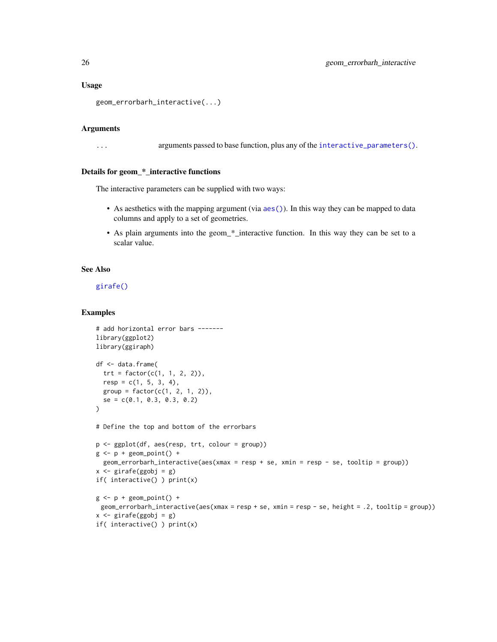#### Usage

```
geom_errorbarh_interactive(...)
```
# Arguments

... arguments passed to base function, plus any of the [interactive\\_parameters\(\)](#page-68-1).

#### Details for geom\_\*\_interactive functions

The interactive parameters can be supplied with two ways:

- As aesthetics with the mapping argument (via [aes\(\)](#page-0-0)). In this way they can be mapped to data columns and apply to a set of geometries.
- As plain arguments into the geom\_\*\_interactive function. In this way they can be set to a scalar value.

#### See Also

[girafe\(\)](#page-51-1)

```
# add horizontal error bars -------
library(ggplot2)
library(ggiraph)
df <- data.frame(
 trt = factor(c(1, 1, 2, 2)),resp = c(1, 5, 3, 4),group = factor(c(1, 2, 1, 2)),se = c(0.1, 0.3, 0.3, 0.2))
# Define the top and bottom of the errorbars
p <- ggplot(df, aes(resp, trt, colour = group))
g \leftarrow p + \text{geom\_point}() +geom_errorbarh_interactive(aes(xmax = resp + se, xmin = resp - se, tooltip = group))
x <- girafe(ggobj = g)
if( interactive() ) print(x)
g \leftarrow p + \text{geom\_point}() +geom_errorbarh_interactive(aes(xmax = resp + se, xmin = resp - se, height = .2, tooltip = group))
x \leftarrow girafe(ggobj = g)
if( interactive() ) print(x)
```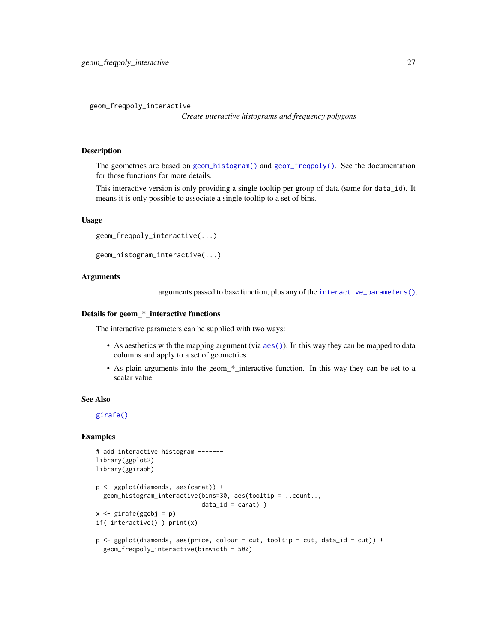<span id="page-26-0"></span>geom\_freqpoly\_interactive

*Create interactive histograms and frequency polygons*

# Description

The geometries are based on [geom\\_histogram\(\)](#page-0-0) and [geom\\_freqpoly\(\)](#page-0-0). See the documentation for those functions for more details.

This interactive version is only providing a single tooltip per group of data (same for data\_id). It means it is only possible to associate a single tooltip to a set of bins.

#### Usage

```
geom_freqpoly_interactive(...)
```

```
geom_histogram_interactive(...)
```
# Arguments

... arguments passed to base function, plus any of the [interactive\\_parameters\(\)](#page-68-1).

# Details for geom\_\*\_interactive functions

The interactive parameters can be supplied with two ways:

- As aesthetics with the mapping argument (via  $a \in S($ )). In this way they can be mapped to data columns and apply to a set of geometries.
- As plain arguments into the geom\_\*\_interactive function. In this way they can be set to a scalar value.

#### See Also

[girafe\(\)](#page-51-1)

```
# add interactive histogram -------
library(ggplot2)
library(ggiraph)
p <- ggplot(diamonds, aes(carat)) +
  geom_histogram_interactive(bins=30, aes(tooltip = ..count..,
                             data_id = carat))
x <- girafe(ggobj = p)
if( interactive() ) print(x)
p \leq - ggplot(diamonds, aes(price, colour = cut, tooltip = cut, data_id = cut)) +
  geom_freqpoly_interactive(binwidth = 500)
```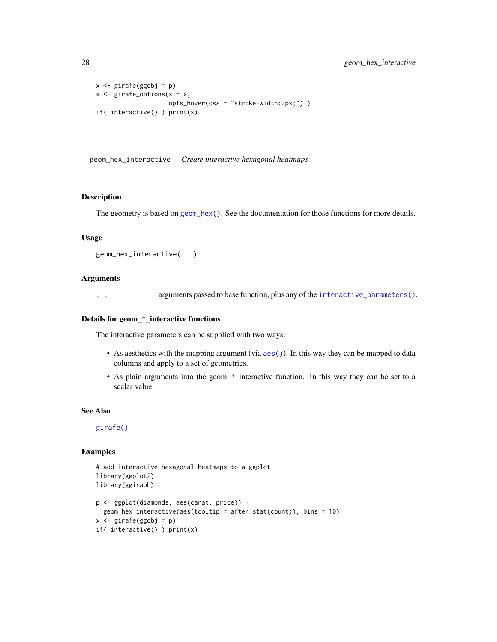```
x \leftarrow girafe(ggobj = p)
x \leq - girafe_options(x = x,
                      opts_hover(css = "stroke-width:3px;") )
if( interactive() ) print(x)
```
geom\_hex\_interactive *Create interactive hexagonal heatmaps*

# Description

The geometry is based on  $geom_hex()$ . See the documentation for those functions for more details.

#### Usage

```
geom_hex_interactive(...)
```
#### Arguments

... arguments passed to base function, plus any of the [interactive\\_parameters\(\)](#page-68-1).

### Details for geom\_\*\_interactive functions

The interactive parameters can be supplied with two ways:

- As aesthetics with the mapping argument (via [aes\(\)](#page-0-0)). In this way they can be mapped to data columns and apply to a set of geometries.
- As plain arguments into the geom\_\*\_interactive function. In this way they can be set to a scalar value.

## See Also

[girafe\(\)](#page-51-1)

```
# add interactive hexagonal heatmaps to a ggplot -------
library(ggplot2)
library(ggiraph)
p <- ggplot(diamonds, aes(carat, price)) +
  geom_hex_interactive(aes(tooltip = after_stat(count)), bins = 10)
x <- girafe(ggobj = p)
if( interactive() ) print(x)
```
<span id="page-27-0"></span>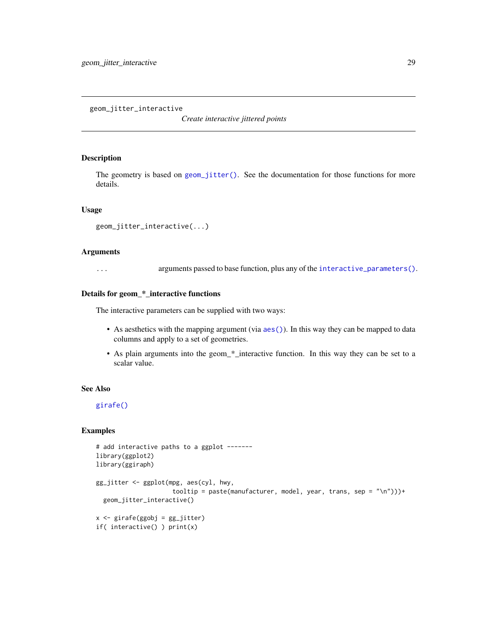<span id="page-28-0"></span>geom\_jitter\_interactive

*Create interactive jittered points*

#### Description

The geometry is based on [geom\\_jitter\(\)](#page-0-0). See the documentation for those functions for more details.

# Usage

```
geom_jitter_interactive(...)
```
#### Arguments

... arguments passed to base function, plus any of the [interactive\\_parameters\(\)](#page-68-1).

# Details for geom\_\*\_interactive functions

The interactive parameters can be supplied with two ways:

- As aesthetics with the mapping argument (via [aes\(\)](#page-0-0)). In this way they can be mapped to data columns and apply to a set of geometries.
- As plain arguments into the geom\_\*\_interactive function. In this way they can be set to a scalar value.

#### See Also

[girafe\(\)](#page-51-1)

```
# add interactive paths to a ggplot -------
library(ggplot2)
library(ggiraph)
gg_jitter <- ggplot(mpg, aes(cyl, hwy,
                     tooltip = paste(manufacturer, model, year, trans, sep = "\n")))+
  geom_jitter_interactive()
x <- girafe(ggobj = gg_jitter)
if( interactive() ) print(x)
```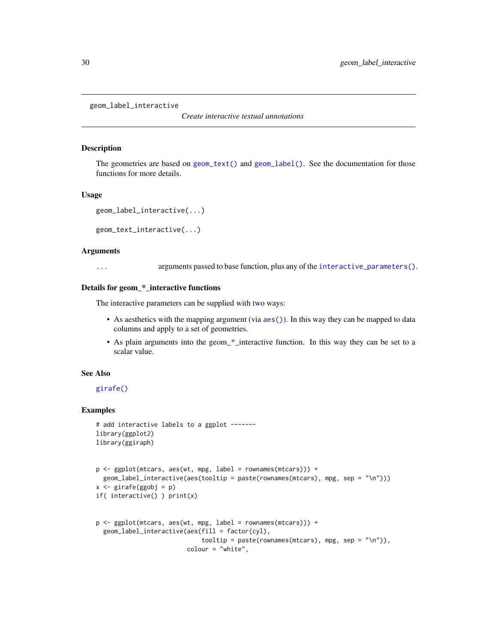<span id="page-29-0"></span>geom\_label\_interactive

*Create interactive textual annotations*

#### Description

The geometries are based on  $geom_{\text{text}}(\text{) and geom_{\text{label}}(\text{).}$  See the documentation for those functions for more details.

#### Usage

```
geom_label_interactive(...)
```
geom\_text\_interactive(...)

#### **Arguments**

... arguments passed to base function, plus any of the [interactive\\_parameters\(\)](#page-68-1).

#### Details for geom\_\*\_interactive functions

The interactive parameters can be supplied with two ways:

- As aesthetics with the mapping argument (via [aes\(\)](#page-0-0)). In this way they can be mapped to data columns and apply to a set of geometries.
- As plain arguments into the geom\_\*\_interactive function. In this way they can be set to a scalar value.

#### See Also

#### [girafe\(\)](#page-51-1)

```
# add interactive labels to a ggplot -------
library(ggplot2)
library(ggiraph)
```

```
p <- ggplot(mtcars, aes(wt, mpg, label = rownames(mtcars))) +
 geom_label_interactive(aes(tooltip = paste(rownames(mtcars), mpg, sep = "\n")))
x <- girafe(ggobj = p)
if( interactive() ) print(x)
```

```
p \leq - ggplot(mtcars, aes(wt, mpg, label = rownames(mtcars))) +
 geom_label_interactive(aes(fill = factor(cyl),
                             tooltip = paste(rownames(mtcars), mpg, sep = "\n\n'\ncolour = "white",
```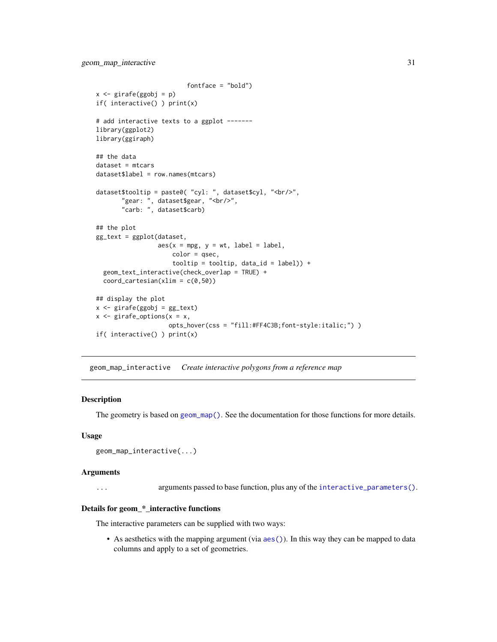```
fontface = "bold")
x <- girafe(ggobj = p)
if( interactive() ) print(x)
# add interactive texts to a ggplot -------
library(ggplot2)
library(ggiraph)
## the data
dataset = mtearsdataset$label = row.names(mtcars)
dataset$tooltip = paste0( "cyl: ", dataset$cyl, "<br/>",
       "gear: ", dataset$gear, "<br/>>",
       "carb: ", dataset$carb)
## the plot
gg_text = ggplot(dataset,
                 aes(x = mpg, y = wt, label = label,color = qsec,
                     tooltip = tooltip, data_id = label)) +
  geom_text_interactive(check_overlap = TRUE) +
  coord\_cartesian(xlim = c(0,50))## display the plot
x \leftarrow girafe(ggobj = gg_text)
x \leq - girafe_options(x = x,
                    opts_hover(css = "fill:#FF4C3B;font-style:italic;") )
if( interactive() ) print(x)
```
geom\_map\_interactive *Create interactive polygons from a reference map*

#### Description

The geometry is based on [geom\\_map\(\)](#page-0-0). See the documentation for those functions for more details.

#### Usage

```
geom_map_interactive(...)
```
#### Arguments

... arguments passed to base function, plus any of the [interactive\\_parameters\(\)](#page-68-1).

#### Details for geom\_\*\_interactive functions

The interactive parameters can be supplied with two ways:

• As aesthetics with the mapping argument (via  $aes()$ ). In this way they can be mapped to data columns and apply to a set of geometries.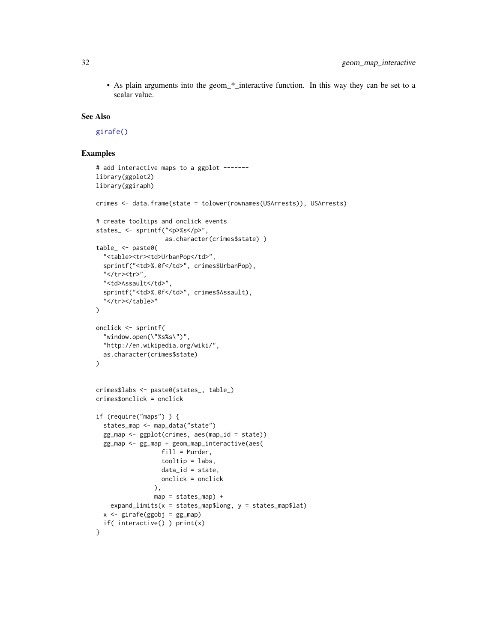• As plain arguments into the geom\_\*\_interactive function. In this way they can be set to a scalar value.

#### See Also

[girafe\(\)](#page-51-1)

```
# add interactive maps to a ggplot -------
library(ggplot2)
library(ggiraph)
crimes <- data.frame(state = tolower(rownames(USArrests)), USArrests)
# create tooltips and onclick events
states_ <- sprintf("<p>%s</p>",
                   as.character(crimes$state) )
table_ <- paste0(
  "<table><tr>><td>UrbanPop</td>",
  sprintf("<td>%.0f</td>", crimes$UrbanPop),
  .<br>"</tr><tr>",
  "<td>Assault</td>",
  sprintf("<td>%.0f</td>", crimes$Assault),
  "</tr></table>"
\lambdaonclick <- sprintf(
  "window.open(\"%s%s\")",
  "http://en.wikipedia.org/wiki/",
  as.character(crimes$state)
\lambdacrimes$labs <- paste0(states_, table_)
crimes$onclick = onclick
if (require("maps") ) {
  states_map <- map_data("state")
  gg_map <- ggplot(crimes, aes(map_id = state))
  gg_map <- gg_map + geom_map_interactive(aes(
                  fill = Murder,
                  tooltip = labs,
                  data_id = state,onclick = onclick
                ),
                map = states_map) +expand_limits(x =states_map$long, y =states_map$lat)
  x \leftarrow girafe(ggobj = gg_map)
  if( interactive() ) print(x)
}
```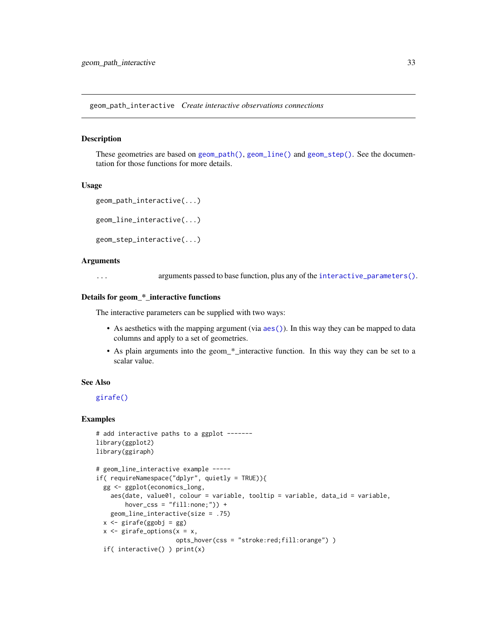<span id="page-32-0"></span>geom\_path\_interactive *Create interactive observations connections*

#### **Description**

These geometries are based on [geom\\_path\(\)](#page-0-0), [geom\\_line\(\)](#page-0-0) and [geom\\_step\(\)](#page-0-0). See the documentation for those functions for more details.

#### Usage

```
geom_path_interactive(...)
```
geom\_line\_interactive(...)

```
geom_step_interactive(...)
```
#### Arguments

... arguments passed to base function, plus any of the [interactive\\_parameters\(\)](#page-68-1).

#### Details for geom\_\*\_interactive functions

The interactive parameters can be supplied with two ways:

- As aesthetics with the mapping argument (via [aes\(\)](#page-0-0)). In this way they can be mapped to data columns and apply to a set of geometries.
- As plain arguments into the geom\_\*\_interactive function. In this way they can be set to a scalar value.

#### See Also

# [girafe\(\)](#page-51-1)

```
# add interactive paths to a ggplot -------
library(ggplot2)
library(ggiraph)
# geom_line_interactive example -----
if( requireNamespace("dplyr", quietly = TRUE)){
  gg <- ggplot(economics_long,
   aes(date, value01, colour = variable, tooltip = variable, data_id = variable,
        hover\_CSS = "fill:none;") +
   geom_line_interactive(size = .75)
  x <- girafe(ggobj = gg)
  x \leq - girafe_options(x = x,
                      opts_hover(css = "stroke:red;fill:orange") )
  if( interactive() ) print(x)
```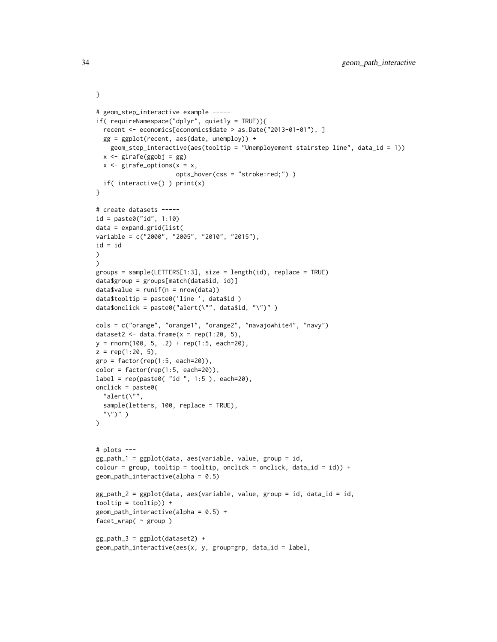```
# geom_step_interactive example -----
if( requireNamespace("dplyr", quietly = TRUE)){
  recent <- economics[economics$date > as.Date("2013-01-01"), ]
 gg = ggplot(recent, aes(date, unemploy)) +
    geom_step_interactive(aes(tooltip = "Unemployement stairstep line", data_id = 1))
  x \leftarrow girafe(ggobj = gg)
  x \leftarrow girafe_options(x = x,
                       opts_hover(css = "stroke:red;") )
  if( interactive() ) print(x)
}
# create datasets -----
id = paste0("id", 1:10)
data = expand.grid(list(
variable = c("2000", "2005", "2010", "2015"),
id = id\lambda\lambdagroups = sample(LETTERS[1:3], size = length(id), replace = TRUE)
data$group = groups[match(data$id, id)]
datavalue = runif(n = nrow(data))
data$tooltip = paste0('line ', data$id )
data$onclick = paste0("alert(\"", data$id, "\")" )
cols = c("orange", "orange1", "orange2", "navajowhite4", "navy")
dataset2 <- data.frame(x = rep(1:20, 5),y = rnorm(100, 5, .2) + rep(1:5, each=20),z = rep(1:20, 5),grp = factor(rep(1:5, each=20)),color = factor(rep(1:5, each=20)),label = rep(paste0( "id ", 1:5 ), each=20),onclick = past@("alert(\n\vee")",
  sample(letters, 100, replace = TRUE),
  "\langle")" )
\mathcal{L}# plots ---
gg_path_1 = ggplot(data, aes(variable, value, group = id,
colour = group, tooltip = tooltip, onclick = onclick, data_id = id)) +
geom\_path\_interactive(alpha = 0.5)gg_path_2 = ggplot(data, aes(variable, value, group = id, data_id = id,
tooltip = tooltip)) +
geom\_path\_interactive(alpha = 0.5) +
facet_wrap( ~ group )
gg_path_3 = ggplot(dataset2) +
geom\_path\_interactive(aes(x, y, group=grp, data_id = label,
```
}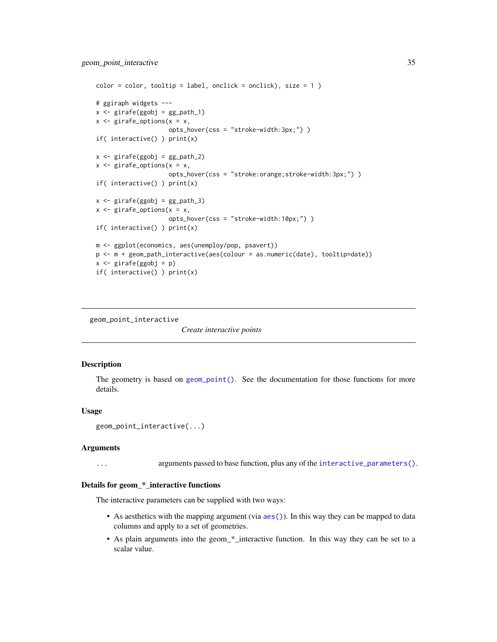```
color = color, to the output <math>label</math>, on the context <math>circle()</math>, <math>size = 1</math>)# ggiraph widgets ---
x \leftarrow girafe(ggobj = gg_path_1)
x \leq - girafe_options(x = x,
                      opts_hover(css = "stroke-width:3px;") )
if( interactive() ) print(x)
x \leftarrow girafe(ggobj = gg_path_2)
x \leq - girafe_options(x = x,
                       opts_hover(css = "stroke:orange;stroke-width:3px;") )
if( interactive() ) print(x)
x \leftarrow girafe(ggobj = gg_path_3)
x \leq - girafe_options(x = x,
                      opts_hover(css = "stroke-width:10px;") )
if( interactive() ) print(x)
m <- ggplot(economics, aes(unemploy/pop, psavert))
p <- m + geom_path_interactive(aes(colour = as.numeric(date), tooltip=date))
x <- girafe(ggobj = p)
if( interactive() ) print(x)
```
geom\_point\_interactive

*Create interactive points*

#### Description

The geometry is based on [geom\\_point\(\)](#page-0-0). See the documentation for those functions for more details.

#### Usage

```
geom_point_interactive(...)
```
#### Arguments

... arguments passed to base function, plus any of the [interactive\\_parameters\(\)](#page-68-1).

#### Details for geom\_\*\_interactive functions

The interactive parameters can be supplied with two ways:

- As aesthetics with the mapping argument (via [aes\(\)](#page-0-0)). In this way they can be mapped to data columns and apply to a set of geometries.
- As plain arguments into the geom\_\*\_interactive function. In this way they can be set to a scalar value.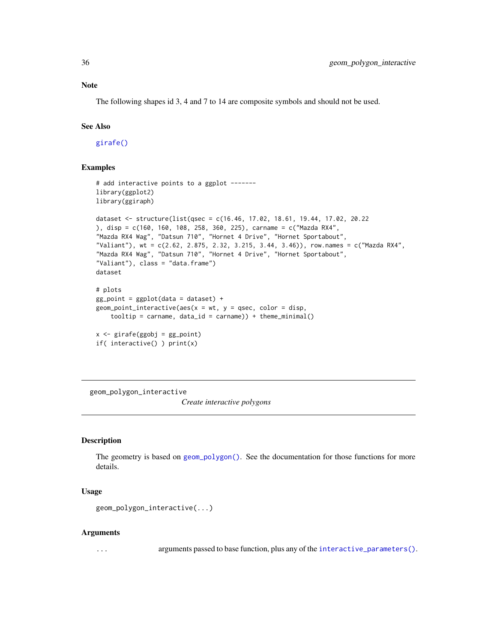# <span id="page-35-0"></span>Note

The following shapes id 3, 4 and 7 to 14 are composite symbols and should not be used.

### See Also

[girafe\(\)](#page-51-1)

# Examples

```
# add interactive points to a ggplot -------
library(ggplot2)
library(ggiraph)
dataset <- structure(list(qsec = c(16.46, 17.02, 18.61, 19.44, 17.02, 20.22
), disp = c(160, 160, 108, 258, 360, 225), carname = c("Mazda RX4",
"Mazda RX4 Wag", "Datsun 710", "Hornet 4 Drive", "Hornet Sportabout",
"Valiant"), wt = c(2.62, 2.875, 2.32, 3.215, 3.44, 3.46)), row.names = c("Mazda RX4",
"Mazda RX4 Wag", "Datsun 710", "Hornet 4 Drive", "Hornet Sportabout",
"Valiant"), class = "data.frame")
dataset
# plots
gg_point = ggplot(data = dataset) +
geom\_point\_interactive(aes(x = wt, y = qsec, color = disp,tooltip = carname, data_id = carname)) + theme_minimal()
x <- girafe(ggobj = gg_point)
if( interactive() ) print(x)
```
geom\_polygon\_interactive

*Create interactive polygons*

### **Description**

The geometry is based on [geom\\_polygon\(\)](#page-0-0). See the documentation for those functions for more details.

#### Usage

```
geom_polygon_interactive(...)
```
#### Arguments

... arguments passed to base function, plus any of the [interactive\\_parameters\(\)](#page-68-1).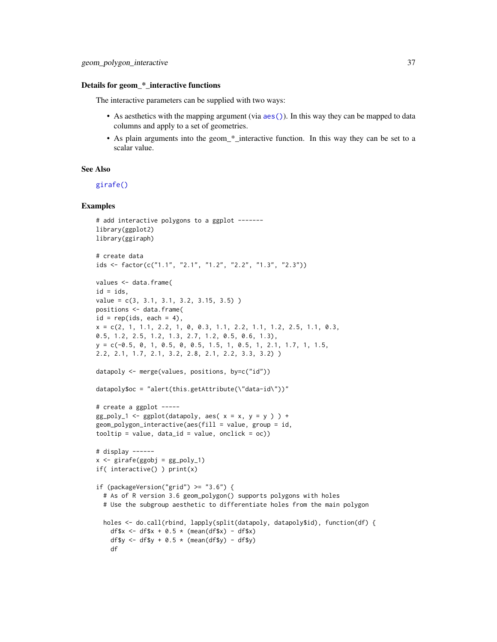#### Details for geom\_\*\_interactive functions

The interactive parameters can be supplied with two ways:

- As aesthetics with the mapping argument (via [aes\(\)](#page-0-0)). In this way they can be mapped to data columns and apply to a set of geometries.
- As plain arguments into the geom\_\*\_interactive function. In this way they can be set to a scalar value.

# See Also

[girafe\(\)](#page-51-0)

```
# add interactive polygons to a ggplot ------
library(ggplot2)
library(ggiraph)
# create data
ids <- factor(c("1.1", "2.1", "1.2", "2.2", "1.3", "2.3"))
values <- data.frame(
id = ids,
value = c(3, 3.1, 3.1, 3.2, 3.15, 3.5) )
positions <- data.frame(
id = rep(ids, each = 4),x = c(2, 1, 1.1, 2.2, 1, 0, 0.3, 1.1, 2.2, 1.1, 1.2, 2.5, 1.1, 0.3,0.5, 1.2, 2.5, 1.2, 1.3, 2.7, 1.2, 0.5, 0.6, 1.3),
y = c(-0.5, 0, 1, 0.5, 0, 0.5, 1.5, 1, 0.5, 1, 2.1, 1.7, 1, 1.5,2.2, 2.1, 1.7, 2.1, 3.2, 2.8, 2.1, 2.2, 3.3, 3.2) )
datapoly <- merge(values, positions, by=c("id"))
datapoly$oc = "alert(this.getAttribute(\lceil"data-id\rceil")"# create a ggplot ---gg\_poly_1 \leftarrow ggplot(datapoly, aes(x = x, y = y)) +geom_polygon_interactive(aes(fill = value, group = id,
tooltip = value, data_id = value, onclick = oc))
# display ------
x \leftarrow girafe(ggobj = gg_poly_1)
if( interactive() ) print(x)
if (packageVersion("grid") > = "3.6") {
  # As of R version 3.6 geom_polygon() supports polygons with holes
  # Use the subgroup aesthetic to differentiate holes from the main polygon
  holes <- do.call(rbind, lapply(split(datapoly, datapoly$id), function(df) {
    df$x <- df$x + 0.5 * (mean(df$x) - df$x)df$y <- df$y + 0.5 \times (mean(df$y) - df$y)
    df
```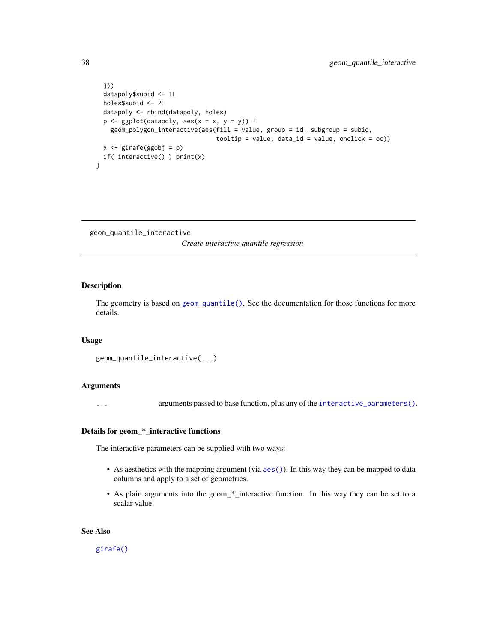```
}))
 datapoly$subid <- 1L
 holes$subid <- 2L
 datapoly <- rbind(datapoly, holes)
 p \leftarrow \text{ggplot}(datapoly, aes(x = x, y = y)) +geom_polygon_interactive(aes(fill = value, group = id, subgroup = subid,
                                  tooltip = value, data_id = value, onclick = oc))
 x <- girafe(ggobj = p)
 if( interactive() ) print(x)
}
```
geom\_quantile\_interactive

*Create interactive quantile regression*

# Description

The geometry is based on [geom\\_quantile\(\)](#page-0-0). See the documentation for those functions for more details.

#### Usage

```
geom_quantile_interactive(...)
```
## Arguments

... arguments passed to base function, plus any of the [interactive\\_parameters\(\)](#page-68-0).

# Details for geom\_\*\_interactive functions

The interactive parameters can be supplied with two ways:

- As aesthetics with the mapping argument (via [aes\(\)](#page-0-0)). In this way they can be mapped to data columns and apply to a set of geometries.
- As plain arguments into the geom\_\*\_interactive function. In this way they can be set to a scalar value.

# See Also

[girafe\(\)](#page-51-0)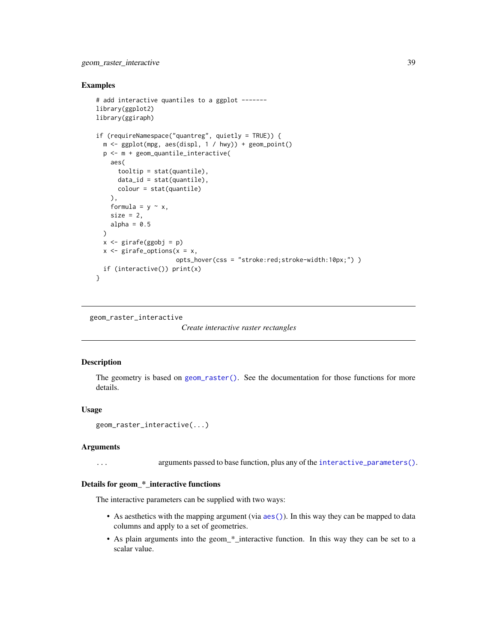## Examples

```
# add interactive quantiles to a ggplot -------
library(ggplot2)
library(ggiraph)
if (requireNamespace("quantreg", quietly = TRUE)) {
  m \leq - ggplot(mpg, aes(displ, 1 / hwy)) + geom_point()
  p <- m + geom_quantile_interactive(
    aes(
      tooltip = stat(quantile),
      data_id = stat(quantile),
      colour = stat(quantile)
    ),
    formula = y \sim x,
    size = 2,
    alpha = 0.5\lambdax <- girafe(ggobj = p)
  x \leftarrow girafe_options(x = x,
                       opts_hover(css = "stroke:red;stroke-width:10px;") )
  if (interactive()) print(x)
}
```
geom\_raster\_interactive

*Create interactive raster rectangles*

# Description

The geometry is based on [geom\\_raster\(\)](#page-0-0). See the documentation for those functions for more details.

# Usage

```
geom_raster_interactive(...)
```
## Arguments

... arguments passed to base function, plus any of the [interactive\\_parameters\(\)](#page-68-0).

## Details for geom\_\*\_interactive functions

The interactive parameters can be supplied with two ways:

- As aesthetics with the mapping argument (via [aes\(\)](#page-0-0)). In this way they can be mapped to data columns and apply to a set of geometries.
- As plain arguments into the geom\_\*\_interactive function. In this way they can be set to a scalar value.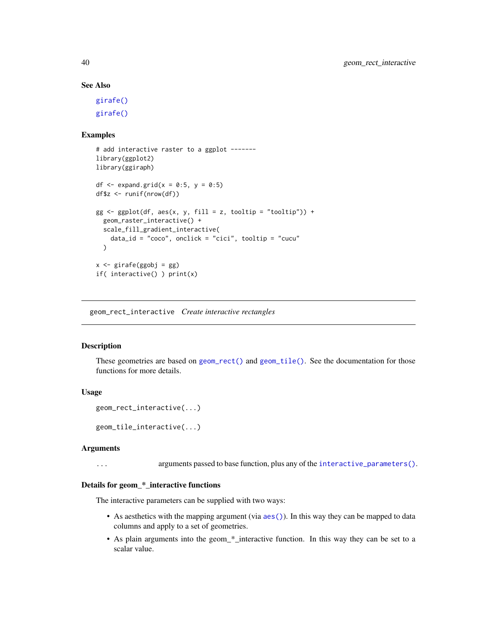# See Also

[girafe\(\)](#page-51-0) [girafe\(\)](#page-51-0)

## Examples

```
# add interactive raster to a ggplot -------
library(ggplot2)
library(ggiraph)
df \leq expand.grid(x = 0:5, y = 0:5)
df$z <- runif(nrow(df))
gg \leq-ggplot(df, aes(x, y, fill = z, tooltip = "tooltip")) +geom_raster_interactive() +
  scale_fill_gradient_interactive(
    data_id = "coco", onclick = "cici", tooltip = "cucu"
  \lambdax <- girafe(ggobj = gg)
if( interactive() ) print(x)
```
geom\_rect\_interactive *Create interactive rectangles*

## Description

These geometries are based on [geom\\_rect\(\)](#page-0-0) and [geom\\_tile\(\)](#page-0-0). See the documentation for those functions for more details.

# Usage

```
geom_rect_interactive(...)
```
geom\_tile\_interactive(...)

#### Arguments

... arguments passed to base function, plus any of the [interactive\\_parameters\(\)](#page-68-0).

## Details for geom\_\*\_interactive functions

The interactive parameters can be supplied with two ways:

- As aesthetics with the mapping argument (via [aes\(\)](#page-0-0)). In this way they can be mapped to data columns and apply to a set of geometries.
- As plain arguments into the geom\_\*\_interactive function. In this way they can be set to a scalar value.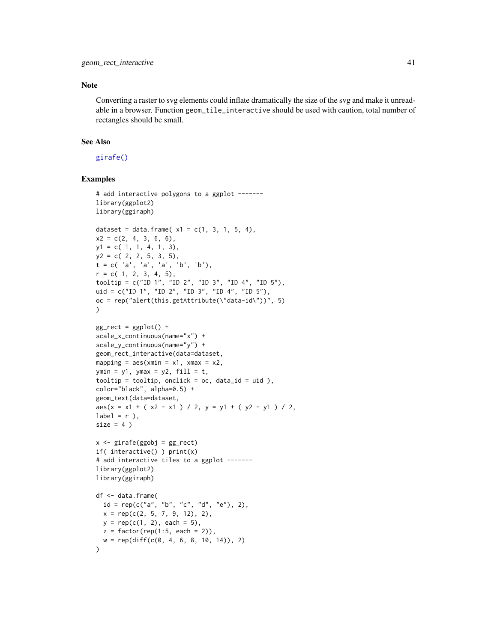# Note

Converting a raster to svg elements could inflate dramatically the size of the svg and make it unreadable in a browser. Function geom\_tile\_interactive should be used with caution, total number of rectangles should be small.

# See Also

[girafe\(\)](#page-51-0)

```
# add interactive polygons to a ggplot -------
library(ggplot2)
library(ggiraph)
dataset = data.frame(x1 = c(1, 3, 1, 5, 4),
x2 = c(2, 4, 3, 6, 6),
y1 = c(1, 1, 4, 1, 3),
y2 = c(2, 2, 5, 3, 5),
t = c('a', 'a', 'a', 'b', 'b'),r = c(1, 2, 3, 4, 5),
tooltip = c("ID 1", "ID 2", "ID 3", "ID 4", "ID 5"),
uid = c("ID 1", "ID 2", "ID 3", "ID 4", "ID 5"),
oc = rep("alert(this.getAttribute(\"data-id\"))", 5)
\lambdagg_rect = ggplot() +scale_x_continuous(name="x") +
scale_y_continuous(name="y") +
geom_rect_interactive(data=dataset,
mapping = aes(xmin = x1, xmax = x2,ymin = y1, ymax = y2, fill = t,
to{}oltip = tooltip, onclick = oc, data_id = uid ),
color="black", alpha=0.5) +
geom_text(data=dataset,
aes(x = x1 + (x2 - x1) / 2, y = y1 + (y2 - y1) / 2,label = r),
size = 4)
x \leq -\text{girafe(ggobj = gg\_rect})if( interactive() ) print(x)
# add interactive tiles to a ggplot -------
library(ggplot2)
library(ggiraph)
df <- data.frame(
  id = rep(c("a", "b", "c", "d", "e"), 2),x = rep(c(2, 5, 7, 9, 12), 2),y = rep(c(1, 2), each = 5),z = factor(rep(1:5, each = 2)),w = rep(diff(c(0, 4, 6, 8, 10, 14)), 2))
```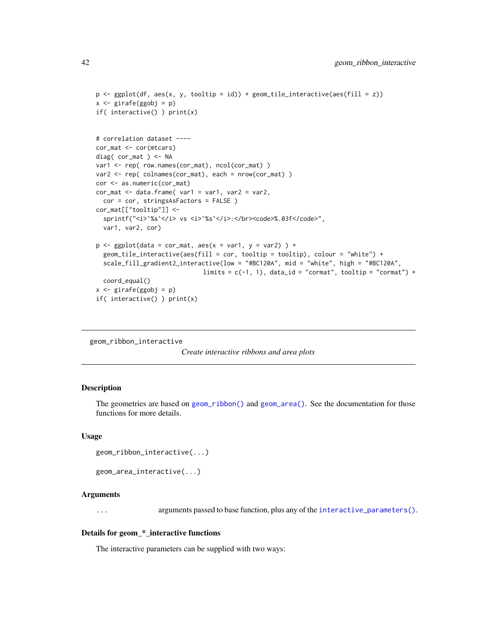```
p <- ggplot(df, aes(x, y, tooltip = id)) + geom_tile_interactive(aes(fill = z))
x <- girafe(ggobj = p)
if( interactive() ) print(x)
# correlation dataset ----
cor_mat <- cor(mtcars)
diag( cor_mat ) <- NA
var1 <- rep( row.names(cor_mat), ncol(cor_mat) )
var2 <- rep( colnames(cor_mat), each = nrow(cor_mat) )
cor <- as.numeric(cor_mat)
cor_mat < - data.frame( var1 = var1, var2 = var2,
  cor = cor, stringsAsFactors = FALSE )
cor_mat[["tooltip"]] <-
  sprintf("<i>'%s'</i> vs <i>'%s'</i>:</br><code>%.03f</code>",
  var1, var2, cor)
p \leftarrow ggplot(data = cor_matrix, aes(x = var1, y = var2) ) +geom_tile_interactive(aes(fill = cor, tooltip = tooltip), colour = "white") +
  scale_fill_gradient2_interactive(low = "#BC120A", mid = "white", high = "#BC120A",
                              limits = c(-1, 1), data_id = "commut", tooltip = "commut") +coord_equal()
x <- girafe(ggobj = p)
if( interactive() ) print(x)
```

```
geom_ribbon_interactive
```
*Create interactive ribbons and area plots*

## Description

The geometries are based on [geom\\_ribbon\(\)](#page-0-0) and [geom\\_area\(\)](#page-0-0). See the documentation for those functions for more details.

## Usage

```
geom_ribbon_interactive(...)
```

```
geom_area_interactive(...)
```
## Arguments

... arguments passed to base function, plus any of the [interactive\\_parameters\(\)](#page-68-0).

# Details for geom\_\*\_interactive functions

The interactive parameters can be supplied with two ways: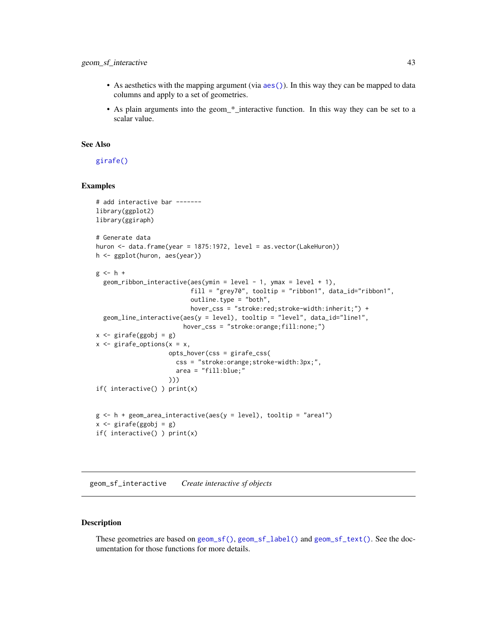# geom\_sf\_interactive 43

- As aesthetics with the mapping argument (via  $a \in S($ )). In this way they can be mapped to data columns and apply to a set of geometries.
- As plain arguments into the geom\_\*\_interactive function. In this way they can be set to a scalar value.

# See Also

# [girafe\(\)](#page-51-0)

# Examples

```
# add interactive bar -------
library(ggplot2)
library(ggiraph)
# Generate data
huron <- data.frame(year = 1875:1972, level = as.vector(LakeHuron))
h <- ggplot(huron, aes(year))
g \leftarrow h +geom\_ribbon\_interactive(aes(ymin = level - 1, ymax = level + 1),fill = "grey70", tooltip = "ribbon1", data_id="ribbon1",
                           outline.type = "both",
                           hover_css = "stroke:red;stroke-width:inherit;") +
  geom_line_interactive(aes(y = level), tooltip = "level", data_id="line1",
                         hover_css = "stroke:orange;fill:none;")
x \leftarrow girafe(ggobj = g)
x \leq - girafe_options(x = x,
                    opts_hover(css = girafe_css(
                      css = "stroke:orange;stroke-width:3px;",
                       area = "fill:blue;"
                     )))
if( interactive() ) print(x)
g \leftarrow h + geom\_area\_interactive(aes(y = level), tooltip = "area1")x <- girafe(ggobj = g)
if( interactive() ) print(x)
```
geom\_sf\_interactive *Create interactive sf objects*

# Description

These geometries are based on [geom\\_sf\(\)](#page-0-0), [geom\\_sf\\_label\(\)](#page-0-0) and [geom\\_sf\\_text\(\)](#page-0-0). See the documentation for those functions for more details.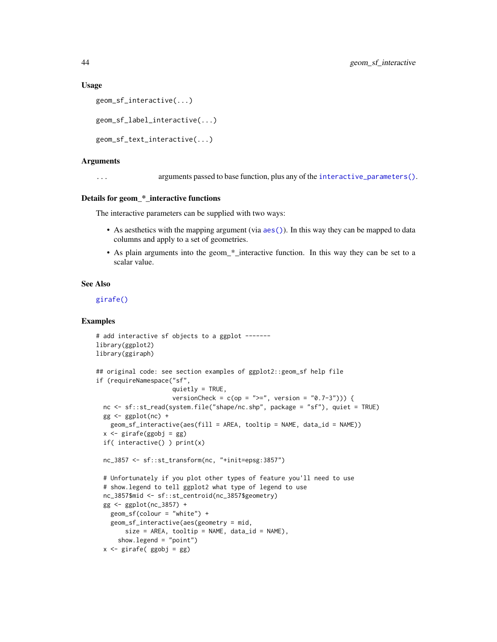## Usage

```
geom_sf_interactive(...)
```

```
geom_sf_label_interactive(...)
```

```
geom_sf_text_interactive(...)
```
## Arguments

... arguments passed to base function, plus any of the [interactive\\_parameters\(\)](#page-68-0).

## Details for geom\_\*\_interactive functions

The interactive parameters can be supplied with two ways:

- As aesthetics with the mapping argument (via  $aes()$ ). In this way they can be mapped to data columns and apply to a set of geometries.
- As plain arguments into the geom\_\*\_interactive function. In this way they can be set to a scalar value.

## See Also

[girafe\(\)](#page-51-0)

```
# add interactive sf objects to a ggplot -------
library(ggplot2)
library(ggiraph)
## original code: see section examples of ggplot2::geom_sf help file
if (requireNamespace("sf",
                     quietly = TRUE,
                     versionCheck = c(op = ">=", version = "0.7-3"))) {
  nc <- sf::st_read(system.file("shape/nc.shp", package = "sf"), quiet = TRUE)
  gg < - ggplot(nc) +
   geom_sf_interactive(aes(fill = AREA, tooltip = NAME, data_id = NAME))
  x <- girafe(ggobj = gg)
  if( interactive() ) print(x)
  nc_3857 <- sf::st_transform(nc, "+init=epsg:3857")
  # Unfortunately if you plot other types of feature you'll need to use
  # show.legend to tell ggplot2 what type of legend to use
  nc_3857$mid <- sf::st_centroid(nc_3857$geometry)
  gg <- ggplot(nc_3857) +
    geom_sf(colour = "white") +
    geom_sf_interactive(aes(geometry = mid,
        size = AREA, tooltip = NAME, data_id = NAME),
      show.legend = "point")
  x \leftarrow girafe( ggobj = gg)
```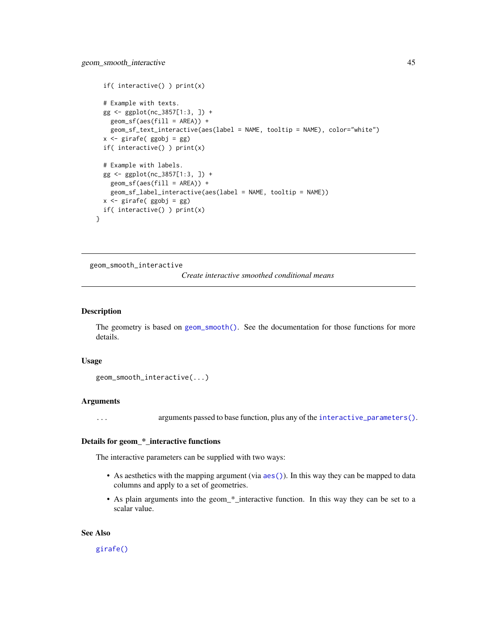```
if( interactive() ) print(x)
 # Example with texts.
 gg <- ggplot(nc_3857[1:3, ]) +
   geom_sf(aes(fill = AREA)) +geom_sf_text_interactive(aes(label = NAME, tooltip = NAME), color="white")
 x <- girafe( ggobj = gg)
 if( interactive() ) print(x)
 # Example with labels.
 gg <- ggplot(nc_3857[1:3, ]) +
   geom_sf(aes(fill = AREA)) +
   geom_sf_label_interactive(aes(label = NAME, tooltip = NAME))
 x \leftarrow girafe( ggobj = gg)
 if( interactive() ) print(x)
}
```
geom\_smooth\_interactive

*Create interactive smoothed conditional means*

## Description

The geometry is based on [geom\\_smooth\(\)](#page-0-0). See the documentation for those functions for more details.

#### Usage

```
geom_smooth_interactive(...)
```
## Arguments

... arguments passed to base function, plus any of the [interactive\\_parameters\(\)](#page-68-0).

# Details for geom\_\*\_interactive functions

The interactive parameters can be supplied with two ways:

- As aesthetics with the mapping argument (via  $a \in S($ )). In this way they can be mapped to data columns and apply to a set of geometries.
- As plain arguments into the geom\_\*\_interactive function. In this way they can be set to a scalar value.

### See Also

[girafe\(\)](#page-51-0)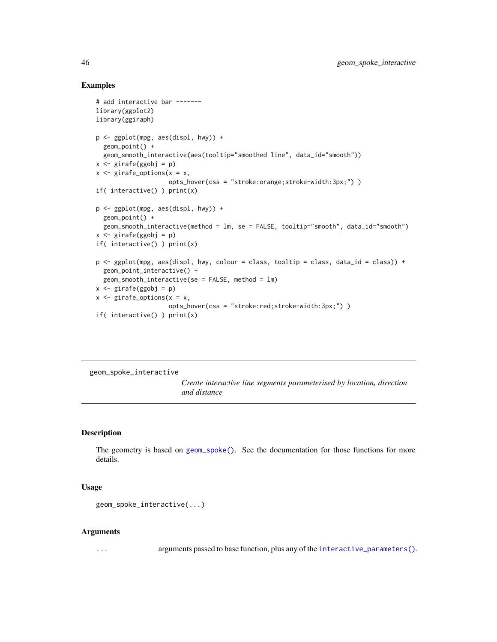# Examples

```
# add interactive bar -------
library(ggplot2)
library(ggiraph)
p <- ggplot(mpg, aes(displ, hwy)) +
  geom_point() +
  geom_smooth_interactive(aes(tooltip="smoothed line", data_id="smooth"))
x <- girafe(ggobj = p)
x \leq - girafe_options(x = x,
                    opts_hover(css = "stroke:orange;stroke-width:3px;") )
if( interactive() ) print(x)
p <- ggplot(mpg, aes(displ, hwy)) +
  geom_point() +
  geom_smooth_interactive(method = lm, se = FALSE, tooltip="smooth", data_id="smooth")
x <- girafe(ggobj = p)
if( interactive() ) print(x)
p <- ggplot(mpg, aes(displ, hwy, colour = class, tooltip = class, data_id = class)) +
  geom_point_interactive() +
  geom_smooth_interactive(se = FALSE, method = lm)
x <- girafe(ggobj = p)
x \leftarrow girafe_options(x = x,
                    opts_hover(css = "stroke:red;stroke-width:3px;") )
if( interactive() ) print(x)
```
geom\_spoke\_interactive

*Create interactive line segments parameterised by location, direction and distance*

# Description

The geometry is based on [geom\\_spoke\(\)](#page-0-0). See the documentation for those functions for more details.

## Usage

```
geom_spoke_interactive(...)
```
#### Arguments

... arguments passed to base function, plus any of the [interactive\\_parameters\(\)](#page-68-0).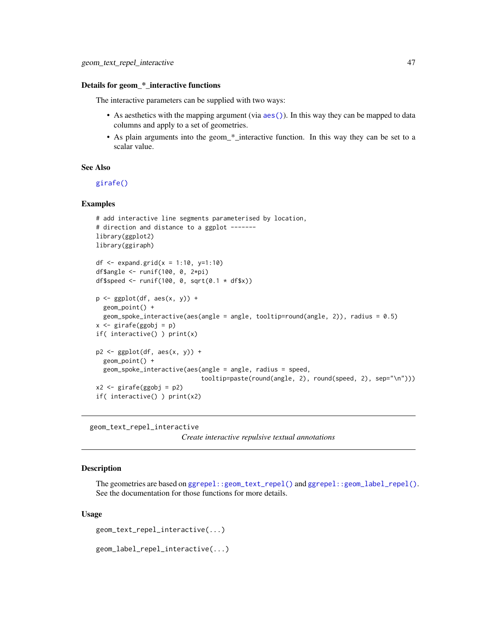#### Details for geom\_\*\_interactive functions

The interactive parameters can be supplied with two ways:

- As aesthetics with the mapping argument (via [aes\(\)](#page-0-0)). In this way they can be mapped to data columns and apply to a set of geometries.
- As plain arguments into the geom\_\*\_interactive function. In this way they can be set to a scalar value.

## See Also

[girafe\(\)](#page-51-0)

## Examples

```
# add interactive line segments parameterised by location,
# direction and distance to a ggplot -------
library(ggplot2)
library(ggiraph)
df \le expand.grid(x = 1:10, y=1:10)
df$angle <- runif(100, 0, 2*pi)
df$speed <- runif(100, 0, sqrt(0.1 * df$x))
p <- ggplot(df, aes(x, y)) +
  geom_point() +
  geom_spoke_interactive(aes(angle = angle, tooltip=round(angle, 2)), radius = 0.5)
x \leftarrow girafe(ggobj = p)
if( interactive() ) print(x)
p2 \leq - ggplot(df, aes(x, y)) +
  geom_point() +
  geom_spoke_interactive(aes(angle = angle, radius = speed,
                              tooltip=paste(round(angle, 2), round(speed, 2), sep="\n")))
x2 \leftarrow girafe(ggobj = p2)
if( interactive() ) print(x2)
```
geom\_text\_repel\_interactive

*Create interactive repulsive textual annotations*

# Description

The geometries are based on [ggrepel::geom\\_text\\_repel\(\)](#page-0-0) and [ggrepel::geom\\_label\\_repel\(\)](#page-0-0). See the documentation for those functions for more details.

## Usage

```
geom_text_repel_interactive(...)
```

```
geom_label_repel_interactive(...)
```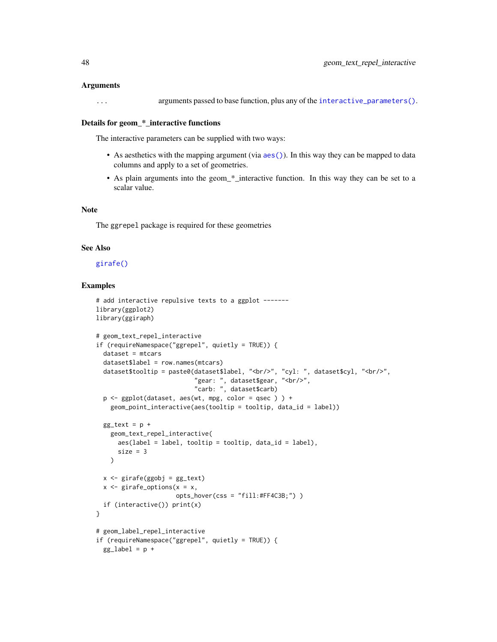## Arguments

... arguments passed to base function, plus any of the [interactive\\_parameters\(\)](#page-68-0).

#### Details for geom\_\*\_interactive functions

The interactive parameters can be supplied with two ways:

- As aesthetics with the mapping argument (via  $a \in S($ )). In this way they can be mapped to data columns and apply to a set of geometries.
- As plain arguments into the geom\_\*\_interactive function. In this way they can be set to a scalar value.

# Note

The ggrepel package is required for these geometries

# See Also

## [girafe\(\)](#page-51-0)

```
# add interactive repulsive texts to a ggplot -------
library(ggplot2)
library(ggiraph)
# geom_text_repel_interactive
if (requireNamespace("ggrepel", quietly = TRUE)) {
  dataset = mtcarsdataset$label = row.names(mtcars)
  dataset$tooltip = paste0(dataset$label, "<br/>br/>", "cyl: ", dataset$cyl, "<br/>br/>",
                            "gear: ", dataset$gear, "<br/>>",
                            "carb: ", dataset$carb)
  p <- ggplot(dataset, aes(wt, mpg, color = qsec ) ) +
    geom_point_interactive(aes(tooltip = tooltip, data_id = label))
  gg_text = p +geom_text_repel_interactive(
      aes(label = label, tooltip = tooltip, data_id = label),size = 3)
  x \leftarrow girafe(ggobj = gg_text)
  x \leq - girafe_options(x = x,
                      opts_hover(css = "fill:#FF4C3B;") )
  if (interactive()) print(x)
}
# geom_label_repel_interactive
if (requireNamespace("ggrepel", quietly = TRUE)) {
  gg\_label = p +
```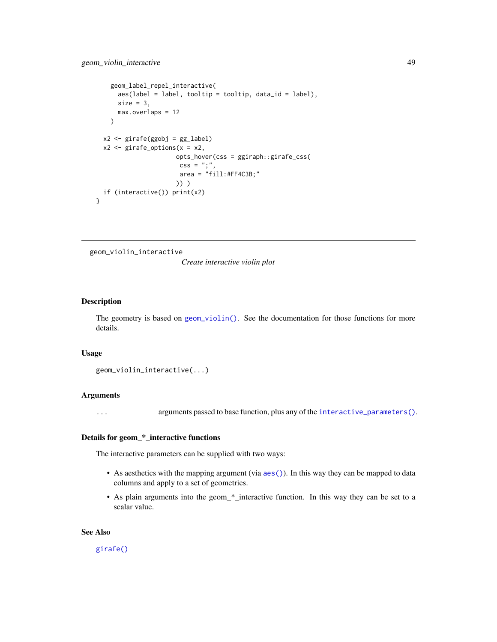```
geom_label_repel_interactive(
      aes(label = label, tooltip = tooltip, data_id = label),
     size = 3,
     max.overlaps = 12
   )
 x2 <- girafe(ggobj = gg_label)
 x2 \le girafe_options(x = x2,
                      opts_hover(css = ggiraph::girafe_css(
                       \text{css} = ";",
                       area = "fill:#FF4C3B;")) )
 if (interactive()) print(x2)
}
```

```
geom_violin_interactive
```
*Create interactive violin plot*

## Description

The geometry is based on [geom\\_violin\(\)](#page-0-0). See the documentation for those functions for more details.

## Usage

```
geom_violin_interactive(...)
```
## Arguments

... arguments passed to base function, plus any of the [interactive\\_parameters\(\)](#page-68-0).

# Details for geom\_\*\_interactive functions

The interactive parameters can be supplied with two ways:

- As aesthetics with the mapping argument (via [aes\(\)](#page-0-0)). In this way they can be mapped to data columns and apply to a set of geometries.
- As plain arguments into the geom\_\*\_interactive function. In this way they can be set to a scalar value.

#### See Also

[girafe\(\)](#page-51-0)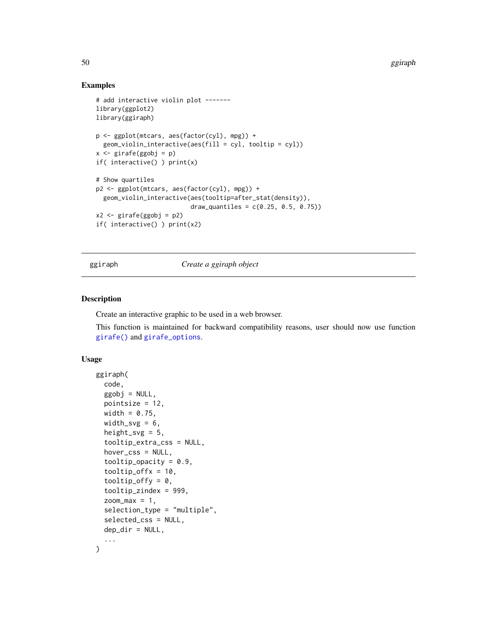# Examples

```
# add interactive violin plot -------
library(ggplot2)
library(ggiraph)
p <- ggplot(mtcars, aes(factor(cyl), mpg)) +
  geom_violin_interactive(aes(fill = cyl, tooltip = cyl))
x <- girafe(ggobj = p)
if( interactive() ) print(x)
# Show quartiles
p2 <- ggplot(mtcars, aes(factor(cyl), mpg)) +
  geom_violin_interactive(aes(tooltip=after_stat(density)),
                           draw_quantiles = c(0.25, 0.5, 0.75))
x2 \leftarrow \text{girafe(ggobj = p2)}if( interactive() ) print(x2)
```
ggiraph *Create a ggiraph object*

# Description

Create an interactive graphic to be used in a web browser.

This function is maintained for backward compatibility reasons, user should now use function [girafe\(\)](#page-51-0) and [girafe\\_options](#page-55-0).

## Usage

```
ggiraph(
  code,
  ggobj = NULL,pointsize = 12,
  width = 0.75,
  width_svg = 6,
  height_svg = 5,
  tooltip_extra_css = NULL,
  hover_css = NULL,
  tooltip_opacity = 0.9,
  toOltip_offx = 10,
  tooltip_offy = 0,
  tooltip_zindex = 999,
  zoom_max = 1,
  selection_type = "multiple",
  selected_css = NULL,
  dep\_dir = NULL,...
)
```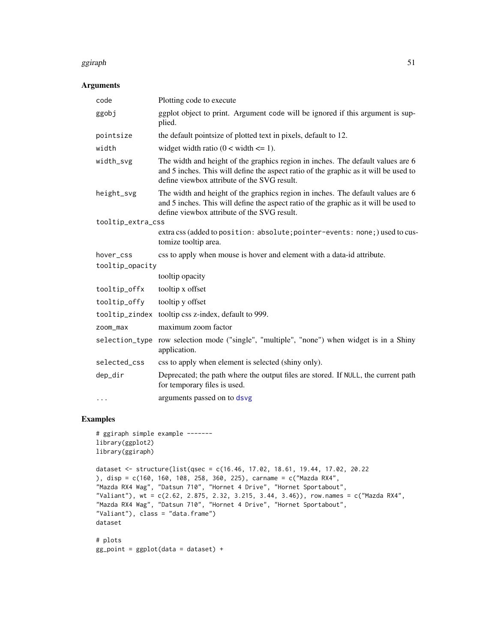## ggiraph 51

# Arguments

| code              | Plotting code to execute                                                                                                                                                                                               |
|-------------------|------------------------------------------------------------------------------------------------------------------------------------------------------------------------------------------------------------------------|
| ggobj             | ggplot object to print. Argument code will be ignored if this argument is sup-<br>plied.                                                                                                                               |
| pointsize         | the default pointsize of plotted text in pixels, default to 12.                                                                                                                                                        |
| width             | widget width ratio $(0 \lt \text{width} \lt = 1)$ .                                                                                                                                                                    |
| width_svg         | The width and height of the graphics region in inches. The default values are 6<br>and 5 inches. This will define the aspect ratio of the graphic as it will be used to<br>define viewbox attribute of the SVG result. |
| height_svg        | The width and height of the graphics region in inches. The default values are 6<br>and 5 inches. This will define the aspect ratio of the graphic as it will be used to<br>define viewbox attribute of the SVG result. |
| tooltip_extra_css |                                                                                                                                                                                                                        |
|                   | extra css (added to position: absolute; pointer-events: none;) used to cus-<br>tomize tooltip area.                                                                                                                    |
| hover_css         | css to apply when mouse is hover and element with a data-id attribute.                                                                                                                                                 |
| tooltip_opacity   |                                                                                                                                                                                                                        |
|                   | tooltip opacity                                                                                                                                                                                                        |
| tooltip_offx      | tooltip x offset                                                                                                                                                                                                       |
| tooltip_offy      | tooltip y offset                                                                                                                                                                                                       |
| tooltip_zindex    | tooltip css z-index, default to 999.                                                                                                                                                                                   |
| zoom_max          | maximum zoom factor                                                                                                                                                                                                    |
|                   | selection_type row selection mode ("single", "multiple", "none") when widget is in a Shiny<br>application.                                                                                                             |
| selected_css      | css to apply when element is selected (shiny only).                                                                                                                                                                    |
| dep_dir           | Deprecated; the path where the output files are stored. If NULL, the current path                                                                                                                                      |
|                   | for temporary files is used.                                                                                                                                                                                           |

```
# ggiraph simple example -------
library(ggplot2)
library(ggiraph)
dataset <- structure(list(qsec = c(16.46, 17.02, 18.61, 19.44, 17.02, 20.22
), disp = c(160, 160, 108, 258, 360, 225), carname = c("Mazda RX4",
"Mazda RX4 Wag", "Datsun 710", "Hornet 4 Drive", "Hornet Sportabout",
"Valiant"), wt = c(2.62, 2.875, 2.32, 3.215, 3.44, 3.46)), row.names = c("Mazda RX4",
"Mazda RX4 Wag", "Datsun 710", "Hornet 4 Drive", "Hornet Sportabout",
"Valiant"), class = "data.frame")
dataset
# plots
gg\_point = ggplot(data = dataset) +
```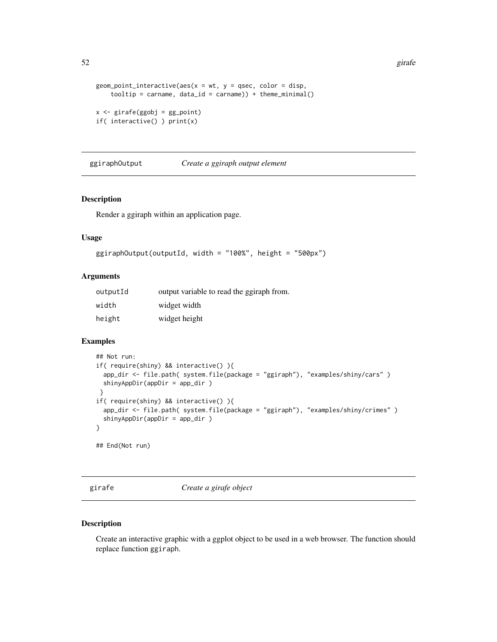```
geom_point_interactive(aes(x = wt, y = qsec, color = disp,
    todtip = carname, data_id = carname)) + theme,minail()x \leftarrow girafe(ggobj = gg_point)
if( interactive() ) print(x)
```
ggiraphOutput *Create a ggiraph output element*

## Description

Render a ggiraph within an application page.

# Usage

```
ggiraphOutput(outputId, width = "100%", height = "500px")
```
# Arguments

| outputId | output variable to read the ggiraph from. |
|----------|-------------------------------------------|
| width    | widget width                              |
| height   | widget height                             |

#### Examples

```
## Not run:
if( require(shiny) && interactive() ){
 app_dir <- file.path( system.file(package = "ggiraph"), "examples/shiny/cars" )
 shinyAppDir(appDir = app_dir )
}
if( require(shiny) && interactive() ){
 app_dir <- file.path( system.file(package = "ggiraph"), "examples/shiny/crimes" )
 shinyAppDir(appDir = app_dir )
}
## End(Not run)
```
<span id="page-51-0"></span>girafe *Create a girafe object*

# Description

Create an interactive graphic with a ggplot object to be used in a web browser. The function should replace function ggiraph.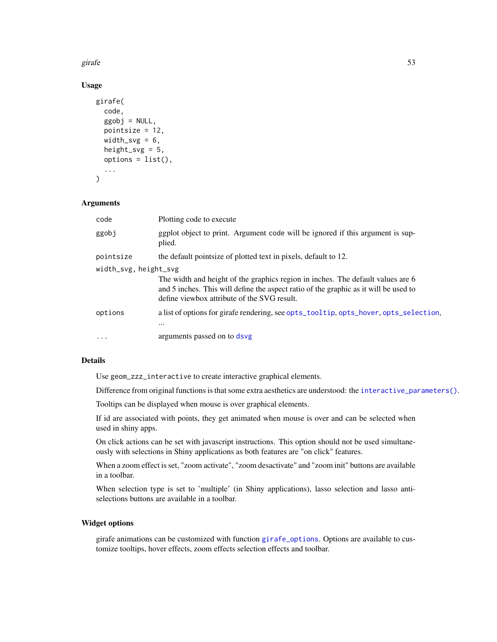girafe 53

# Usage

```
girafe(
  code,
  ggobj = NULL,pointsize = 12,
  width_svg = 6,
  height_svg = 5,
  options = list(),...
\mathcal{L}
```
# Arguments

| code                  | Plotting code to execute                                                                                                                                                                                               |
|-----------------------|------------------------------------------------------------------------------------------------------------------------------------------------------------------------------------------------------------------------|
| ggobj                 | ggplot object to print. Argument code will be ignored if this argument is sup-<br>plied.                                                                                                                               |
| pointsize             | the default point size of plotted text in pixels, default to 12.                                                                                                                                                       |
| width_svg, height_svg | The width and height of the graphics region in inches. The default values are 6<br>and 5 inches. This will define the aspect ratio of the graphic as it will be used to<br>define viewbox attribute of the SVG result. |
| options               | a list of options for girafe rendering, see opts_tooltip, opts_hover, opts_selection,<br>$\cdots$                                                                                                                      |
| $\cdot$               | arguments passed on to dsvg                                                                                                                                                                                            |

# Details

Use geom\_zzz\_interactive to create interactive graphical elements.

Difference from original functions is that some extra aesthetics are understood: the [interactive\\_parameters\(\)](#page-68-0).

Tooltips can be displayed when mouse is over graphical elements.

If id are associated with points, they get animated when mouse is over and can be selected when used in shiny apps.

On click actions can be set with javascript instructions. This option should not be used simultaneously with selections in Shiny applications as both features are "on click" features.

When a zoom effect is set, "zoom activate", "zoom desactivate" and "zoom init" buttons are available in a toolbar.

When selection type is set to 'multiple' (in Shiny applications), lasso selection and lasso antiselections buttons are available in a toolbar.

# Widget options

girafe animations can be customized with function [girafe\\_options](#page-55-0). Options are available to customize tooltips, hover effects, zoom effects selection effects and toolbar.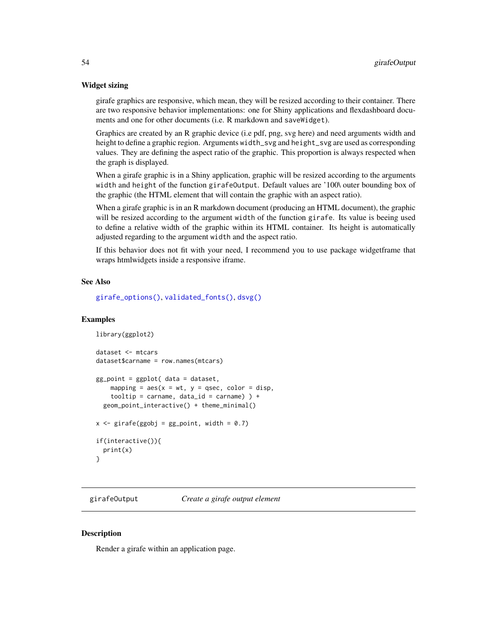## Widget sizing

girafe graphics are responsive, which mean, they will be resized according to their container. There are two responsive behavior implementations: one for Shiny applications and flexdashboard documents and one for other documents (i.e. R markdown and saveWidget).

Graphics are created by an R graphic device (i.e pdf, png, svg here) and need arguments width and height to define a graphic region. Arguments width\_svg and height\_svg are used as corresponding values. They are defining the aspect ratio of the graphic. This proportion is always respected when the graph is displayed.

When a girafe graphic is in a Shiny application, graphic will be resized according to the arguments width and height of the function girafeOutput. Default values are '100\ outer bounding box of the graphic (the HTML element that will contain the graphic with an aspect ratio).

When a girafe graphic is in an R markdown document (producing an HTML document), the graphic will be resized according to the argument width of the function girafe. Its value is beeing used to define a relative width of the graphic within its HTML container. Its height is automatically adjusted regarding to the argument width and the aspect ratio.

If this behavior does not fit with your need, I recommend you to use package widgetframe that wraps htmlwidgets inside a responsive iframe.

# See Also

[girafe\\_options\(\)](#page-55-0), [validated\\_fonts\(\)](#page-110-0), [dsvg\(\)](#page-5-0)

## Examples

```
library(ggplot2)
dataset <- mtcars
dataset$carname = row.names(mtcars)
gg_point = ggplot( data = dataset,
   mapping = aes(x = wt, y = gsec, color = disp,tooltip = carname, data_id = carname) ) +
 geom_point_interactive() + theme_minimal()
x \le - girafe(ggobj = gg_point, width = 0.7)
if(interactive()){
 print(x)
}
```
girafeOutput *Create a girafe output element*

## **Description**

Render a girafe within an application page.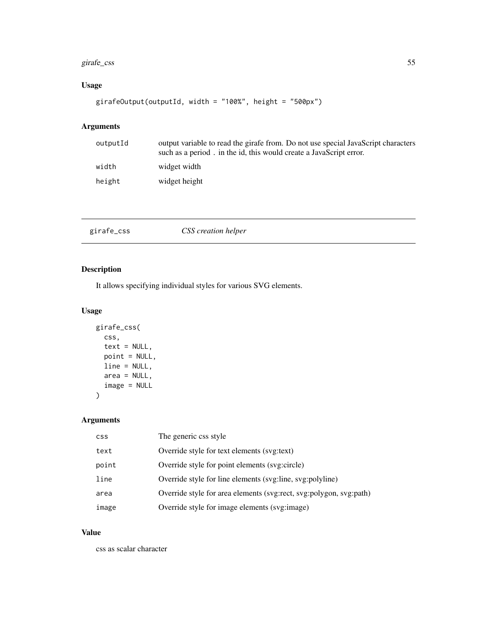# girafe\_css 55

# Usage

```
girafeOutput(outputId, width = "100%", height = "500px")
```
# Arguments

| outputId | output variable to read the girafe from. Do not use special JavaScript characters<br>such as a period. in the id, this would create a JavaScript error. |
|----------|---------------------------------------------------------------------------------------------------------------------------------------------------------|
| width    | widget width                                                                                                                                            |
| height   | widget height                                                                                                                                           |

<span id="page-54-0"></span>

| girafe_css<br>CSS creation helper |
|-----------------------------------|
|-----------------------------------|

# Description

It allows specifying individual styles for various SVG elements.

# Usage

```
girafe_css(
 css,
  text = NULL,point = NULL,
 line = NULL,
 area = NULL,
  image = NULL
)
```
# Arguments

| <b>CSS</b> | The generic css style                                              |
|------------|--------------------------------------------------------------------|
| text       | Override style for text elements (svg:text)                        |
| point      | Override style for point elements (svg:circle)                     |
| line       | Override style for line elements (svg:line, svg:polyline)          |
| area       | Override style for area elements (svg:rect, svg:polygon, svg:path) |
| image      | Override style for image elements (svg:image)                      |

# Value

css as scalar character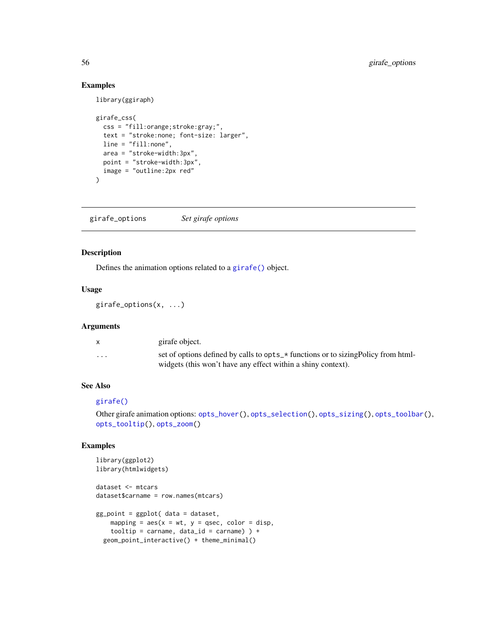# Examples

library(ggiraph)

```
girafe_css(
 css = "fill:orange;stroke:gray;",
  text = "stroke:none; font-size: larger",
 line = "fill:none",
  area = "stroke-width:3px",
  point = "stroke-width:3px",
  image = "outline:2px red"
)
```
<span id="page-55-0"></span>girafe\_options *Set girafe options*

## Description

Defines the animation options related to a [girafe\(\)](#page-51-0) object.

# Usage

girafe\_options(x, ...)

# Arguments

|                         | girafe object.                                                                     |
|-------------------------|------------------------------------------------------------------------------------|
| $\cdot$ $\cdot$ $\cdot$ | set of options defined by calls to opts_* functions or to sizing Policy from html- |
|                         | widgets (this won't have any effect within a shiny context).                       |

# See Also

# [girafe\(\)](#page-51-0)

```
Other girafe animation options: opts_hover(), opts_selection(), opts_sizing(), opts_toolbar(),
opts_tooltip(), opts_zoom()
```

```
library(ggplot2)
library(htmlwidgets)
dataset <- mtcars
dataset$carname = row.names(mtcars)
gg_point = ggplot( data = dataset,
   mapping = aes(x = wt, y = qsec, color = disp,tooltip = carname, data_id = carname) ) +
  geom_point_interactive() + theme_minimal()
```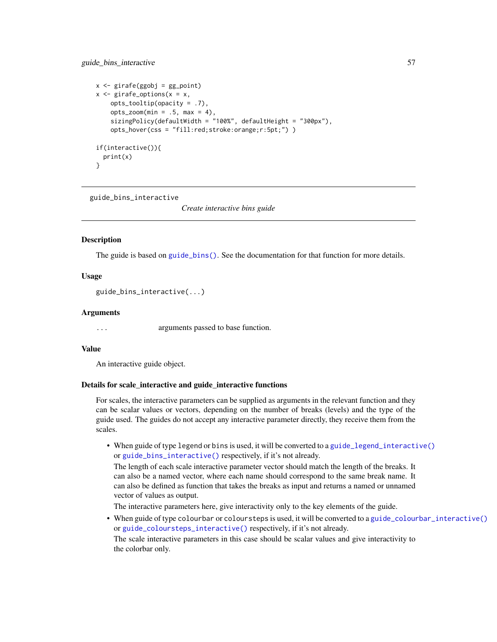```
x \leftarrow girafe(ggobj = gg_point)
x \leq - girafe_options(x = x,
    opts_tooltip(opacity = .7),
    opts_2zoom(min = .5, max = 4),
    sizingPolicy(defaultWidth = "100%", defaultHeight = "300px"),
    opts_hover(css = "fill:red;stroke:orange;r:5pt;") )
if(interactive()){
 print(x)
}
```
<span id="page-56-0"></span>guide\_bins\_interactive

*Create interactive bins guide*

# **Description**

The guide is based on [guide\\_bins\(\)](#page-0-0). See the documentation for that function for more details.

## Usage

guide\_bins\_interactive(...)

## Arguments

... arguments passed to base function.

#### Value

An interactive guide object.

## Details for scale\_interactive and guide\_interactive functions

For scales, the interactive parameters can be supplied as arguments in the relevant function and they can be scalar values or vectors, depending on the number of breaks (levels) and the type of the guide used. The guides do not accept any interactive parameter directly, they receive them from the scales.

• When guide of type legend or bins is used, it will be converted to a [guide\\_legend\\_interactive\(\)](#page-63-0) or [guide\\_bins\\_interactive\(\)](#page-56-0) respectively, if it's not already.

The length of each scale interactive parameter vector should match the length of the breaks. It can also be a named vector, where each name should correspond to the same break name. It can also be defined as function that takes the breaks as input and returns a named or unnamed vector of values as output.

The interactive parameters here, give interactivity only to the key elements of the guide.

• When guide of type colourbar or coloursteps is used, it will be converted to a [guide\\_colourbar\\_interactive\(\)](#page-58-0) or [guide\\_coloursteps\\_interactive\(\)](#page-61-0) respectively, if it's not already.

The scale interactive parameters in this case should be scalar values and give interactivity to the colorbar only.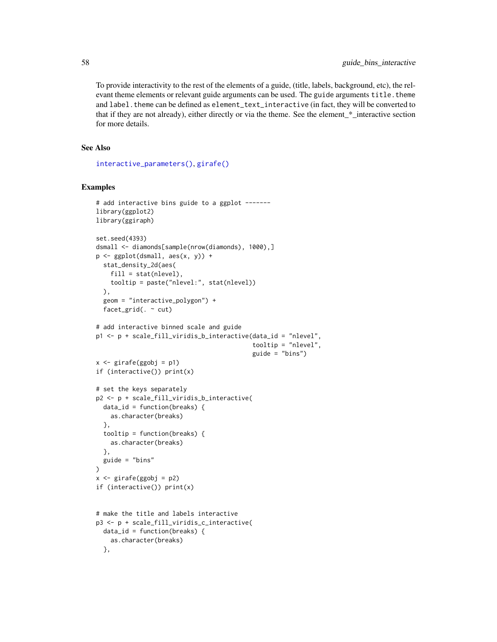To provide interactivity to the rest of the elements of a guide, (title, labels, background, etc), the relevant theme elements or relevant guide arguments can be used. The guide arguments title. theme and label. theme can be defined as element\_text\_interactive (in fact, they will be converted to that if they are not already), either directly or via the theme. See the element\_\*\_interactive section for more details.

# See Also

[interactive\\_parameters\(\)](#page-68-0), [girafe\(\)](#page-51-0)

```
# add interactive bins guide to a ggplot -------
library(ggplot2)
library(ggiraph)
set.seed(4393)
dsmall <- diamonds[sample(nrow(diamonds), 1000),]
p \leftarrow ggplot(dsmall, aes(x, y)) +
  stat_density_2d(aes(
    fill = stat(nlevel),tooltip = paste("nlevel:", stat(nlevel))
  ),
  geom = "interactive_polygon") +
  facet_grid(. ~ cut)
# add interactive binned scale and guide
p1 \leq p + scale_fill\_viridis_b_interactive(data_id = "nlevel",tooltip = "nlevel",
                                             guide = "bins")
x \leftarrow girafe(ggobj = p1)
if (interactive()) print(x)
# set the keys separately
p2 <- p + scale_fill_viridis_b_interactive(
  data_id = function(breaks) {
    as.character(breaks)
  },
  tooltip = function(breaks) {
    as.character(breaks)
  },
  guide = "bins"
\mathcal{L}x \leftarrow girafe(ggobj = p2)
if (interactive()) print(x)
# make the title and labels interactive
p3 <- p + scale_fill_viridis_c_interactive(
 data_id = function(breaks) {
    as.character(breaks)
  },
```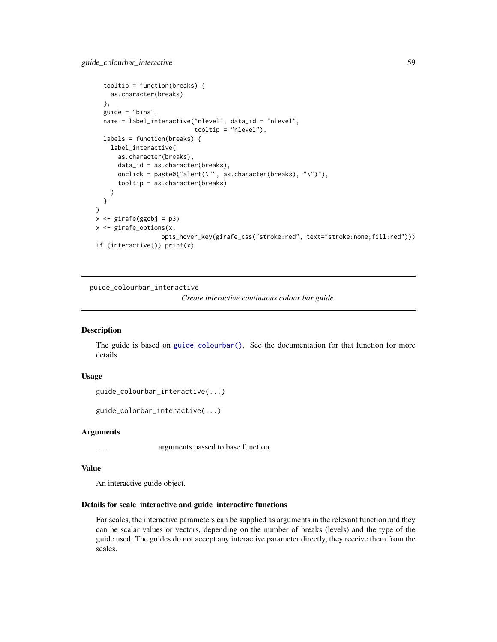```
tooltip = function(breaks) {
   as.character(breaks)
 },
 guide = "bins",
 name = label_interactive("nlevel", data_id = "nlevel",
                           tooltip = "nlevel"),
 labels = function(breaks) {
    label_interactive(
      as.character(breaks),
      data_id = as.character(breaks),
      onclick = paste0("alert(\"", as.character(breaks), "\")"),
      tooltip = as.character(breaks)
   )
 }
)
x \leftarrow girafe(ggobj = p3)
x <- girafe_options(x,
                  opts_hover_key(girafe_css("stroke:red", text="stroke:none;fill:red")))
if (interactive()) print(x)
```
<span id="page-58-0"></span>guide\_colourbar\_interactive

*Create interactive continuous colour bar guide*

# Description

The guide is based on [guide\\_colourbar\(\)](#page-0-0). See the documentation for that function for more details.

## Usage

```
guide_colourbar_interactive(...)
```

```
guide_colorbar_interactive(...)
```
#### Arguments

... arguments passed to base function.

# Value

An interactive guide object.

## Details for scale\_interactive and guide\_interactive functions

For scales, the interactive parameters can be supplied as arguments in the relevant function and they can be scalar values or vectors, depending on the number of breaks (levels) and the type of the guide used. The guides do not accept any interactive parameter directly, they receive them from the scales.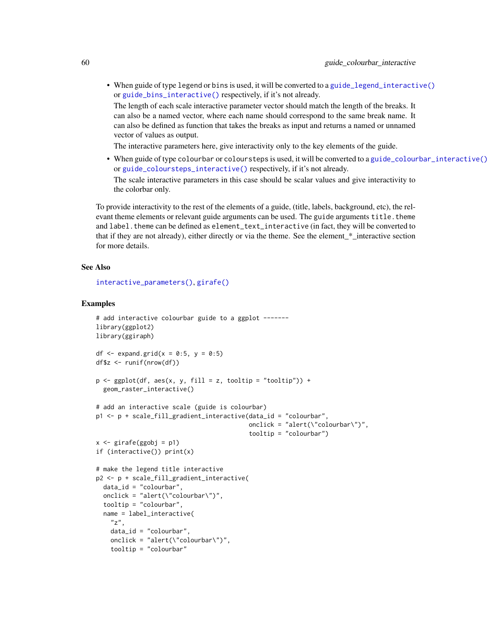• When guide of type legend or bins is used, it will be converted to a [guide\\_legend\\_interactive\(\)](#page-63-0) or [guide\\_bins\\_interactive\(\)](#page-56-0) respectively, if it's not already.

The length of each scale interactive parameter vector should match the length of the breaks. It can also be a named vector, where each name should correspond to the same break name. It can also be defined as function that takes the breaks as input and returns a named or unnamed vector of values as output.

The interactive parameters here, give interactivity only to the key elements of the guide.

• When guide of type colourbar or coloursteps is used, it will be converted to a [guide\\_colourbar\\_interactive\(\)](#page-58-0) or [guide\\_coloursteps\\_interactive\(\)](#page-61-0) respectively, if it's not already.

The scale interactive parameters in this case should be scalar values and give interactivity to the colorbar only.

To provide interactivity to the rest of the elements of a guide, (title, labels, background, etc), the relevant theme elements or relevant guide arguments can be used. The guide arguments title.theme and label. theme can be defined as element\_text\_interactive (in fact, they will be converted to that if they are not already), either directly or via the theme. See the element\_\*\_interactive section for more details.

## See Also

[interactive\\_parameters\(\)](#page-68-0), [girafe\(\)](#page-51-0)

```
# add interactive colourbar guide to a ggplot -------
library(ggplot2)
library(ggiraph)
df \leq expand.grid(x = 0:5, y = 0:5)
df$z <- runif(nrow(df))
p \leftarrow \text{ggplot}(df, \text{aes}(x, y, \text{fill} = z, \text{tooltip} = "tooltip")) +
  geom_raster_interactive()
# add an interactive scale (guide is colourbar)
p1 <- p + scale_fill_gradient_interactive(data_id = "colourbar",
                                             onclick = "alert(\"colourbar\")",
                                             tooltip = "colourbar")
x \le - girafe(ggobj = p1)
if (interactive()) print(x)
# make the legend title interactive
p2 <- p + scale_fill_gradient_interactive(
  data_id = "colourbar",
  onclick = "alert(\"colourbar\")",
  tooltip = "colourbar",
  name = label_interactive(
    "z",data_id = "colourbar",
    onclick = "alert(\"colourbar\")",
    tooltip = "colourbar"
```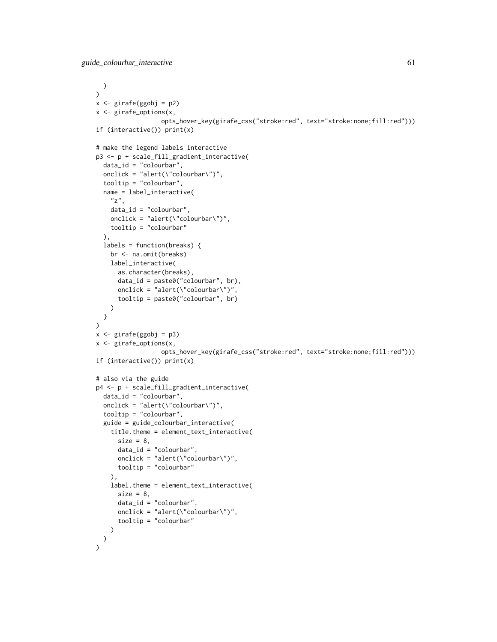```
)
)
x <- girafe(ggobj = p2)
x <- girafe_options(x,
                  opts_hover_key(girafe_css("stroke:red", text="stroke:none;fill:red")))
if (interactive()) print(x)
# make the legend labels interactive
p3 <- p + scale_fill_gradient_interactive(
  data_id = "colourbar",
  onclick = "alert(\"colourbar\")",
  tooltip = "colourbar",
  name = label_interactive(
    "z",data_id = "colourbar",
   onclick = "alert(\"colourbar\")",
   tooltip = "colourbar"
  ),
  labels = function(breaks) {
   br <- na.omit(breaks)
   label_interactive(
      as.character(breaks),
      data_id = paste0("colourbar", br),
      onclick = "alert(\"colourbar\")",
      tooltip = paste0("colourbar", br)
   )
 }
)
x <- girafe(ggobj = p3)
x <- girafe_options(x,
                  opts_hover_key(girafe_css("stroke:red", text="stroke:none;fill:red")))
if (interactive()) print(x)
# also via the guide
p4 <- p + scale_fill_gradient_interactive(
  data_id = "colourbar",
  onclick = "alert(\"colourbar\")",
  tooltip = "colourbar",
  guide = guide_colourbar_interactive(
   title.theme = element_text_interactive(
      size = 8,
      data_id = "colourbar",
      onclick = "alert(\"colourbar\")",
     tooltip = "colourbar"
   ),
    label.theme = element_text_interactive(
      size = 8,
      data_id = "colourbar",
      onclick = "alert(\"colourbar\")",
      tooltip = "colourbar"
   )
 )
\mathcal{L}
```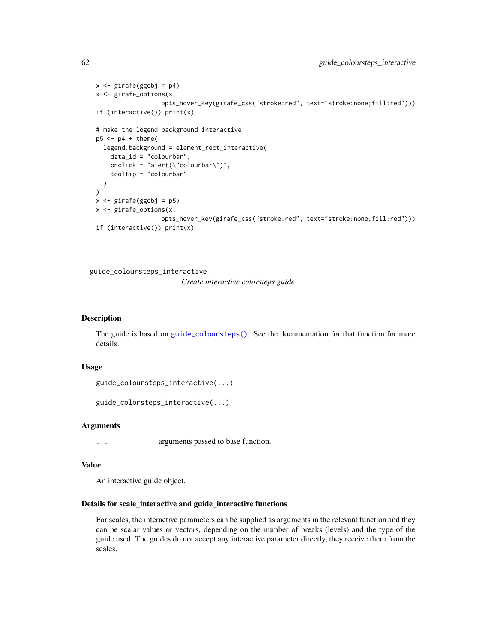```
x \le - girafe(ggobj = p4)
x <- girafe_options(x,
                  opts_hover_key(girafe_css("stroke:red", text="stroke:none;fill:red")))
if (interactive()) print(x)
# make the legend background interactive
p5 < -p4 + \text{ theme}legend.background = element_rect_interactive(
    data_id = "colourbar",
    onclick = "alert(\"colourbar\")",
    tooltip = "colourbar"
  )
)
x \leftarrow girafe(ggobj = p5)
x <- girafe_options(x,
                  opts_hover_key(girafe_css("stroke:red", text="stroke:none;fill:red")))
if (interactive()) print(x)
```
<span id="page-61-0"></span>guide\_coloursteps\_interactive

*Create interactive colorsteps guide*

## Description

The guide is based on [guide\\_coloursteps\(\)](#page-0-0). See the documentation for that function for more details.

#### Usage

```
guide_coloursteps_interactive(...)
```

```
guide_colorsteps_interactive(...)
```
#### Arguments

... arguments passed to base function.

## Value

An interactive guide object.

# Details for scale\_interactive and guide\_interactive functions

For scales, the interactive parameters can be supplied as arguments in the relevant function and they can be scalar values or vectors, depending on the number of breaks (levels) and the type of the guide used. The guides do not accept any interactive parameter directly, they receive them from the scales.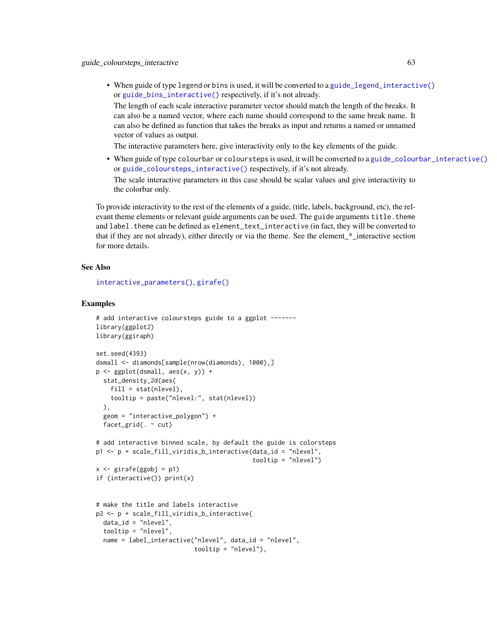• When guide of type legend or bins is used, it will be converted to a [guide\\_legend\\_interactive\(\)](#page-63-0) or [guide\\_bins\\_interactive\(\)](#page-56-0) respectively, if it's not already.

The length of each scale interactive parameter vector should match the length of the breaks. It can also be a named vector, where each name should correspond to the same break name. It can also be defined as function that takes the breaks as input and returns a named or unnamed vector of values as output.

The interactive parameters here, give interactivity only to the key elements of the guide.

• When guide of type colourbar or coloursteps is used, it will be converted to a [guide\\_colourbar\\_interactive\(\)](#page-58-0) or [guide\\_coloursteps\\_interactive\(\)](#page-61-0) respectively, if it's not already.

The scale interactive parameters in this case should be scalar values and give interactivity to the colorbar only.

To provide interactivity to the rest of the elements of a guide, (title, labels, background, etc), the relevant theme elements or relevant guide arguments can be used. The guide arguments title.theme and label. theme can be defined as element\_text\_interactive (in fact, they will be converted to that if they are not already), either directly or via the theme. See the element\_\*\_interactive section for more details.

## See Also

[interactive\\_parameters\(\)](#page-68-0), [girafe\(\)](#page-51-0)

```
# add interactive coloursteps guide to a ggplot ------
library(ggplot2)
library(ggiraph)
set.seed(4393)
dsmall <- diamonds[sample(nrow(diamonds), 1000),]
p \leftarrow \text{ggplot(dsmall, aes(x, y))} +stat_density_2d(aes(
    fill = stat(nlevel),tooltip = paste("nlevel:", stat(nlevel))
  \lambda.
  geom = "interactive_polygon") +
  facet_grid(. ~ cut)
# add interactive binned scale, by default the guide is colorsteps
p1 <- p + scale_fill_viridis_b_interactive(data_id = "nlevel",
                                             tooltip = "nlevel")
x \leftarrow girafe(ggobj = p1)
if (interactive()) print(x)
# make the title and labels interactive
p2 <- p + scale_fill_viridis_b_interactive(
  data_id = "nlevel",
  tooltip = "nlevel",
  name = label_interactive("nlevel", data_id = "nlevel",
                            tooltip = "nlevel"),
```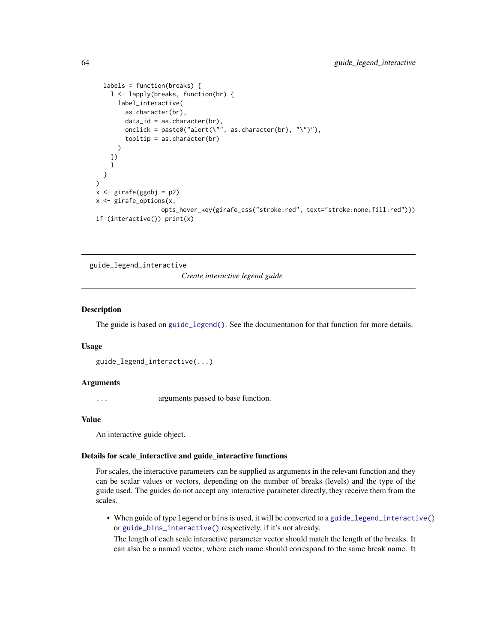```
labels = function(breaks) {
    l <- lapply(breaks, function(br) {
      label_interactive(
        as.character(br),
        data_id = as.charAtactor(br),
        onclick = paste0("alert(\"", as.character(br), "\")"),
        tooltip = as.character(br)
      )
   })
   l
 }
\mathcal{E}x \leftarrow girafe(ggobj = p2)
x <- girafe_options(x,
                   opts_hover_key(girafe_css("stroke:red", text="stroke:none;fill:red")))
if (interactive()) print(x)
```
<span id="page-63-0"></span>guide\_legend\_interactive *Create interactive legend guide*

## Description

The guide is based on [guide\\_legend\(\)](#page-0-0). See the documentation for that function for more details.

#### Usage

```
guide_legend_interactive(...)
```
## Arguments

... arguments passed to base function.

## Value

An interactive guide object.

## Details for scale\_interactive and guide\_interactive functions

For scales, the interactive parameters can be supplied as arguments in the relevant function and they can be scalar values or vectors, depending on the number of breaks (levels) and the type of the guide used. The guides do not accept any interactive parameter directly, they receive them from the scales.

• When guide of type legend or bins is used, it will be converted to a [guide\\_legend\\_interactive\(\)](#page-63-0) or [guide\\_bins\\_interactive\(\)](#page-56-0) respectively, if it's not already.

The length of each scale interactive parameter vector should match the length of the breaks. It can also be a named vector, where each name should correspond to the same break name. It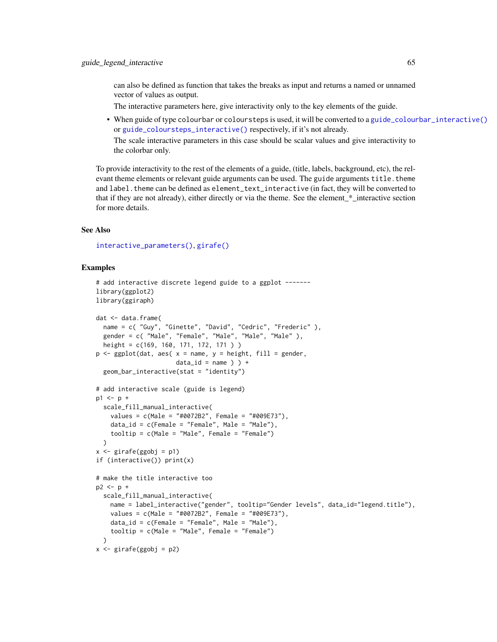can also be defined as function that takes the breaks as input and returns a named or unnamed vector of values as output.

The interactive parameters here, give interactivity only to the key elements of the guide.

• When guide of type colourbar or coloursteps is used, it will be converted to a [guide\\_colourbar\\_interactive\(\)](#page-58-0) or [guide\\_coloursteps\\_interactive\(\)](#page-61-0) respectively, if it's not already.

The scale interactive parameters in this case should be scalar values and give interactivity to the colorbar only.

To provide interactivity to the rest of the elements of a guide, (title, labels, background, etc), the relevant theme elements or relevant guide arguments can be used. The guide arguments title. theme and label. theme can be defined as element\_text\_interactive (in fact, they will be converted to that if they are not already), either directly or via the theme. See the element\_\*\_interactive section for more details.

# See Also

[interactive\\_parameters\(\)](#page-68-0), [girafe\(\)](#page-51-0)

```
# add interactive discrete legend guide to a ggplot ------
library(ggplot2)
library(ggiraph)
dat <- data.frame(
  name = c( "Guy", "Ginette", "David", "Cedric", "Frederic" ),
  gender = c( "Male", "Female", "Male", "Male", "Male" ),
  height = c(169, 160, 171, 172, 171 ) )
p \leq - ggplot(dat, aes( x = name, y = height, fill = gender,
                      data_id = name ) ) +
  geom_bar_interactive(stat = "identity")
# add interactive scale (guide is legend)
p1 \le -p +scale_fill_manual_interactive(
    values = c(Male = "#0072B2", Female = "#009E73"),
    data_id = c(Female = "Female", Male = "Male"),
    tooltip = c(Male = "Male", Female = "Female")
  )
x \leftarrow girafe(ggobj = p1)
if (interactive()) print(x)
# make the title interactive too
p2 < -p +scale_fill_manual_interactive(
   name = label_interactive("gender", tooltip="Gender levels", data_id="legend.title"),
    values = c(Male = "#0072B2", Female = "#009E73"),
    data_id = c(Female = "Female", Male = "Male"),
    tooltip = c(Male = "Male", Female = "Female")
  \lambdax \le - girafe(ggobj = p2)
```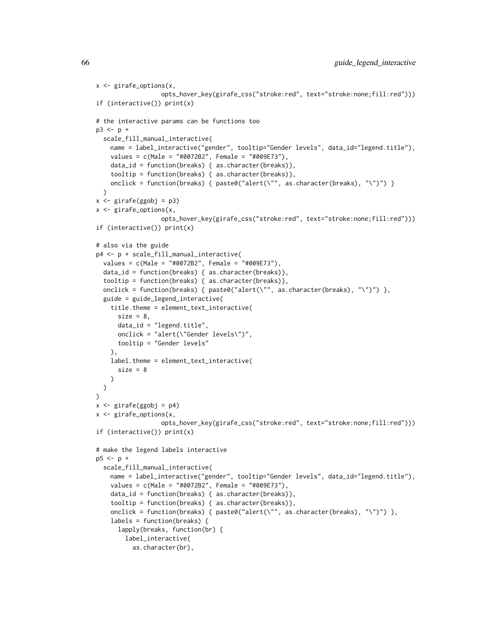```
x <- girafe_options(x,
                  opts_hover_key(girafe_css("stroke:red", text="stroke:none;fill:red")))
if (interactive()) print(x)
# the interactive params can be functions too
p3 \le p +scale_fill_manual_interactive(
   name = label_interactive("gender", tooltip="Gender levels", data_id="legend.title"),
   values = c(Male = "#0072B2", Female = "#009E73"),
   data_id = function(breaks) { as.character(breaks)},
    tooltip = function(breaks) { as.character(breaks)},
    onclick = function(breaks) { paste0("alert(\"", as.character(breaks), "\")") }
  )
x \leftarrow girafe(ggobj = p3)
x <- girafe_options(x,
                  opts_hover_key(girafe_css("stroke:red", text="stroke:none;fill:red")))
if (interactive()) print(x)
# also via the guide
p4 <- p + scale_fill_manual_interactive(
  values = c(Male = "#0072B2", Female = "#009E73"),
  data_id = function(breaks) { as.character(breaks)},
  tooltip = function(breaks) { as.character(breaks)},
  onclick = function(breaks) { paste0("alert(\"", as.character(breaks), "\")") },
  guide = guide_legend_interactive(
    title.theme = element_text_interactive(
      size = 8,
      data_id = "legend.title",
      onclick = "alert(\"Gender levels\")",
     tooltip = "Gender levels"
    ),
    label.theme = element_text_interactive(
      size = 8)
  \lambda\lambdax <- girafe(ggobj = p4)
x <- girafe_options(x,
                  opts_hover_key(girafe_css("stroke:red", text="stroke:none;fill:red")))
if (interactive()) print(x)
# make the legend labels interactive
p5 < -p +scale_fill_manual_interactive(
   name = label_interactive("gender", tooltip="Gender levels", data_id="legend.title"),
    values = c(Male = "#0072B2", Female = "#009E73"),
    data_id = function(breaks) { as.character(breaks)},
    tooltip = function(breaks) { as.character(breaks)},
    onclick = function(breaks) { paste0("alert(\"", as.character(breaks), "\")") },
    labels = function(breaks) {
      lapply(breaks, function(br) {
        label_interactive(
          as.character(br),
```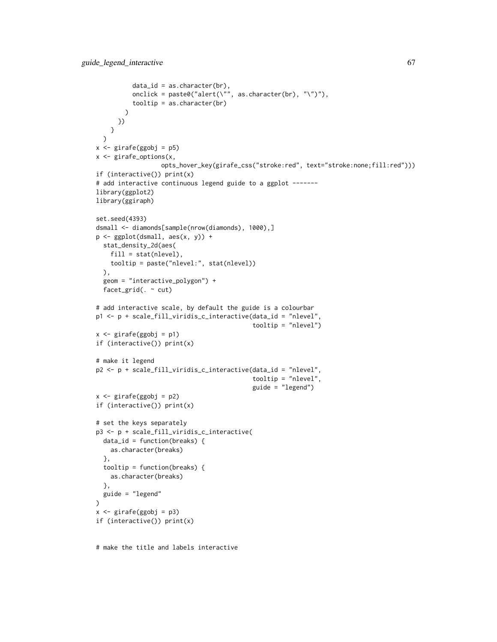```
data_id = as.charAtacter(br),onclick = paste0("alert(\"", as.character(br), "\")"),
          tooltip = as.character(br)
        )
     })
   }
 )
x \leftarrow girafe(ggobj = p5)
x <- girafe_options(x,
                  opts_hover_key(girafe_css("stroke:red", text="stroke:none;fill:red")))
if (interactive()) print(x)
# add interactive continuous legend guide to a ggplot -------
library(ggplot2)
library(ggiraph)
set.seed(4393)
dsmall <- diamonds[sample(nrow(diamonds), 1000),]
p <- ggplot(dsmall, aes(x, y)) +
 stat_density_2d(aes(
   fill = stat(nlevel),
   tooltip = paste("nlevel:", stat(nlevel))
  ),
  geom = "interactive_polygon") +
  facet_grid(. ~ cut)
# add interactive scale, by default the guide is a colourbar
p1 \leq p + scale_fill\_viridis_c_interactive(data_id = "nlevel",tooltip = "nlevel")
x <- girafe(ggobj = p1)
if (interactive()) print(x)
# make it legend
p2 <- p + scale_fill_viridis_c_interactive(data_id = "nlevel",
                                            tooltip = "nlevel",
                                            guide = "legend")
x <- girafe(ggobj = p2)
if (interactive()) print(x)
# set the keys separately
p3 <- p + scale_fill_viridis_c_interactive(
  data_id = function(breaks) {
   as.character(breaks)
  },
  tooltip = function(breaks) {
   as.character(breaks)
  },
 guide = "legend"
\lambdax <- girafe(ggobj = p3)
if (interactive()) print(x)
```
# make the title and labels interactive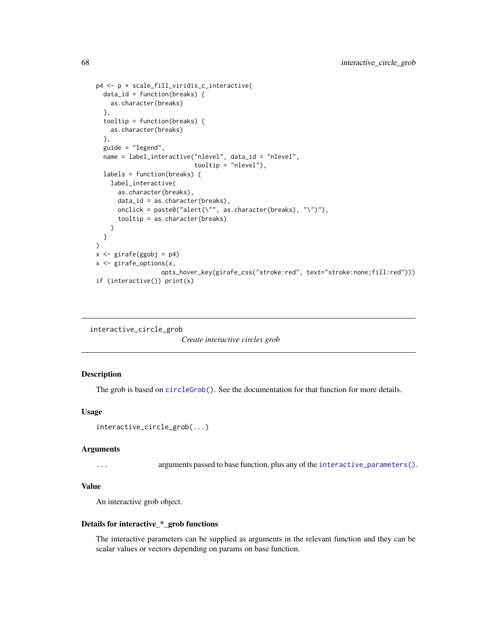```
p4 <- p + scale_fill_viridis_c_interactive(
 data_id = function(breaks) {
   as.character(breaks)
 },
 tooltip = function(breaks) {
   as.character(breaks)
 },
 guide = "legend",
 name = label_interactive("nlevel", data_id = "nlevel",
                           tooltip = "nlevel"),
 labels = function(breaks) {
   label_interactive(
      as.character(breaks),
      data_id = as.character(breaks),
      onclick = paste0("alert(\"", as.character(breaks), "\")"),
      tooltip = as.character(breaks)
   )
 }
)
x \leftarrow girafe(ggobj = p4)
x <- girafe_options(x,
                  opts_hover_key(girafe_css("stroke:red", text="stroke:none;fill:red")))
if (interactive()) print(x)
```

```
interactive_circle_grob
```
*Create interactive circles grob*

# Description

The grob is based on [circleGrob\(\)](#page-0-0). See the documentation for that function for more details.

# Usage

```
interactive_circle_grob(...)
```
## Arguments

... arguments passed to base function, plus any of the [interactive\\_parameters\(\)](#page-68-0).

# Value

An interactive grob object.

## Details for interactive\_\*\_grob functions

The interactive parameters can be supplied as arguments in the relevant function and they can be scalar values or vectors depending on params on base function.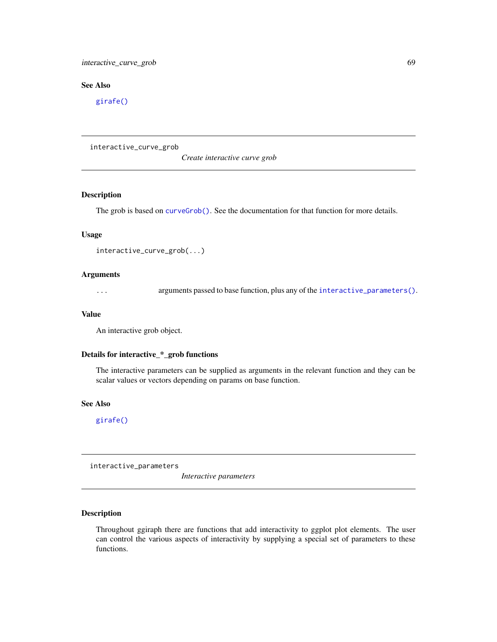# interactive\_curve\_grob 69

# See Also

[girafe\(\)](#page-51-0)

interactive\_curve\_grob

*Create interactive curve grob*

## Description

The grob is based on [curveGrob\(\)](#page-0-0). See the documentation for that function for more details.

## Usage

```
interactive_curve_grob(...)
```
# Arguments

... arguments passed to base function, plus any of the [interactive\\_parameters\(\)](#page-68-0).

#### Value

An interactive grob object.

## Details for interactive\_\*\_grob functions

The interactive parameters can be supplied as arguments in the relevant function and they can be scalar values or vectors depending on params on base function.

## See Also

[girafe\(\)](#page-51-0)

<span id="page-68-0"></span>interactive\_parameters

*Interactive parameters*

# Description

Throughout ggiraph there are functions that add interactivity to ggplot plot elements. The user can control the various aspects of interactivity by supplying a special set of parameters to these functions.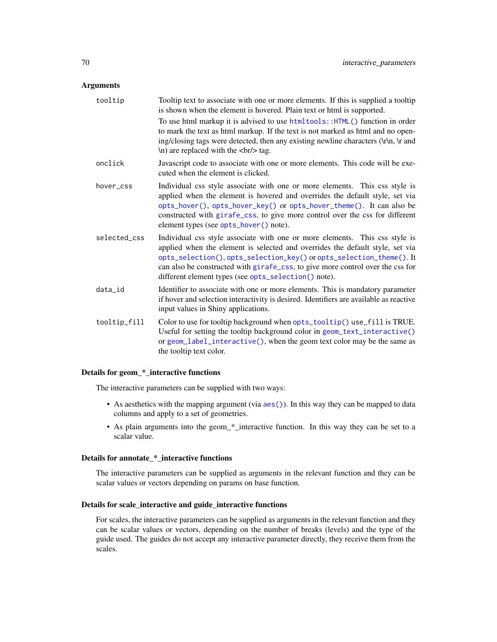# Arguments

| tooltip      | Tooltip text to associate with one or more elements. If this is supplied a tooltip<br>is shown when the element is hovered. Plain text or html is supported.<br>To use html markup it is advised to use html tools:: HTML() function in order<br>to mark the text as html markup. If the text is not marked as html and no open-<br>ing/closing tags were detected, then any existing newline characters (\r\n, \r and<br>\n) are replaced with the<br>\, tag. |
|--------------|----------------------------------------------------------------------------------------------------------------------------------------------------------------------------------------------------------------------------------------------------------------------------------------------------------------------------------------------------------------------------------------------------------------------------------------------------------------|
| onclick      | Javascript code to associate with one or more elements. This code will be exe-<br>cuted when the element is clicked.                                                                                                                                                                                                                                                                                                                                           |
| hover_css    | Individual css style associate with one or more elements. This css style is<br>applied when the element is hovered and overrides the default style, set via<br>opts_hover(), opts_hover_key() or opts_hover_theme(). It can also be<br>constructed with girafe_css, to give more control over the css for different<br>element types (see opts_hover() note).                                                                                                  |
| selected css | Individual css style associate with one or more elements. This css style is<br>applied when the element is selected and overrides the default style, set via<br>opts_selection(), opts_selection_key() or opts_selection_theme(). It<br>can also be constructed with girafe_css, to give more control over the css for<br>different element types (see opts_selection() note).                                                                                 |
| data_id      | Identifier to associate with one or more elements. This is mandatory parameter<br>if hover and selection interactivity is desired. Identifiers are available as reactive<br>input values in Shiny applications.                                                                                                                                                                                                                                                |
| tooltip_fill | Color to use for tooltip background when opts_tooltip() use_fill is TRUE.<br>Useful for setting the tooltip background color in geom_text_interactive()<br>or geom_label_interactive(), when the geom text color may be the same as<br>the tooltip text color.                                                                                                                                                                                                 |

## Details for geom\_\*\_interactive functions

The interactive parameters can be supplied with two ways:

- As aesthetics with the mapping argument (via [aes\(\)](#page-0-0)). In this way they can be mapped to data columns and apply to a set of geometries.
- As plain arguments into the geom\_\*\_interactive function. In this way they can be set to a scalar value.

#### Details for annotate\_\*\_interactive functions

The interactive parameters can be supplied as arguments in the relevant function and they can be scalar values or vectors depending on params on base function.

# Details for scale\_interactive and guide\_interactive functions

For scales, the interactive parameters can be supplied as arguments in the relevant function and they can be scalar values or vectors, depending on the number of breaks (levels) and the type of the guide used. The guides do not accept any interactive parameter directly, they receive them from the scales.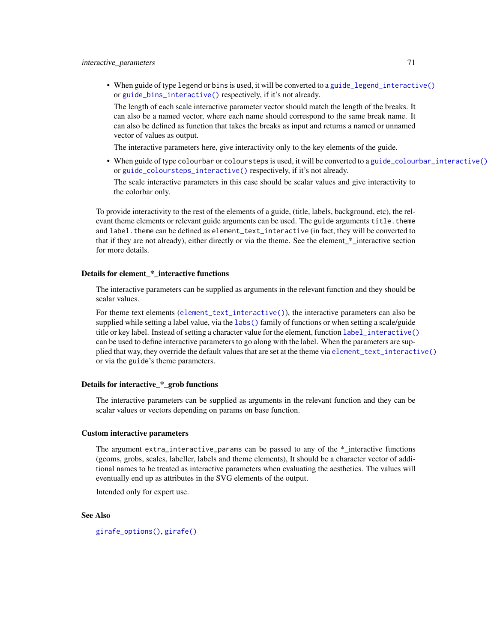• When guide of type legend or bins is used, it will be converted to a [guide\\_legend\\_interactive\(\)](#page-63-0) or [guide\\_bins\\_interactive\(\)](#page-56-0) respectively, if it's not already.

The length of each scale interactive parameter vector should match the length of the breaks. It can also be a named vector, where each name should correspond to the same break name. It can also be defined as function that takes the breaks as input and returns a named or unnamed vector of values as output.

The interactive parameters here, give interactivity only to the key elements of the guide.

• When guide of type colourbar or coloursteps is used, it will be converted to a [guide\\_colourbar\\_interactive\(\)](#page-58-0) or [guide\\_coloursteps\\_interactive\(\)](#page-61-0) respectively, if it's not already.

The scale interactive parameters in this case should be scalar values and give interactivity to the colorbar only.

To provide interactivity to the rest of the elements of a guide, (title, labels, background, etc), the relevant theme elements or relevant guide arguments can be used. The guide arguments title. theme and label. theme can be defined as element\_text\_interactive (in fact, they will be converted to that if they are not already), either directly or via the theme. See the element\_\*\_interactive section for more details.

## Details for element \* interactive functions

The interactive parameters can be supplied as arguments in the relevant function and they should be scalar values.

For theme text elements ([element\\_text\\_interactive\(\)](#page-7-0)), the interactive parameters can also be supplied while setting a label value, via the [labs\(\)](#page-0-0) family of functions or when setting a scale/guide title or key label. Instead of setting a character value for the element, function [label\\_interactive\(\)](#page-80-0) can be used to define interactive parameters to go along with the label. When the parameters are supplied that way, they override the default values that are set at the theme via [element\\_text\\_interactive\(\)](#page-7-0) or via the guide's theme parameters.

## Details for interactive \* grob functions

The interactive parameters can be supplied as arguments in the relevant function and they can be scalar values or vectors depending on params on base function.

## Custom interactive parameters

The argument extra\_interactive\_params can be passed to any of the  $*$  interactive functions (geoms, grobs, scales, labeller, labels and theme elements), It should be a character vector of additional names to be treated as interactive parameters when evaluating the aesthetics. The values will eventually end up as attributes in the SVG elements of the output.

Intended only for expert use.

#### See Also

[girafe\\_options\(\)](#page-55-0), [girafe\(\)](#page-51-0)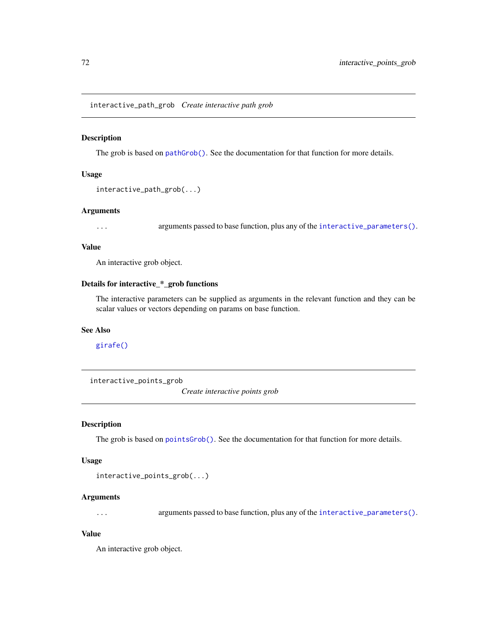interactive\_path\_grob *Create interactive path grob*

# Description

The grob is based on [pathGrob\(\)](#page-0-0). See the documentation for that function for more details.

# Usage

interactive\_path\_grob(...)

## Arguments

... arguments passed to base function, plus any of the [interactive\\_parameters\(\)](#page-68-0).

# Value

An interactive grob object.

# Details for interactive\_\*\_grob functions

The interactive parameters can be supplied as arguments in the relevant function and they can be scalar values or vectors depending on params on base function.

# See Also

# [girafe\(\)](#page-51-0)

interactive\_points\_grob

*Create interactive points grob*

# Description

The grob is based on [pointsGrob\(\)](#page-0-0). See the documentation for that function for more details.

#### Usage

```
interactive_points_grob(...)
```
## Arguments

... arguments passed to base function, plus any of the [interactive\\_parameters\(\)](#page-68-0).

# Value

An interactive grob object.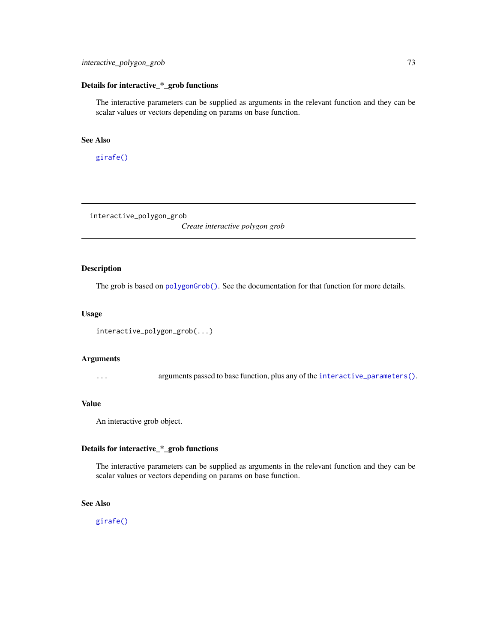## Details for interactive\_\*\_grob functions

The interactive parameters can be supplied as arguments in the relevant function and they can be scalar values or vectors depending on params on base function.

# See Also

[girafe\(\)](#page-51-0)

interactive\_polygon\_grob

*Create interactive polygon grob*

# Description

The grob is based on [polygonGrob\(\)](#page-0-0). See the documentation for that function for more details.

# Usage

```
interactive_polygon_grob(...)
```
#### Arguments

... arguments passed to base function, plus any of the [interactive\\_parameters\(\)](#page-68-0).

## Value

An interactive grob object.

## Details for interactive\_\*\_grob functions

The interactive parameters can be supplied as arguments in the relevant function and they can be scalar values or vectors depending on params on base function.

# See Also

[girafe\(\)](#page-51-0)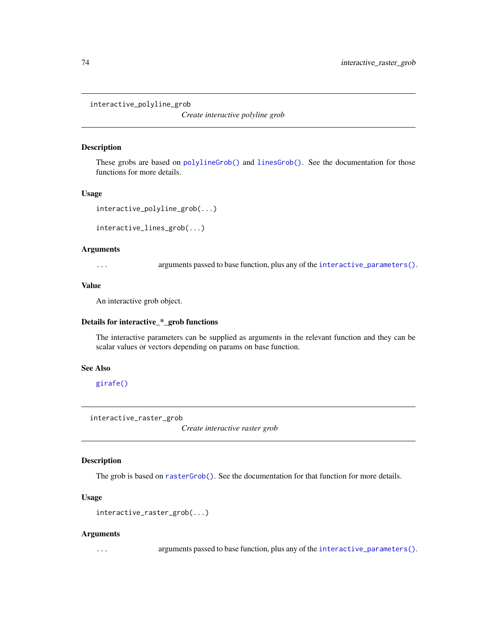interactive\_polyline\_grob

*Create interactive polyline grob*

# Description

These grobs are based on [polylineGrob\(\)](#page-0-0) and [linesGrob\(\)](#page-0-0). See the documentation for those functions for more details.

#### Usage

```
interactive_polyline_grob(...)
```
interactive\_lines\_grob(...)

# Arguments

... arguments passed to base function, plus any of the [interactive\\_parameters\(\)](#page-68-0).

# Value

An interactive grob object.

# Details for interactive\_\*\_grob functions

The interactive parameters can be supplied as arguments in the relevant function and they can be scalar values or vectors depending on params on base function.

## See Also

[girafe\(\)](#page-51-0)

interactive\_raster\_grob

*Create interactive raster grob*

#### Description

The grob is based on [rasterGrob\(\)](#page-0-0). See the documentation for that function for more details.

## Usage

```
interactive_raster_grob(...)
```
#### Arguments

... arguments passed to base function, plus any of the [interactive\\_parameters\(\)](#page-68-0).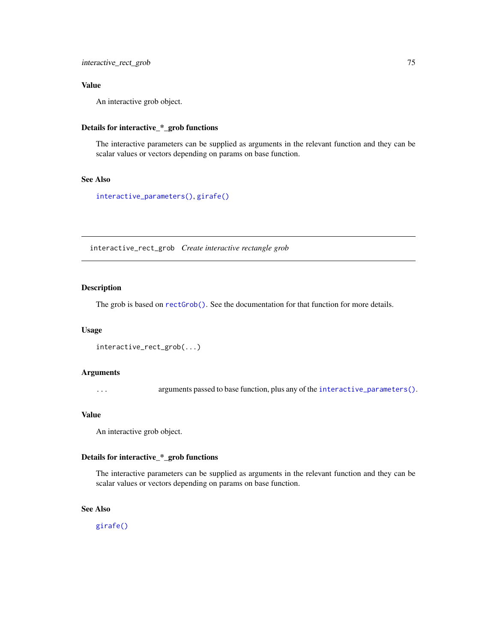# Value

An interactive grob object.

# Details for interactive\_\*\_grob functions

The interactive parameters can be supplied as arguments in the relevant function and they can be scalar values or vectors depending on params on base function.

# See Also

[interactive\\_parameters\(\)](#page-68-0), [girafe\(\)](#page-51-0)

interactive\_rect\_grob *Create interactive rectangle grob*

# Description

The grob is based on [rectGrob\(\)](#page-0-0). See the documentation for that function for more details.

## Usage

```
interactive_rect_grob(...)
```
#### Arguments

... arguments passed to base function, plus any of the [interactive\\_parameters\(\)](#page-68-0).

## Value

An interactive grob object.

## Details for interactive\_\*\_grob functions

The interactive parameters can be supplied as arguments in the relevant function and they can be scalar values or vectors depending on params on base function.

# See Also

[girafe\(\)](#page-51-0)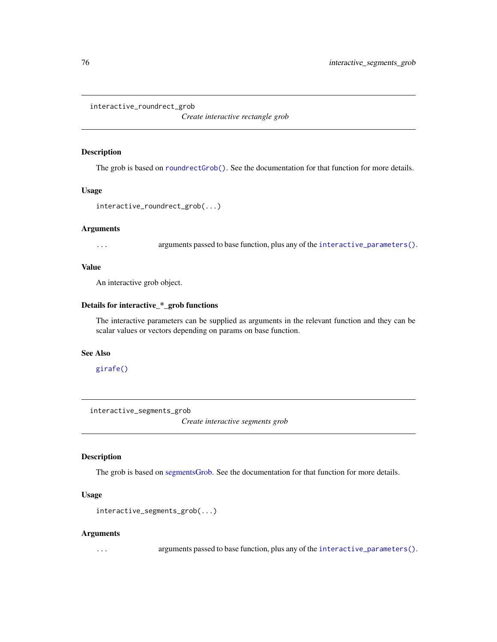interactive\_roundrect\_grob

*Create interactive rectangle grob*

# Description

The grob is based on [roundrectGrob\(\)](#page-0-0). See the documentation for that function for more details.

## Usage

interactive\_roundrect\_grob(...)

#### Arguments

... arguments passed to base function, plus any of the [interactive\\_parameters\(\)](#page-68-0).

#### Value

An interactive grob object.

#### Details for interactive\_\*\_grob functions

The interactive parameters can be supplied as arguments in the relevant function and they can be scalar values or vectors depending on params on base function.

#### See Also

[girafe\(\)](#page-51-0)

interactive\_segments\_grob

*Create interactive segments grob*

#### Description

The grob is based on [segmentsGrob.](#page-0-0) See the documentation for that function for more details.

# Usage

```
interactive_segments_grob(...)
```
#### Arguments

... arguments passed to base function, plus any of the [interactive\\_parameters\(\)](#page-68-0).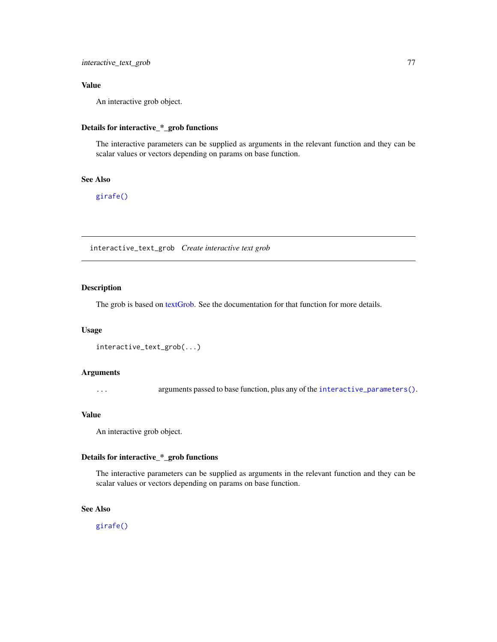# Value

An interactive grob object.

# Details for interactive\_\*\_grob functions

The interactive parameters can be supplied as arguments in the relevant function and they can be scalar values or vectors depending on params on base function.

# See Also

[girafe\(\)](#page-51-0)

interactive\_text\_grob *Create interactive text grob*

# Description

The grob is based on [textGrob.](#page-0-0) See the documentation for that function for more details.

# Usage

```
interactive_text_grob(...)
```
#### Arguments

... arguments passed to base function, plus any of the [interactive\\_parameters\(\)](#page-68-0).

## Value

An interactive grob object.

# Details for interactive\_\*\_grob functions

The interactive parameters can be supplied as arguments in the relevant function and they can be scalar values or vectors depending on params on base function.

# See Also

[girafe\(\)](#page-51-0)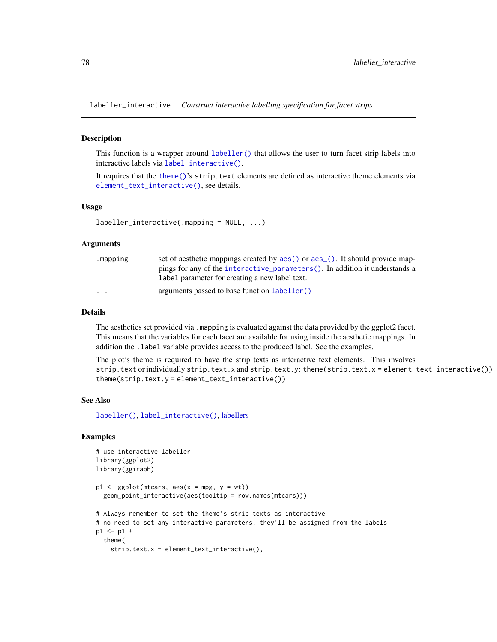<span id="page-77-0"></span>labeller\_interactive *Construct interactive labelling specification for facet strips*

## Description

This function is a wrapper around [labeller\(\)](#page-0-0) that allows the user to turn facet strip labels into interactive labels via [label\\_interactive\(\)](#page-80-0).

It requires that the [theme\(\)](#page-0-0)'s strip.text elements are defined as interactive theme elements via [element\\_text\\_interactive\(\)](#page-7-0), see details.

#### Usage

```
labeller_interactive(.mapping = NULL, ...)
```
#### Arguments

| .mapping                | set of aesthetic mappings created by aes () or aes (). It should provide map-   |
|-------------------------|---------------------------------------------------------------------------------|
|                         | pings for any of the interactive parameters $()$ . In addition it understands a |
|                         | label parameter for creating a new label text.                                  |
| $\cdot$ $\cdot$ $\cdot$ | arguments passed to base function labeller()                                    |

## Details

The aesthetics set provided via .mapping is evaluated against the data provided by the ggplot2 facet. This means that the variables for each facet are available for using inside the aesthetic mappings. In addition the .label variable provides access to the produced label. See the examples.

The plot's theme is required to have the strip texts as interactive text elements. This involves strip.text or individually strip.text.x and strip.text.y: theme(strip.text.x = element\_text\_interactive()) theme(strip.text.y = element\_text\_interactive())

## See Also

[labeller\(\)](#page-0-0), [label\\_interactive\(\)](#page-80-0), [labellers](#page-0-0)

#### Examples

```
# use interactive labeller
library(ggplot2)
library(ggiraph)
p1 \leq - ggplot(mtcars, aes(x = mpg, y = wt)) +
  geom_point_interactive(aes(tooltip = row.names(mtcars)))
# Always remember to set the theme's strip texts as interactive
# no need to set any interactive parameters, they'll be assigned from the labels
p1 \le -p1 +theme(
    strip.text.x = element_text_interactive(),
```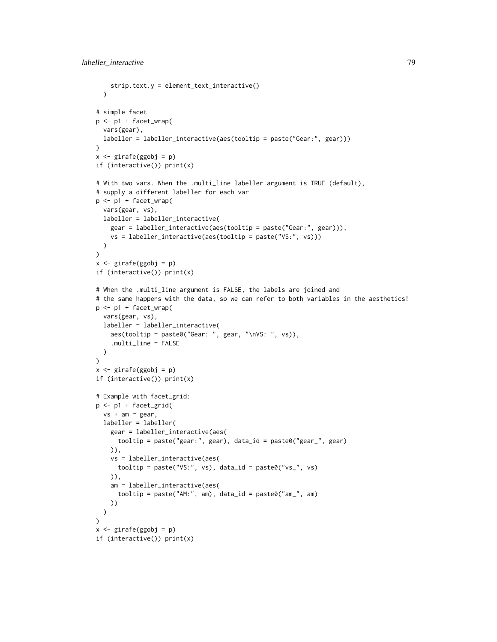```
strip.text.y = element_text_interactive()
  \lambda# simple facet
p <- p1 + facet_wrap(
 vars(gear),
 labeller = labeller_interactive(aes(tooltip = paste("Gear:", gear)))
)
x <- girafe(ggobj = p)
if (interactive()) print(x)
# With two vars. When the .multi_line labeller argument is TRUE (default),
# supply a different labeller for each var
p <- p1 + facet_wrap(
  vars(gear, vs),
 labeller = labeller_interactive(
    gear = labeller_interactive(aes(tooltip = paste("Gear:", gear))),
    vs = labeller_interactive(aes(tooltip = paste("VS:", vs)))
  \mathcal{L})
x <- girafe(ggobj = p)
if (interactive()) print(x)
# When the .multi_line argument is FALSE, the labels are joined and
# the same happens with the data, so we can refer to both variables in the aesthetics!
p <- p1 + facet_wrap(
  vars(gear, vs),
  labeller = labeller_interactive(
    aes(tooltip = paste0("Gear: ", gear, "\nVS: ", vs)),
    .multi_line = FALSE
  )
\mathcal{L}x <- girafe(ggobj = p)
if (interactive()) print(x)
# Example with facet_grid:
p <- p1 + facet_grid(
  vs + am ~ <i>gear</i>,labeller = labeller(
    gear = labeller_interactive(aes(
      tooltip = paste("gear:", gear), data_id = paste0("gear_", gear)
    )),
    vs = labeller_interactive(aes(
      tooltip = paste("VS:", vs), data_id = paste0("vs_", vs)
    )),
    am = labeller_interactive(aes(
      tooltip = paste("AM:", am), data_id = paste0("am_", am)
    ))
  \lambda\lambdax <- girafe(ggobj = p)
if (interactive()) print(x)
```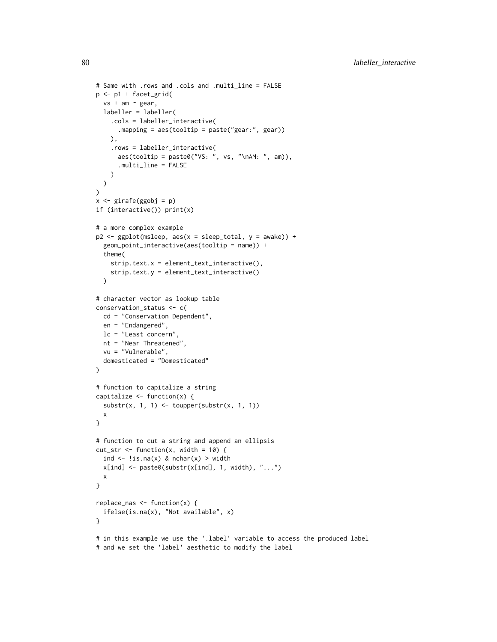```
# Same with .rows and .cols and .multi_line = FALSE
p <- p1 + facet_grid(
  vs + am ~ < gear,
 labeller = labeller(
    .cols = labeller_interactive(
      .mapping = aes(tooltip = paste("gear:", gear))
    ),
    .rows = labeller_interactive(
      aes(tooltip = paste0("VS: ", vs, "\nAM: ", am)),
      .multi_line = FALSE
    )
  )
)
x \leftarrow girafe(ggobj = p)
if (interactive()) print(x)
# a more complex example
p2 <- ggplot(msleep, aes(x = sleep_total, y = awake)) +
  geom_point_interactive(aes(tooltip = name)) +
  theme(
    strip.text.x = element_text_interactive(),
    strip.text.y = element_text_interactive()
  \lambda# character vector as lookup table
conservation_status <- c(
  cd = "Conservation Dependent",
  en = "Endangered",
  lc = "Least concern",
  nt = "Near Threatened",
  vu = "Vulnerable",
  domesticated = "Domesticated"
\lambda# function to capitalize a string
capitalize \leftarrow function(x) {
  \text{substr}(x, 1, 1) \leftarrow \text{topper}(\text{substr}(x, 1, 1))x
}
# function to cut a string and append an ellipsis
cut_str <- function(x, width = 10) {
  ind \leq !is.na(x) & nchar(x) > width
  x[ind] \leftarrow paste0(substr(x[ind], 1, width), "...")
  x
}
replace_nas \leq function(x) {
  ifelse(is.na(x), "Not available", x)
}
# in this example we use the '.label' variable to access the produced label
# and we set the 'label' aesthetic to modify the label
```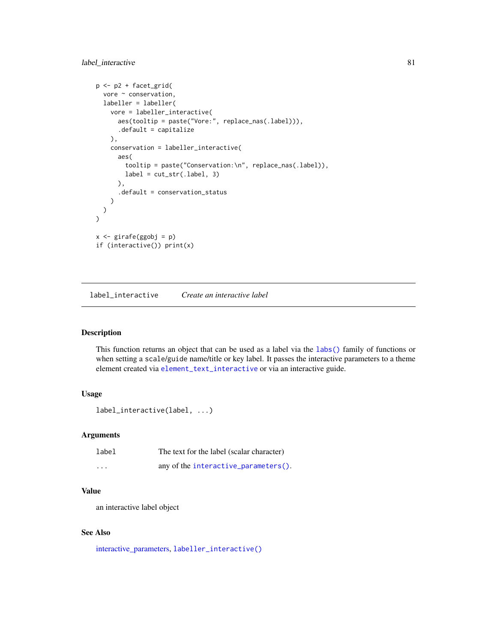```
p <- p2 + facet_grid(
 vore ~ conservation,
 labeller = labeller(
   vore = labeller_interactive(
     aes(tooltip = paste("Vore:", replace_nas(.label))),
     .default = capitalize
   ),
   conservation = labeller_interactive(
     aes(
       tooltip = paste("Conservation:\n", replace_nas(.label)),
       label = cut_str(.label, 3)),
     .default = conservation_status
   )
 )
)
x <- girafe(ggobj = p)
if (interactive()) print(x)
```
<span id="page-80-0"></span>label\_interactive *Create an interactive label*

# Description

This function returns an object that can be used as a label via the [labs\(\)](#page-0-0) family of functions or when setting a scale/guide name/title or key label. It passes the interactive parameters to a theme element created via [element\\_text\\_interactive](#page-7-0) or via an interactive guide.

# Usage

```
label_interactive(label, ...)
```
## Arguments

| label    | The text for the label (scalar character) |
|----------|-------------------------------------------|
| $\cdots$ | any of the interactive_parameters().      |

# Value

an interactive label object

## See Also

[interactive\\_parameters,](#page-68-0) [labeller\\_interactive\(\)](#page-77-0)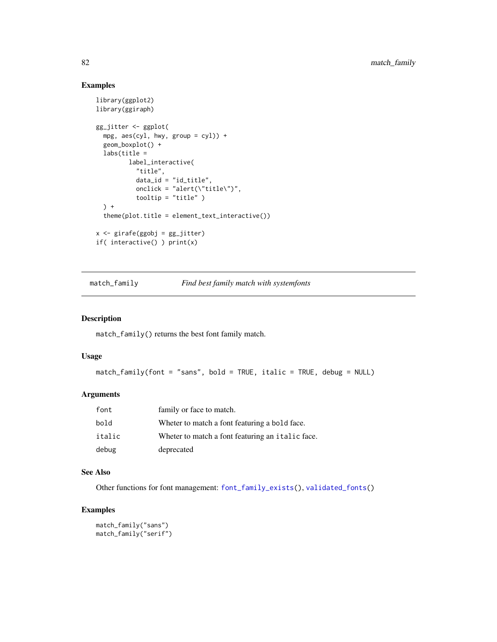# Examples

```
library(ggplot2)
library(ggiraph)
gg_jitter <- ggplot(
  mpg, aes(cyl, hwy, group = cyl)) +
  geom_boxplot() +
  labs(title =label_interactive(
           "title",
          data_id = "id_title",
          onclick = "alert(\"title\")",
          tooltip = "title" )
  ) +theme(plot.title = element_text_interactive())
x <- girafe(ggobj = gg_jitter)
if( interactive() ) print(x)
```
match\_family *Find best family match with systemfonts*

#### Description

match\_family() returns the best font family match.

#### Usage

```
match_family(font = "sans", bold = TRUE, italic = TRUE, debug = NULL)
```
# Arguments

| font   | family or face to match.                         |
|--------|--------------------------------------------------|
| bold   | Wheter to match a font featuring a bold face.    |
| italic | Wheter to match a font featuring an italic face. |
| debug  | deprecated                                       |

## See Also

Other functions for font management: [font\\_family\\_exists\(](#page-9-0)), [validated\\_fonts\(](#page-110-0))

# Examples

match\_family("sans") match\_family("serif")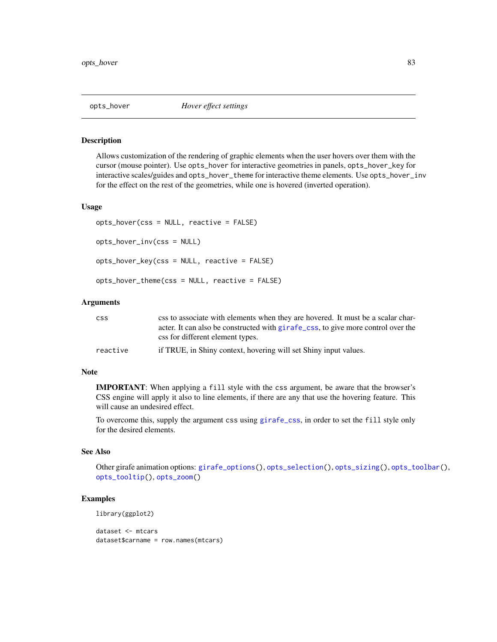<span id="page-82-0"></span>

#### Description

Allows customization of the rendering of graphic elements when the user hovers over them with the cursor (mouse pointer). Use opts\_hover for interactive geometries in panels, opts\_hover\_key for interactive scales/guides and opts\_hover\_theme for interactive theme elements. Use opts\_hover\_inv for the effect on the rest of the geometries, while one is hovered (inverted operation).

#### Usage

```
opts_hover(css = NULL, reactive = FALSE)
opts_hover_inv(css = NULL)
opts_hover_key(css = NULL, reactive = FALSE)
opts_hover_theme(css = NULL, reactive = FALSE)
```
# Arguments

| <b>CSS</b> | css to associate with elements when they are hovered. It must be a scalar char-  |
|------------|----------------------------------------------------------------------------------|
|            | acter. It can also be constructed with girafe_css, to give more control over the |
|            | css for different element types.                                                 |
| reactive   | if TRUE, in Shiny context, hovering will set Shiny input values.                 |

## Note

IMPORTANT: When applying a fill style with the css argument, be aware that the browser's CSS engine will apply it also to line elements, if there are any that use the hovering feature. This will cause an undesired effect.

To overcome this, supply the argument css using [girafe\\_css](#page-54-0), in order to set the fill style only for the desired elements.

# See Also

Other girafe animation options: [girafe\\_options\(](#page-55-0)), [opts\\_selection\(](#page-83-0)), [opts\\_sizing\(](#page-84-0)), [opts\\_toolbar\(](#page-85-0)), [opts\\_tooltip\(](#page-86-0)), [opts\\_zoom\(](#page-88-0))

# Examples

```
library(ggplot2)
```
dataset <- mtcars dataset\$carname = row.names(mtcars)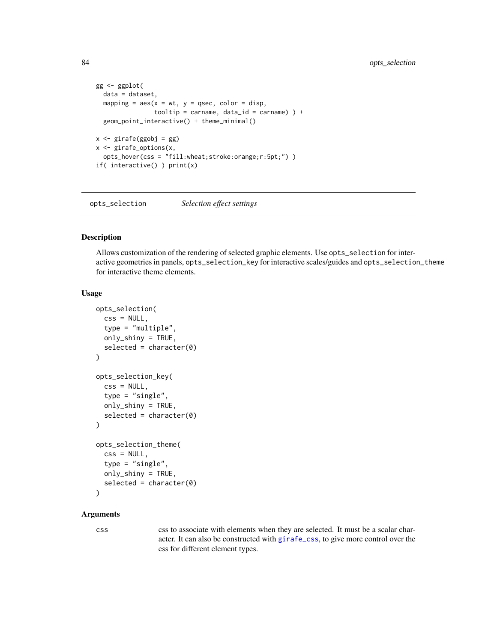```
gg <- ggplot(
 data = dataset,
 mapping = aes(x = wt, y = qsec, color = disp,tooltip = carname, data_id = carname) ) +geom_point_interactive() + theme_minimal()
x <- girafe(ggobj = gg)
x <- girafe_options(x,
 opts_hover(css = "fill:wheat;stroke:orange;r:5pt;") )
if( interactive() ) print(x)
```
<span id="page-83-0"></span>opts\_selection *Selection effect settings*

#### Description

Allows customization of the rendering of selected graphic elements. Use opts\_selection for interactive geometries in panels, opts\_selection\_key for interactive scales/guides and opts\_selection\_theme for interactive theme elements.

# Usage

```
opts_selection(
  \text{css} = \text{NULL},
  type = "multiple",
  only_shiny = TRUE,
  selected = character(0)
)
opts_selection_key(
  \text{css} = \text{NULL},
  type = "single",
  only_shiny = TRUE,
  selected = character(0))
opts_selection_theme(
  \text{css} = \text{NULL},
  type = "single",
  only_shiny = TRUE,
  selected = character(0))
```
#### Arguments

css css to associate with elements when they are selected. It must be a scalar character. It can also be constructed with [girafe\\_css](#page-54-0), to give more control over the css for different element types.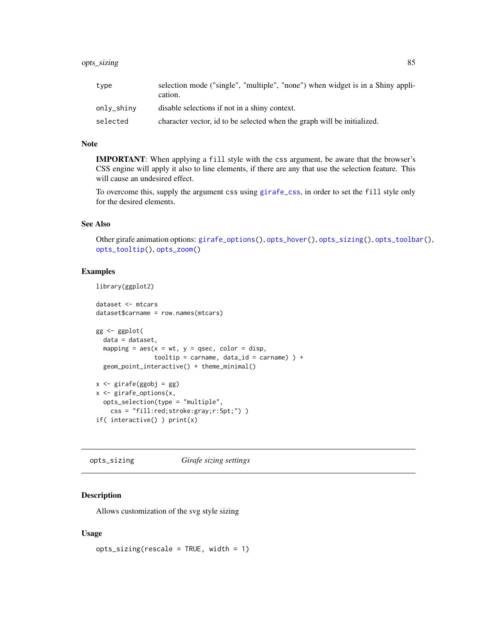| type       | selection mode ("single", "multiple", "none") when widget is in a Shiny appli-<br>cation. |
|------------|-------------------------------------------------------------------------------------------|
| only_shiny | disable selections if not in a shiny context.                                             |
| selected   | character vector, id to be selected when the graph will be initialized.                   |

#### Note

IMPORTANT: When applying a fill style with the css argument, be aware that the browser's CSS engine will apply it also to line elements, if there are any that use the selection feature. This will cause an undesired effect.

To overcome this, supply the argument css using [girafe\\_css](#page-54-0), in order to set the fill style only for the desired elements.

# See Also

Other girafe animation options: [girafe\\_options\(](#page-55-0)), [opts\\_hover\(](#page-82-0)), [opts\\_sizing\(](#page-84-0)), [opts\\_toolbar\(](#page-85-0)), [opts\\_tooltip\(](#page-86-0)), [opts\\_zoom\(](#page-88-0))

## Examples

library(ggplot2)

```
dataset <- mtcars
dataset$carname = row.names(mtcars)
gg <- ggplot(
  data = dataset,
  mapping = \text{aes}(x = wt, y = q\text{sec}, \text{ color} = \text{disp},tooltip = carname, data_id = carname) ) +geom_point_interactive() + theme_minimal()
x <- girafe(ggobj = gg)
x <- girafe_options(x,
  opts_selection(type = "multiple",
    css = "fill:red;stroke:gray;r:5pt;") )
if( interactive() ) print(x)
```
<span id="page-84-0"></span>opts\_sizing *Girafe sizing settings*

# Description

Allows customization of the svg style sizing

## Usage

opts\_sizing(rescale = TRUE, width = 1)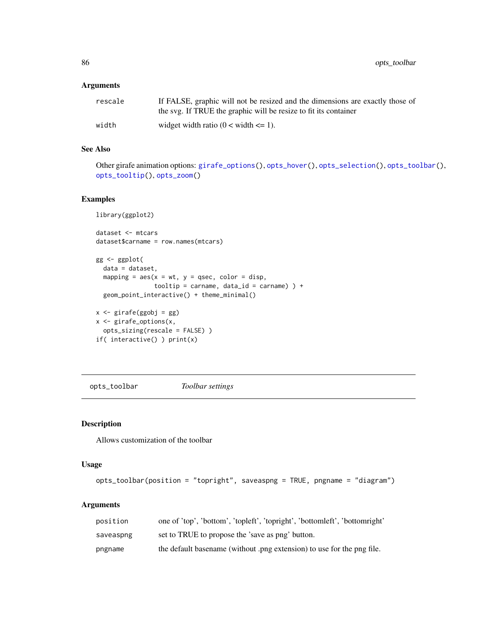86 opts\_toolbar

# Arguments

| rescale | If FALSE, graphic will not be resized and the dimensions are exactly those of<br>the svg. If TRUE the graphic will be resize to fit its container |
|---------|---------------------------------------------------------------------------------------------------------------------------------------------------|
| width   | widget width ratio $(0 \lt \text{width} \lt = 1)$ .                                                                                               |

# See Also

Other girafe animation options: [girafe\\_options\(](#page-55-0)), [opts\\_hover\(](#page-82-0)), [opts\\_selection\(](#page-83-0)), [opts\\_toolbar\(](#page-85-0)), [opts\\_tooltip\(](#page-86-0)), [opts\\_zoom\(](#page-88-0))

## Examples

```
library(ggplot2)
dataset <- mtcars
dataset$carname = row.names(mtcars)
gg <- ggplot(
 data = dataset,
  mapping = aes(x = wt, y = qsec, color = disp,tooltip = carname, data_id = carname) ) +geom_point_interactive() + theme_minimal()
x <- girafe(ggobj = gg)
x <- girafe_options(x,
  opts_sizing(rescale = FALSE) )
if( interactive() ) print(x)
```
<span id="page-85-0"></span>opts\_toolbar *Toolbar settings*

## Description

Allows customization of the toolbar

## Usage

```
opts_toolbar(position = "topright", saveaspng = TRUE, pngname = "diagram")
```
## Arguments

| position  | one of 'top', 'bottom', 'topleft', 'topright', 'bottomleft', 'bottomright' |
|-----------|----------------------------------------------------------------------------|
| saveaspng | set to TRUE to propose the 'save as png' button.                           |
| pngname   | the default basename (without .png extension) to use for the png file.     |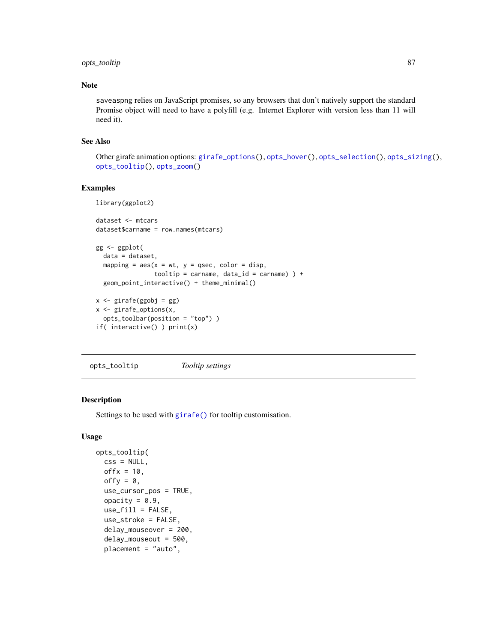# opts\_tooltip 87

# Note

saveaspng relies on JavaScript promises, so any browsers that don't natively support the standard Promise object will need to have a polyfill (e.g. Internet Explorer with version less than 11 will need it).

## See Also

```
Other girafe animation options: girafe_options(), opts_hover(), opts_selection(), opts_sizing(),
opts_tooltip(), opts_zoom()
```
#### Examples

```
library(ggplot2)
```

```
dataset <- mtcars
dataset$carname = row.names(mtcars)
gg <- ggplot(
  data = dataset,
  mapping = aes(x = wt, y = qsec, color = disp,tooltip = carname, data_id = carname) ) +geom_point_interactive() + theme_minimal()
x <- girafe(ggobj = gg)
x <- girafe_options(x,
  opts_toolbar(position = "top") )
```

```
if( interactive() ) print(x)
```
<span id="page-86-0"></span>opts\_tooltip *Tooltip settings*

## Description

Settings to be used with [girafe\(\)](#page-51-0) for tooltip customisation.

# Usage

```
opts_tooltip(
  \text{css} = \text{NULL},
  offx = 10,
  offy = 0,
  use_cursor_pos = TRUE,
  opacity = 0.9,
  use_fill = FALSE,use_stroke = FALSE,
  delay_mouseover = 200,
  delay_mouseout = 500,
  placement = "auto",
```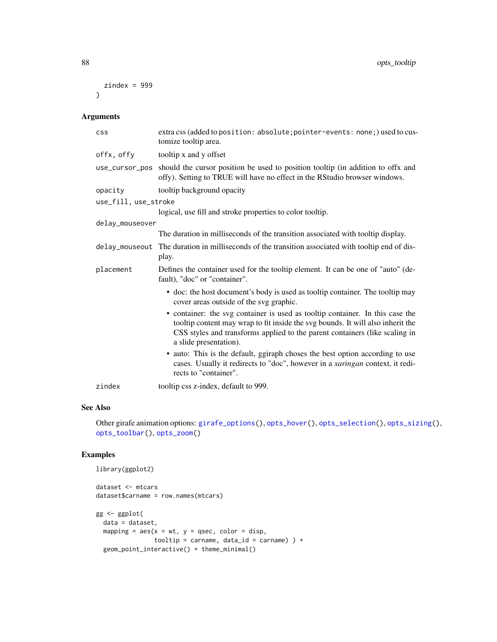```
zindex = 999\lambda
```
# Arguments

| <b>CSS</b>           | extra css (added to position: absolute; pointer-events: none; ) used to cus-<br>tomize tooltip area.                                                                                                                                                                      |
|----------------------|---------------------------------------------------------------------------------------------------------------------------------------------------------------------------------------------------------------------------------------------------------------------------|
| offx, offy           | tooltip x and y offset                                                                                                                                                                                                                                                    |
| use_cursor_pos       | should the cursor position be used to position tooltip (in addition to offx and<br>offy). Setting to TRUE will have no effect in the RStudio browser windows.                                                                                                             |
| opacity              | tooltip background opacity                                                                                                                                                                                                                                                |
| use_fill, use_stroke |                                                                                                                                                                                                                                                                           |
|                      | logical, use fill and stroke properties to color tooltip.                                                                                                                                                                                                                 |
| delay_mouseover      |                                                                                                                                                                                                                                                                           |
|                      | The duration in milliseconds of the transition associated with tooltip display.                                                                                                                                                                                           |
| delay_mouseout       | The duration in milliseconds of the transition associated with tooltip end of dis-<br>play.                                                                                                                                                                               |
| placement            | Defines the container used for the tooltip element. It can be one of "auto" (de-<br>fault), "doc" or "container".                                                                                                                                                         |
|                      | • doc: the host document's body is used as tooltip container. The tooltip may<br>cover areas outside of the svg graphic.                                                                                                                                                  |
|                      | • container: the svg container is used as tooltip container. In this case the<br>tooltip content may wrap to fit inside the svg bounds. It will also inherit the<br>CSS styles and transforms applied to the parent containers (like scaling in<br>a slide presentation). |
|                      | • auto: This is the default, ggiraph choses the best option according to use<br>cases. Usually it redirects to "doc", however in a xaringan context, it redi-<br>rects to "container".                                                                                    |
| zindex               | tooltip css z-index, default to 999.                                                                                                                                                                                                                                      |

# See Also

Other girafe animation options: [girafe\\_options\(](#page-55-0)), [opts\\_hover\(](#page-82-0)), [opts\\_selection\(](#page-83-0)), [opts\\_sizing\(](#page-84-0)), [opts\\_toolbar\(](#page-85-0)), [opts\\_zoom\(](#page-88-0))

# Examples

```
library(ggplot2)
dataset <- mtcars
dataset$carname = row.names(mtcars)
gg <- ggplot(
 data = dataset,
 mapping = aes(x = wt, y = qsec, color = disp,tooltip = carname, data_id = carname) ) +
 geom_point_interactive() + theme_minimal()
```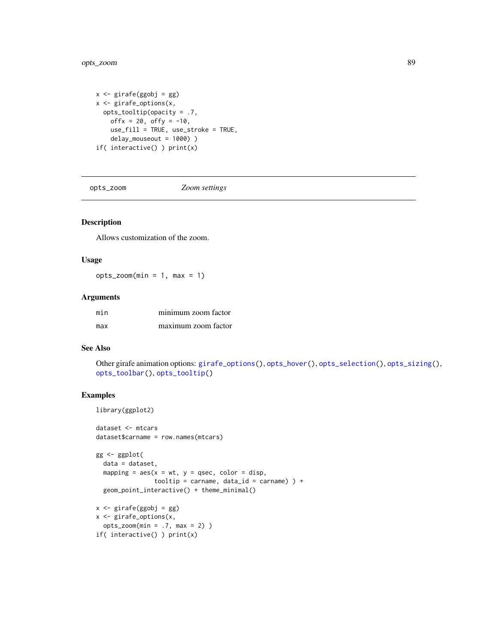```
x <- girafe(ggobj = gg)
x <- girafe_options(x,
 opts_tooltip(opacity = .7,
   offx = 20, offy = -10,
   use_fill = TRUE, use_stroke = TRUE,
    delay_mouseout = 1000) )
if( interactive() ) print(x)
```
<span id="page-88-0"></span>opts\_zoom *Zoom settings*

# Description

Allows customization of the zoom.

## Usage

 $opts_2$ zoom $(min = 1, max = 1)$ 

## Arguments

| min | minimum zoom factor |
|-----|---------------------|
| max | maximum zoom factor |

# See Also

```
Other girafe animation options: girafe_options(), opts_hover(), opts_selection(), opts_sizing(),
opts_toolbar(), opts_tooltip()
```
#### Examples

library(ggplot2)

```
dataset <- mtcars
dataset$carname = row.names(mtcars)
```

```
gg <- ggplot(
  data = dataset,
  mapping = \text{aes}(x = wt, y = qsec, color = disp,tooltip = carname, data_id = carname) ) +
  geom_point_interactive() + theme_minimal()
x <- girafe(ggobj = gg)
x <- girafe_options(x,
```

```
opts_2zoom(min = .7, max = 2))
if( interactive() ) print(x)
```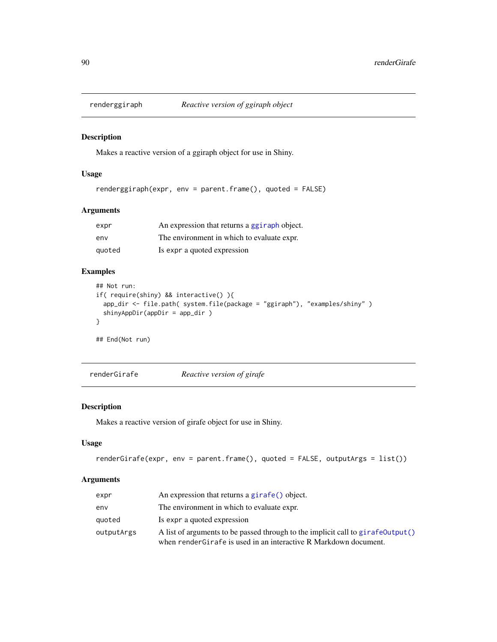## Description

Makes a reactive version of a ggiraph object for use in Shiny.

# Usage

```
renderggiraph(expr, env = parent.frame(), quoted = FALSE)
```
# Arguments

| expr   | An expression that returns a ggiraph object. |
|--------|----------------------------------------------|
| env    | The environment in which to evaluate expr.   |
| quoted | Is expr a quoted expression                  |

# Examples

```
## Not run:
if( require(shiny) && interactive() ){
  app_dir <- file.path( system.file(package = "ggiraph"), "examples/shiny" )
  shinyAppDir(appDir = app_dir )
}
## End(Not run)
```
renderGirafe *Reactive version of girafe*

# Description

Makes a reactive version of girafe object for use in Shiny.

#### Usage

```
renderGirafe(expr, env = parent.frame(), quoted = FALSE, outputArgs = list())
```
# Arguments

| expr       | An expression that returns a girafe() object.                                                                                                        |
|------------|------------------------------------------------------------------------------------------------------------------------------------------------------|
| env        | The environment in which to evaluate expr.                                                                                                           |
| quoted     | Is expr a quoted expression                                                                                                                          |
| outputArgs | A list of arguments to be passed through to the implicit call to girafe0utput()<br>when render Girafe is used in an interactive R Markdown document. |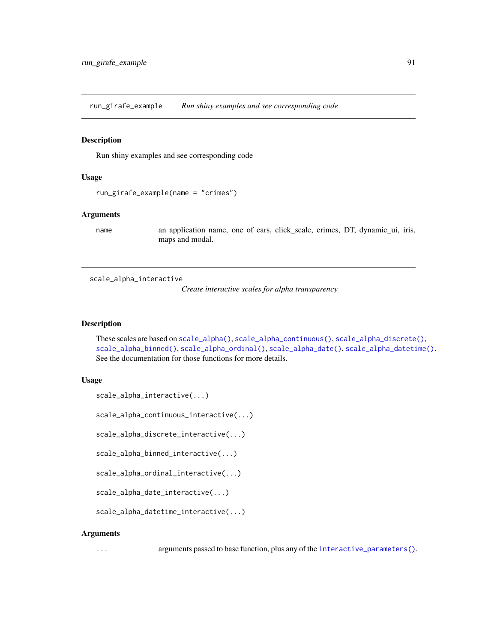run\_girafe\_example *Run shiny examples and see corresponding code*

#### Description

Run shiny examples and see corresponding code

## Usage

```
run_girafe_example(name = "crimes")
```
# Arguments

name an application name, one of cars, click\_scale, crimes, DT, dynamic\_ui, iris, maps and modal.

<span id="page-90-0"></span>scale\_alpha\_interactive

*Create interactive scales for alpha transparency*

#### Description

These scales are based on [scale\\_alpha\(\)](#page-0-0), [scale\\_alpha\\_continuous\(\)](#page-0-0), [scale\\_alpha\\_discrete\(\)](#page-0-0), [scale\\_alpha\\_binned\(\)](#page-0-0), [scale\\_alpha\\_ordinal\(\)](#page-0-0), [scale\\_alpha\\_date\(\)](#page-0-0), [scale\\_alpha\\_datetime\(\)](#page-0-0). See the documentation for those functions for more details.

#### Usage

```
scale_alpha_interactive(...)
```
scale\_alpha\_continuous\_interactive(...)

scale\_alpha\_discrete\_interactive(...)

scale\_alpha\_binned\_interactive(...)

scale\_alpha\_ordinal\_interactive(...)

scale\_alpha\_date\_interactive(...)

```
scale_alpha_datetime_interactive(...)
```
#### Arguments

... arguments passed to base function, plus any of the [interactive\\_parameters\(\)](#page-68-0).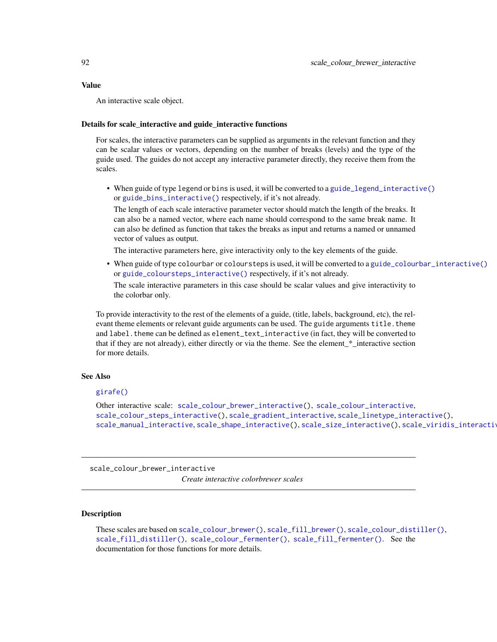## Value

An interactive scale object.

# Details for scale\_interactive and guide\_interactive functions

For scales, the interactive parameters can be supplied as arguments in the relevant function and they can be scalar values or vectors, depending on the number of breaks (levels) and the type of the guide used. The guides do not accept any interactive parameter directly, they receive them from the scales.

• When guide of type legend or bins is used, it will be converted to a [guide\\_legend\\_interactive\(\)](#page-63-0) or [guide\\_bins\\_interactive\(\)](#page-56-0) respectively, if it's not already.

The length of each scale interactive parameter vector should match the length of the breaks. It can also be a named vector, where each name should correspond to the same break name. It can also be defined as function that takes the breaks as input and returns a named or unnamed vector of values as output.

The interactive parameters here, give interactivity only to the key elements of the guide.

• When guide of type colourbar or coloursteps is used, it will be converted to a [guide\\_colourbar\\_interactive\(\)](#page-58-0) or [guide\\_coloursteps\\_interactive\(\)](#page-61-0) respectively, if it's not already.

The scale interactive parameters in this case should be scalar values and give interactivity to the colorbar only.

To provide interactivity to the rest of the elements of a guide, (title, labels, background, etc), the relevant theme elements or relevant guide arguments can be used. The guide arguments title. theme and label. theme can be defined as element\_text\_interactive (in fact, they will be converted to that if they are not already), either directly or via the theme. See the element\_\*\_interactive section for more details.

## See Also

# [girafe\(\)](#page-51-0)

Other interactive scale: [scale\\_colour\\_brewer\\_interactive\(](#page-91-0)), [scale\\_colour\\_interactive](#page-93-0), [scale\\_colour\\_steps\\_interactive\(](#page-95-0)), [scale\\_gradient\\_interactive](#page-96-0), [scale\\_linetype\\_interactive\(](#page-100-0)), [scale\\_manual\\_interactive](#page-101-0), [scale\\_shape\\_interactive\(](#page-104-0)), [scale\\_size\\_interactive\(](#page-106-0)), [scale\\_viridis\\_interactive](#page-107-0)

<span id="page-91-0"></span>scale\_colour\_brewer\_interactive *Create interactive colorbrewer scales*

## **Description**

These scales are based on [scale\\_colour\\_brewer\(\)](#page-0-0), [scale\\_fill\\_brewer\(\)](#page-0-0), [scale\\_colour\\_distiller\(\)](#page-0-0), [scale\\_fill\\_distiller\(\)](#page-0-0), [scale\\_colour\\_fermenter\(\)](#page-0-0), [scale\\_fill\\_fermenter\(\)](#page-0-0). See the documentation for those functions for more details.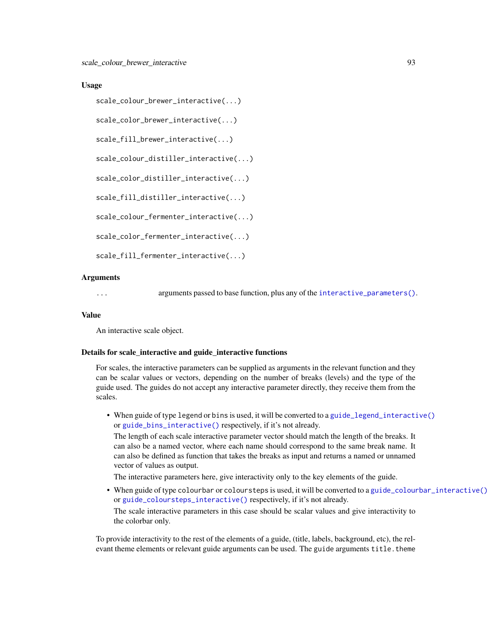## Usage

```
scale_colour_brewer_interactive(...)
```
scale\_color\_brewer\_interactive(...)

scale\_fill\_brewer\_interactive(...)

scale\_colour\_distiller\_interactive(...)

```
scale_color_distiller_interactive(...)
```

```
scale_fill_distiller_interactive(...)
```
scale\_colour\_fermenter\_interactive(...)

scale\_color\_fermenter\_interactive(...)

```
scale_fill_fermenter_interactive(...)
```
#### Arguments

... arguments passed to base function, plus any of the [interactive\\_parameters\(\)](#page-68-0).

#### Value

An interactive scale object.

#### Details for scale\_interactive and guide\_interactive functions

For scales, the interactive parameters can be supplied as arguments in the relevant function and they can be scalar values or vectors, depending on the number of breaks (levels) and the type of the guide used. The guides do not accept any interactive parameter directly, they receive them from the scales.

• When guide of type legend or bins is used, it will be converted to a [guide\\_legend\\_interactive\(\)](#page-63-0) or [guide\\_bins\\_interactive\(\)](#page-56-0) respectively, if it's not already.

The length of each scale interactive parameter vector should match the length of the breaks. It can also be a named vector, where each name should correspond to the same break name. It can also be defined as function that takes the breaks as input and returns a named or unnamed vector of values as output.

The interactive parameters here, give interactivity only to the key elements of the guide.

• When guide of type colourbar or coloursteps is used, it will be converted to a [guide\\_colourbar\\_interactive\(\)](#page-58-0) or [guide\\_coloursteps\\_interactive\(\)](#page-61-0) respectively, if it's not already. The scale interactive parameters in this case should be scalar values and give interactivity to the colorbar only.

To provide interactivity to the rest of the elements of a guide, (title, labels, background, etc), the relevant theme elements or relevant guide arguments can be used. The guide arguments title.theme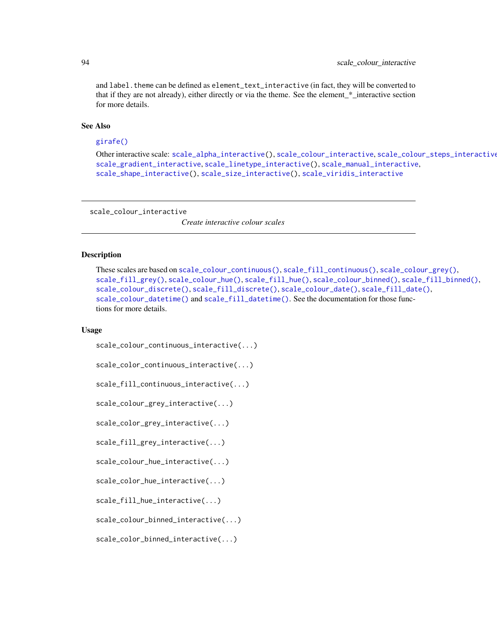and label. theme can be defined as element\_text\_interactive (in fact, they will be converted to that if they are not already), either directly or via the theme. See the element\_\*\_interactive section for more details.

## See Also

# [girafe\(\)](#page-51-0)

```
Other interactive scale: scale_alpha_interactive(), scale_colour_interactive, scale_colour_steps_interactive(),
scale_gradient_interactive, scale_linetype_interactive(), scale_manual_interactive,
scale_shape_interactive(), scale_size_interactive(), scale_viridis_interactive
```
<span id="page-93-0"></span>scale\_colour\_interactive

*Create interactive colour scales*

## Description

```
These scales are based on scale_colour_continuous(), scale_fill_continuous(), scale_colour_grey(),
scale_fill_grey(), scale_colour_hue(), scale_fill_hue(), scale_colour_binned(), scale_fill_binned(),
scale_colour_discrete(), scale_fill_discrete(), scale_colour_date(), scale_fill_date(),
scale_colour_datetime() and scale_fill_datetime(). See the documentation for those func-
tions for more details.
```
#### Usage

```
scale_colour_continuous_interactive(...)
```

```
scale_color_continuous_interactive(...)
```
scale\_fill\_continuous\_interactive(...)

```
scale_colour_grey_interactive(...)
```
scale\_color\_grey\_interactive(...)

scale\_fill\_grey\_interactive(...)

scale\_colour\_hue\_interactive(...)

```
scale_color_hue_interactive(...)
```
scale\_fill\_hue\_interactive(...)

scale\_colour\_binned\_interactive(...)

scale\_color\_binned\_interactive(...)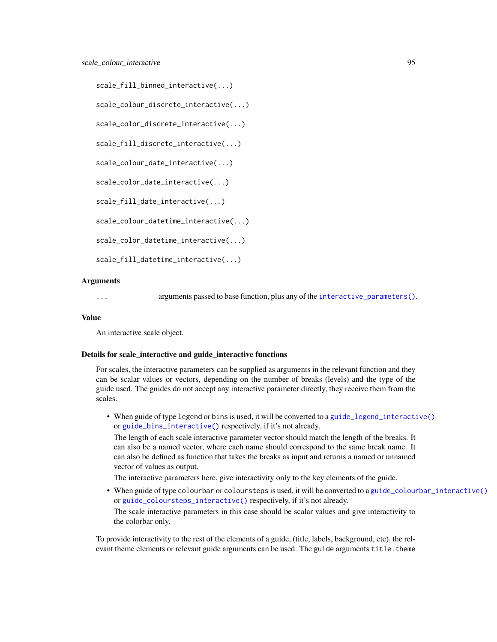```
scale_fill_binned_interactive(...)
```
scale\_colour\_discrete\_interactive(...)

```
scale_color_discrete_interactive(...)
```
scale\_fill\_discrete\_interactive(...)

```
scale_colour_date_interactive(...)
```
scale\_color\_date\_interactive(...)

scale\_fill\_date\_interactive(...)

scale\_colour\_datetime\_interactive(...)

scale\_color\_datetime\_interactive(...)

scale\_fill\_datetime\_interactive(...)

# Arguments

... arguments passed to base function, plus any of the [interactive\\_parameters\(\)](#page-68-0).

#### Value

An interactive scale object.

#### Details for scale\_interactive and guide\_interactive functions

For scales, the interactive parameters can be supplied as arguments in the relevant function and they can be scalar values or vectors, depending on the number of breaks (levels) and the type of the guide used. The guides do not accept any interactive parameter directly, they receive them from the scales.

• When guide of type legend or bins is used, it will be converted to a [guide\\_legend\\_interactive\(\)](#page-63-0) or [guide\\_bins\\_interactive\(\)](#page-56-0) respectively, if it's not already.

The length of each scale interactive parameter vector should match the length of the breaks. It can also be a named vector, where each name should correspond to the same break name. It can also be defined as function that takes the breaks as input and returns a named or unnamed vector of values as output.

The interactive parameters here, give interactivity only to the key elements of the guide.

• When guide of type colourbar or coloursteps is used, it will be converted to a [guide\\_colourbar\\_interactive\(\)](#page-58-0) or [guide\\_coloursteps\\_interactive\(\)](#page-61-0) respectively, if it's not already. The scale interactive parameters in this case should be scalar values and give interactivity to the colorbar only.

To provide interactivity to the rest of the elements of a guide, (title, labels, background, etc), the relevant theme elements or relevant guide arguments can be used. The guide arguments title.theme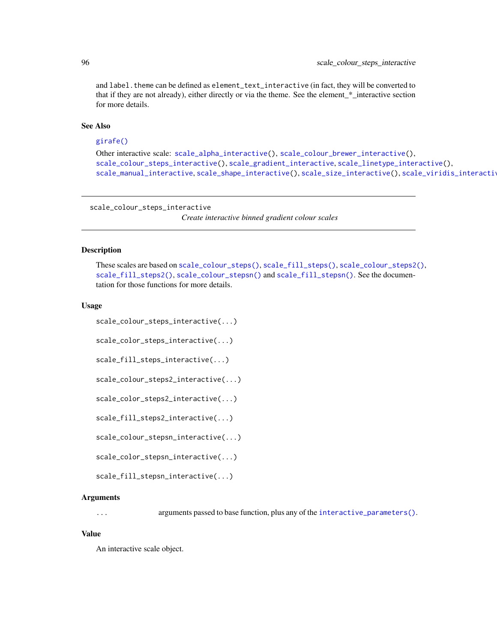and label. theme can be defined as element\_text\_interactive (in fact, they will be converted to that if they are not already), either directly or via the theme. See the element\_\*\_interactive section for more details.

# See Also

## [girafe\(\)](#page-51-0)

```
Other interactive scale: scale_alpha_interactive(), scale_colour_brewer_interactive(),
scale_colour_steps_interactive(), scale_gradient_interactive, scale_linetype_interactive(),
scale_manual_interactive, scale_shape_interactive(), scale_size_interactive(), scale_viridis_interactive
```
<span id="page-95-0"></span>scale\_colour\_steps\_interactive

*Create interactive binned gradient colour scales*

#### Description

These scales are based on [scale\\_colour\\_steps\(\)](#page-0-0), [scale\\_fill\\_steps\(\)](#page-0-0), [scale\\_colour\\_steps2\(\)](#page-0-0), [scale\\_fill\\_steps2\(\)](#page-0-0), [scale\\_colour\\_stepsn\(\)](#page-0-0) and [scale\\_fill\\_stepsn\(\)](#page-0-0). See the documentation for those functions for more details.

#### Usage

```
scale_colour_steps_interactive(...)
```
scale\_color\_steps\_interactive(...)

scale\_fill\_steps\_interactive(...)

scale\_colour\_steps2\_interactive(...)

```
scale_color_steps2_interactive(...)
```
scale\_fill\_steps2\_interactive(...)

scale\_colour\_stepsn\_interactive(...)

scale\_color\_stepsn\_interactive(...)

scale\_fill\_stepsn\_interactive(...)

#### Arguments

... arguments passed to base function, plus any of the [interactive\\_parameters\(\)](#page-68-0).

#### Value

An interactive scale object.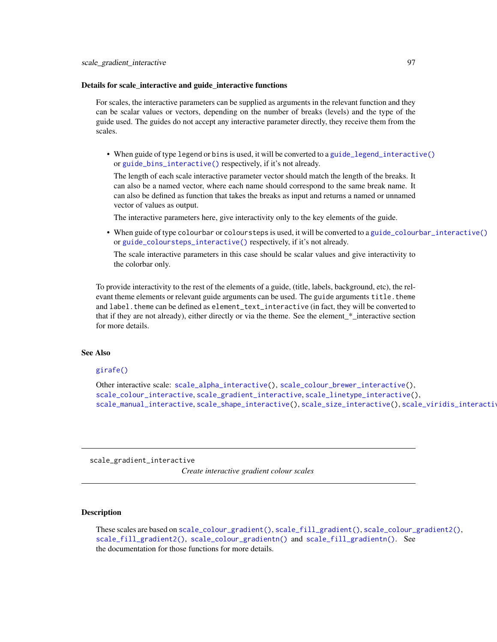#### Details for scale\_interactive and guide\_interactive functions

For scales, the interactive parameters can be supplied as arguments in the relevant function and they can be scalar values or vectors, depending on the number of breaks (levels) and the type of the guide used. The guides do not accept any interactive parameter directly, they receive them from the scales.

• When guide of type legend or bins is used, it will be converted to a [guide\\_legend\\_interactive\(\)](#page-63-0) or [guide\\_bins\\_interactive\(\)](#page-56-0) respectively, if it's not already.

The length of each scale interactive parameter vector should match the length of the breaks. It can also be a named vector, where each name should correspond to the same break name. It can also be defined as function that takes the breaks as input and returns a named or unnamed vector of values as output.

The interactive parameters here, give interactivity only to the key elements of the guide.

• When guide of type colourbar or coloursteps is used, it will be converted to a [guide\\_colourbar\\_interactive\(\)](#page-58-0) or [guide\\_coloursteps\\_interactive\(\)](#page-61-0) respectively, if it's not already.

The scale interactive parameters in this case should be scalar values and give interactivity to the colorbar only.

To provide interactivity to the rest of the elements of a guide, (title, labels, background, etc), the relevant theme elements or relevant guide arguments can be used. The guide arguments title. theme and label. theme can be defined as element\_text\_interactive (in fact, they will be converted to that if they are not already), either directly or via the theme. See the element\_\*\_interactive section for more details.

## See Also

# [girafe\(\)](#page-51-0)

Other interactive scale: [scale\\_alpha\\_interactive\(](#page-90-0)), [scale\\_colour\\_brewer\\_interactive\(](#page-91-0)), [scale\\_colour\\_interactive](#page-93-0), [scale\\_gradient\\_interactive](#page-96-0), [scale\\_linetype\\_interactive\(](#page-100-0)), [scale\\_manual\\_interactive](#page-101-0), [scale\\_shape\\_interactive\(](#page-104-0)), [scale\\_size\\_interactive\(](#page-106-0)), [scale\\_viridis\\_interactive](#page-107-0)

<span id="page-96-0"></span>scale\_gradient\_interactive

*Create interactive gradient colour scales*

#### Description

These scales are based on [scale\\_colour\\_gradient\(\)](#page-0-0), [scale\\_fill\\_gradient\(\)](#page-0-0), [scale\\_colour\\_gradient2\(\)](#page-0-0), [scale\\_fill\\_gradient2\(\)](#page-0-0), [scale\\_colour\\_gradientn\(\)](#page-0-0) and [scale\\_fill\\_gradientn\(\)](#page-0-0). See the documentation for those functions for more details.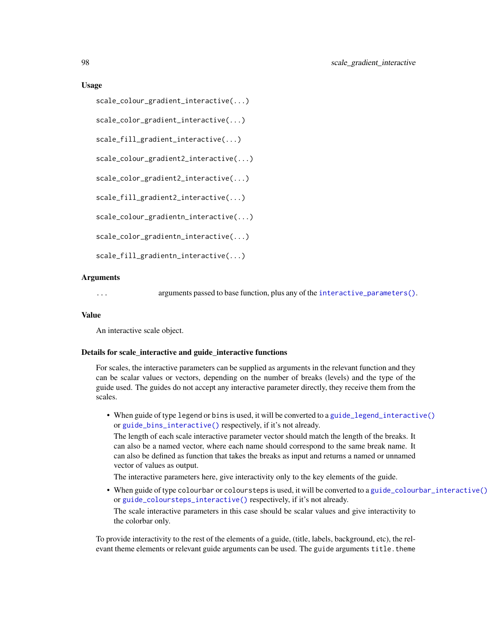#### Usage

```
scale_colour_gradient_interactive(...)
```

```
scale_color_gradient_interactive(...)
```

```
scale_fill_gradient_interactive(...)
```

```
scale_colour_gradient2_interactive(...)
```

```
scale_color_gradient2_interactive(...)
```

```
scale_fill_gradient2_interactive(...)
```

```
scale_colour_gradientn_interactive(...)
```

```
scale_color_gradientn_interactive(...)
```

```
scale_fill_gradientn_interactive(...)
```
#### Arguments

... arguments passed to base function, plus any of the [interactive\\_parameters\(\)](#page-68-0).

#### Value

An interactive scale object.

#### Details for scale\_interactive and guide\_interactive functions

For scales, the interactive parameters can be supplied as arguments in the relevant function and they can be scalar values or vectors, depending on the number of breaks (levels) and the type of the guide used. The guides do not accept any interactive parameter directly, they receive them from the scales.

• When guide of type legend or bins is used, it will be converted to a [guide\\_legend\\_interactive\(\)](#page-63-0) or [guide\\_bins\\_interactive\(\)](#page-56-0) respectively, if it's not already.

The length of each scale interactive parameter vector should match the length of the breaks. It can also be a named vector, where each name should correspond to the same break name. It can also be defined as function that takes the breaks as input and returns a named or unnamed vector of values as output.

The interactive parameters here, give interactivity only to the key elements of the guide.

• When guide of type colourbar or coloursteps is used, it will be converted to a [guide\\_colourbar\\_interactive\(\)](#page-58-0) or [guide\\_coloursteps\\_interactive\(\)](#page-61-0) respectively, if it's not already. The scale interactive parameters in this case should be scalar values and give interactivity to the colorbar only.

To provide interactivity to the rest of the elements of a guide, (title, labels, background, etc), the relevant theme elements or relevant guide arguments can be used. The guide arguments title. theme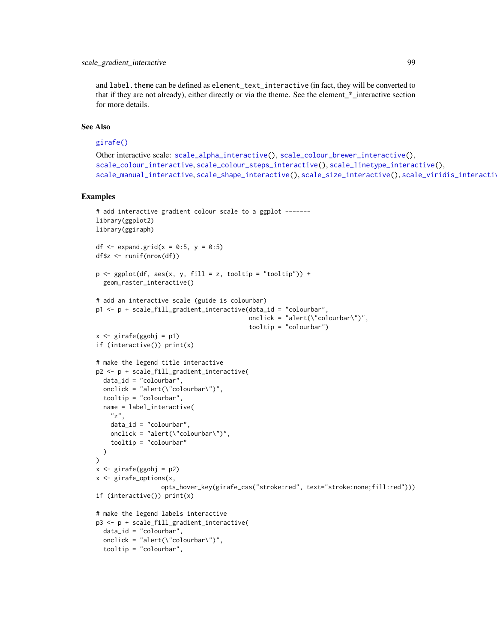# scale\_gradient\_interactive 99

and label. theme can be defined as element\_text\_interactive (in fact, they will be converted to that if they are not already), either directly or via the theme. See the element\_\*\_interactive section for more details.

## See Also

# [girafe\(\)](#page-51-0)

```
Other interactive scale: scale_alpha_interactive(), scale_colour_brewer_interactive(),
scale_colour_interactive, scale_colour_steps_interactive(), scale_linetype_interactive(),
scale_manual_interactive, scale_shape_interactive(), scale_size_interactive(), scale_viridis_interactive
```
## Examples

```
# add interactive gradient colour scale to a ggplot ------
library(ggplot2)
library(ggiraph)
df \leq expand.grid(x = 0:5, y = 0:5)
df$z <- runif(nrow(df))
p \leftarrow \text{ggplot}(df, \text{aes}(x, y, \text{fill} = z, \text{tooltip} = "tooltip")) +
  geom_raster_interactive()
# add an interactive scale (guide is colourbar)
p1 <- p + scale_fill_gradient_interactive(data_id = "colourbar",
                                            onclick = "alert(\"colourbar\")",
                                            tooltip = "colourbar")
x \le - girafe(ggobj = p1)
if (interactive()) print(x)
# make the legend title interactive
p2 <- p + scale_fill_gradient_interactive(
  data_id = "colourbar",
  onclick = "alert(\Upsilon"colourbar\Upsilon",
  tooltip = "colourbar",
  name = label_interactive(
    "z",data_id = "colourbar",
    onclick = "alert(\"colourbar\")",
    tooltip = "colourbar"
  )
\lambdax <- girafe(ggobj = p2)
x <- girafe_options(x,
                   opts_hover_key(girafe_css("stroke:red", text="stroke:none;fill:red")))
if (interactive()) print(x)
# make the legend labels interactive
p3 <- p + scale_fill_gradient_interactive(
  data_id = "colourbar",
  onclick = "alert(\"colourbar\")",
  tooltip = "colourbar",
```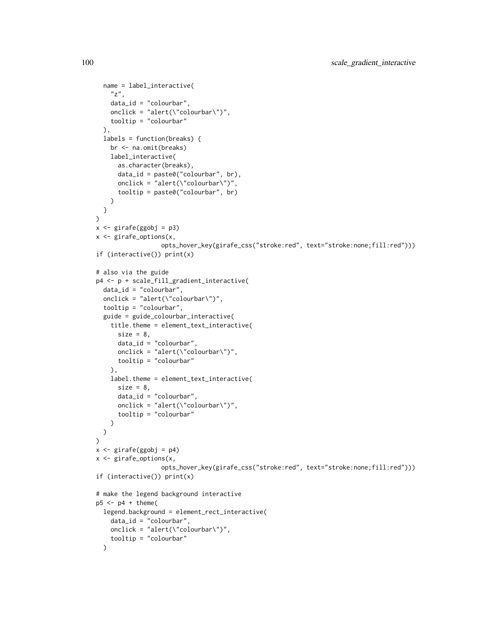```
name = label_interactive(
    "z",data_id = "colourbar",
   onclick = "alert(\"colourbar\")",
   tooltip = "colourbar"
  ),
  labels = function(breaks) {
   br <- na.omit(breaks)
   label_interactive(
      as.character(breaks),
      data_id = paste0("colourbar", br),
      onclick = "alert(\"colourbar\")",
      tooltip = paste0("colourbar", br)
   )
  }
)
x <- girafe(ggobj = p3)
x <- girafe_options(x,
                  opts_hover_key(girafe_css("stroke:red", text="stroke:none;fill:red")))
if (interactive()) print(x)
# also via the guide
p4 <- p + scale_fill_gradient_interactive(
  data_id = "colourbar",
  onclick = "alert(\"colourbar\")",
  tooltip = "colourbar",
  guide = guide_colourbar_interactive(
   title.theme = element_text_interactive(
      size = 8,
      data_id = "colourbar",
      onclick = "alert(\"colourbar\")",
     tooltip = "colourbar"
   ),
    label.theme = element_text_interactive(
      size = 8,
      data_id = "colourbar",
      onclick = "alert(\"colourbar\")",
      tooltip = "colourbar"
   )
  )
)
x <- girafe(ggobj = p4)
x <- girafe_options(x,
                  opts_hover_key(girafe_css("stroke:red", text="stroke:none;fill:red")))
if (interactive()) print(x)
# make the legend background interactive
p5 \leq -p4 + \text{ theme}legend.background = element_rect_interactive(
   data_id = "colourbar",
   onclick = "alert(\"colourbar\")",
    tooltip = "colourbar"
  )
```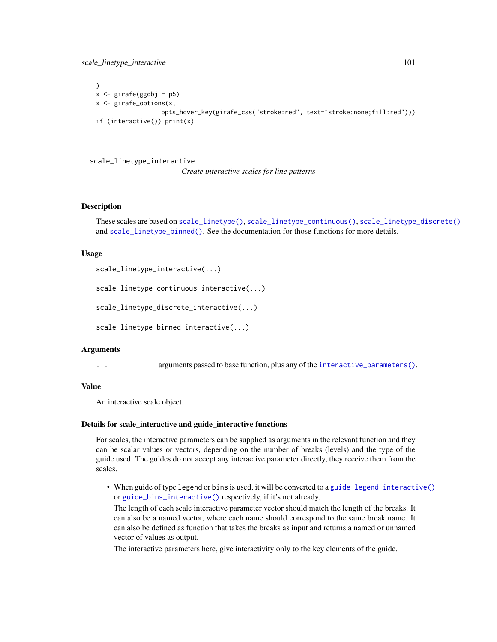scale\_linetype\_interactive 101

```
\lambdax \leftarrow girafe(ggobj = p5)
x <- girafe_options(x,
                   opts_hover_key(girafe_css("stroke:red", text="stroke:none;fill:red")))
if (interactive()) print(x)
```
<span id="page-100-0"></span>scale\_linetype\_interactive

*Create interactive scales for line patterns*

#### Description

These scales are based on [scale\\_linetype\(\)](#page-0-0), [scale\\_linetype\\_continuous\(\)](#page-0-0), [scale\\_linetype\\_discrete\(\)](#page-0-0) and [scale\\_linetype\\_binned\(\)](#page-0-0). See the documentation for those functions for more details.

#### Usage

scale\_linetype\_interactive(...)

scale\_linetype\_continuous\_interactive(...)

scale\_linetype\_discrete\_interactive(...)

scale\_linetype\_binned\_interactive(...)

#### Arguments

... arguments passed to base function, plus any of the [interactive\\_parameters\(\)](#page-68-0).

#### Value

An interactive scale object.

## Details for scale\_interactive and guide\_interactive functions

For scales, the interactive parameters can be supplied as arguments in the relevant function and they can be scalar values or vectors, depending on the number of breaks (levels) and the type of the guide used. The guides do not accept any interactive parameter directly, they receive them from the scales.

• When guide of type legend or bins is used, it will be converted to a [guide\\_legend\\_interactive\(\)](#page-63-0) or [guide\\_bins\\_interactive\(\)](#page-56-0) respectively, if it's not already.

The length of each scale interactive parameter vector should match the length of the breaks. It can also be a named vector, where each name should correspond to the same break name. It can also be defined as function that takes the breaks as input and returns a named or unnamed vector of values as output.

The interactive parameters here, give interactivity only to the key elements of the guide.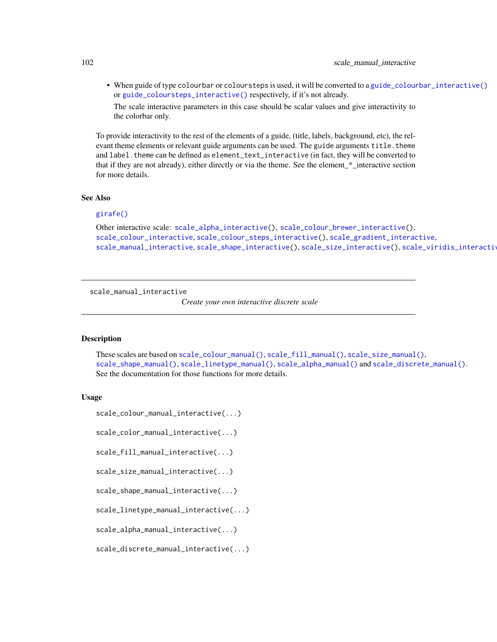• When guide of type colourbar or coloursteps is used, it will be converted to a [guide\\_colourbar\\_interactive\(\)](#page-58-0) or [guide\\_coloursteps\\_interactive\(\)](#page-61-0) respectively, if it's not already.

The scale interactive parameters in this case should be scalar values and give interactivity to the colorbar only.

To provide interactivity to the rest of the elements of a guide, (title, labels, background, etc), the relevant theme elements or relevant guide arguments can be used. The guide arguments title.theme and label. theme can be defined as element\_text\_interactive (in fact, they will be converted to that if they are not already), either directly or via the theme. See the element\_\*\_interactive section for more details.

#### See Also

## [girafe\(\)](#page-51-0)

```
Other interactive scale: scale_alpha_interactive(), scale_colour_brewer_interactive(),
scale_colour_interactive, scale_colour_steps_interactive(), scale_gradient_interactive,
scale_manual_interactive, scale_shape_interactive(), scale_size_interactive(), scale_viridis_interactive
```
<span id="page-101-0"></span>scale\_manual\_interactive

*Create your own interactive discrete scale*

# **Description**

These scales are based on [scale\\_colour\\_manual\(\)](#page-0-0), [scale\\_fill\\_manual\(\)](#page-0-0), [scale\\_size\\_manual\(\)](#page-0-0), [scale\\_shape\\_manual\(\)](#page-0-0), [scale\\_linetype\\_manual\(\)](#page-0-0), [scale\\_alpha\\_manual\(\)](#page-0-0) and [scale\\_discrete\\_manual\(\)](#page-0-0). See the documentation for those functions for more details.

## Usage

```
scale_colour_manual_interactive(...)
```
scale\_color\_manual\_interactive(...)

scale\_fill\_manual\_interactive(...)

scale\_size\_manual\_interactive(...)

scale\_shape\_manual\_interactive(...)

scale\_linetype\_manual\_interactive(...)

scale\_alpha\_manual\_interactive(...)

scale\_discrete\_manual\_interactive(...)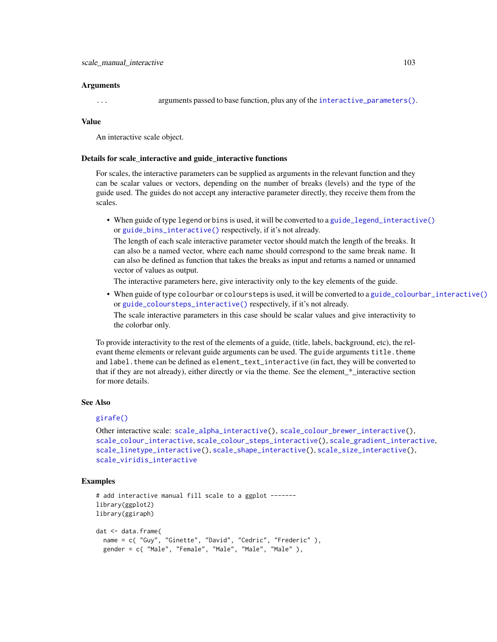#### Arguments

... arguments passed to base function, plus any of the [interactive\\_parameters\(\)](#page-68-0).

## Value

An interactive scale object.

## Details for scale\_interactive and guide\_interactive functions

For scales, the interactive parameters can be supplied as arguments in the relevant function and they can be scalar values or vectors, depending on the number of breaks (levels) and the type of the guide used. The guides do not accept any interactive parameter directly, they receive them from the scales.

• When guide of type legend or bins is used, it will be converted to a guide legend interactive() or [guide\\_bins\\_interactive\(\)](#page-56-0) respectively, if it's not already.

The length of each scale interactive parameter vector should match the length of the breaks. It can also be a named vector, where each name should correspond to the same break name. It can also be defined as function that takes the breaks as input and returns a named or unnamed vector of values as output.

The interactive parameters here, give interactivity only to the key elements of the guide.

• When guide of type colourbar or coloursteps is used, it will be converted to a [guide\\_colourbar\\_interactive\(\)](#page-58-0) or [guide\\_coloursteps\\_interactive\(\)](#page-61-0) respectively, if it's not already.

The scale interactive parameters in this case should be scalar values and give interactivity to the colorbar only.

To provide interactivity to the rest of the elements of a guide, (title, labels, background, etc), the relevant theme elements or relevant guide arguments can be used. The guide arguments title. theme and label. theme can be defined as element\_text\_interactive (in fact, they will be converted to that if they are not already), either directly or via the theme. See the element\_\*\_interactive section for more details.

#### See Also

## [girafe\(\)](#page-51-0)

Other interactive scale: [scale\\_alpha\\_interactive\(](#page-90-0)), [scale\\_colour\\_brewer\\_interactive\(](#page-91-0)), [scale\\_colour\\_interactive](#page-93-0), [scale\\_colour\\_steps\\_interactive\(](#page-95-0)), [scale\\_gradient\\_interactive](#page-96-0), [scale\\_linetype\\_interactive\(](#page-100-0)), [scale\\_shape\\_interactive\(](#page-104-0)), [scale\\_size\\_interactive\(](#page-106-0)), [scale\\_viridis\\_interactive](#page-107-0)

## Examples

```
# add interactive manual fill scale to a ggplot -------
library(ggplot2)
library(ggiraph)
dat <- data.frame(
  name = c( "Guy", "Ginette", "David", "Cedric", "Frederic" ),
  gender = c( "Male", "Female", "Male", "Male", "Male" ),
```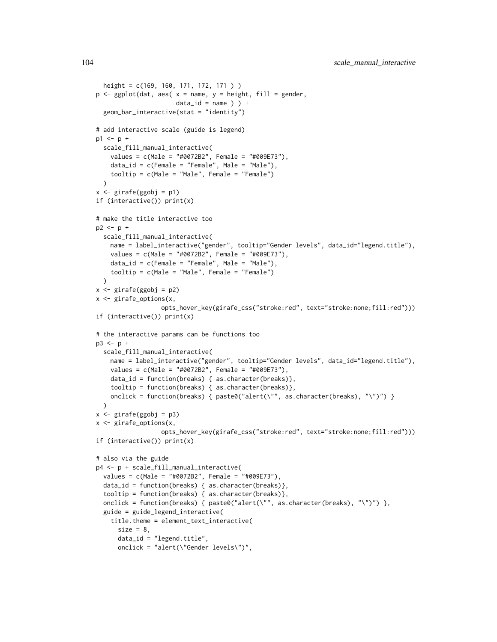```
height = c(169, 160, 171, 172, 171 ) )
p \leq - ggplot(dat, aes( x = name, y = height, fill = gender,
                      data_id = name ) +
  geom_bar_interactive(stat = "identity")
# add interactive scale (guide is legend)
p1 \le p +scale_fill_manual_interactive(
    values = c(Male = "#0072B2", Female = "#009E73"),
    data_id = c(Female = "Female", Male = "Male"),
    tooltip = c(Male = "Male", Female = "Female")
  \lambdax \leftarrow girafe(ggobj = p1)
if (interactive()) print(x)
# make the title interactive too
p2 < -p +scale_fill_manual_interactive(
   name = label_interactive("gender", tooltip="Gender levels", data_id="legend.title"),
    values = c(Male = "#0072B2", Female = "#009E73"),
   data_id = c(Female = "Female", Male = "Male"),tooltip = c(Male = "Male", Female = "Female")
  \lambdax <- girafe(ggobj = p2)
x <- girafe_options(x,
                  opts_hover_key(girafe_css("stroke:red", text="stroke:none;fill:red")))
if (interactive()) print(x)
# the interactive params can be functions too
p3 \le p +scale_fill_manual_interactive(
   name = label_interactive("gender", tooltip="Gender levels", data_id="legend.title"),
   values = c(Male = "#0072B2", Female = "#009E73"),
    data_id = function(breaks) { as.character(breaks)},
    tooltip = function(breaks) { as.character(breaks)},
   onclick = function(breaks) {    paste0("alert(\"", as.character(breaks), "\")") }
  \lambdax \leftarrow girafe(ggobj = p3)
x <- girafe_options(x,
                  opts_hover_key(girafe_css("stroke:red", text="stroke:none;fill:red")))
if (interactive()) print(x)
# also via the guide
p4 <- p + scale_fill_manual_interactive(
  values = c(Male = "#0072B2", Female = "#009E73"),
  data_id = function(breaks) { as.character(breaks)},
  tooltip = function(breaks) { as.character(breaks)},
  onclick = function(breaks) {    paste0("alert(\"", as.character(breaks), "\")") },
  guide = guide_legend_interactive(
    title.theme = element_text_interactive(
      size = 8,
      data_id = "legend.title",
      onclick = "alert(\"Gender levels\")",
```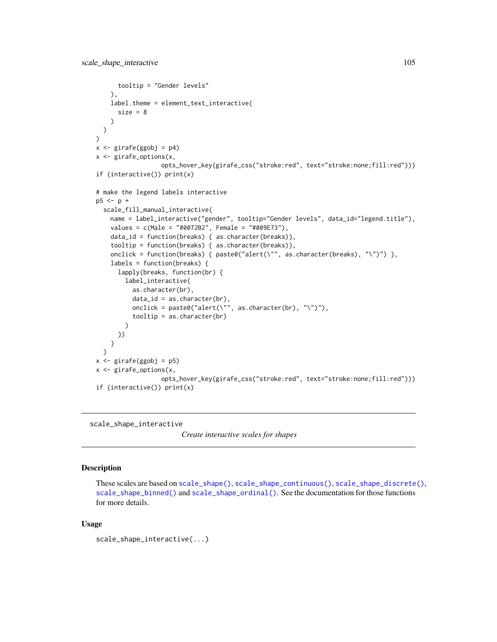```
tooltip = "Gender levels"
   ),
   label.theme = element_text_interactive(
      size = 8)
  \mathcal{L})
x \leftarrow girafe(ggobj = p4)
x <- girafe_options(x,
                  opts_hover_key(girafe_css("stroke:red", text="stroke:none;fill:red")))
if (interactive()) print(x)
# make the legend labels interactive
p5 < -p +scale_fill_manual_interactive(
   name = label_interactive("gender", tooltip="Gender levels", data_id="legend.title"),
    values = c(Male = "#0072B2", Female = "#009E73"),
    data_id = function(breaks) { as.character(breaks)},
    tooltip = function(breaks) { as.character(breaks)},
    onclick = function(breaks) { past@('alert(\'", as.charAtacter(breaks), "\\'')") },
    labels = function(breaks) {
      lapply(breaks, function(br) {
        label_interactive(
          as.character(br),
          data_id = as.character(br),
          onclick = paste0("alert(\"", as.character(br), "\")"),
          tooltip = as.character(br)
        )
     })
    }
  )
x <- girafe(ggobj = p5)
x <- girafe_options(x,
                  opts_hover_key(girafe_css("stroke:red", text="stroke:none;fill:red")))
if (interactive()) print(x)
```
<span id="page-104-0"></span>scale\_shape\_interactive

*Create interactive scales for shapes*

# Description

These scales are based on [scale\\_shape\(\)](#page-0-0), [scale\\_shape\\_continuous\(\)](#page-0-0), [scale\\_shape\\_discrete\(\)](#page-0-0), [scale\\_shape\\_binned\(\)](#page-0-0) and [scale\\_shape\\_ordinal\(\)](#page-0-0). See the documentation for those functions for more details.

#### Usage

scale\_shape\_interactive(...)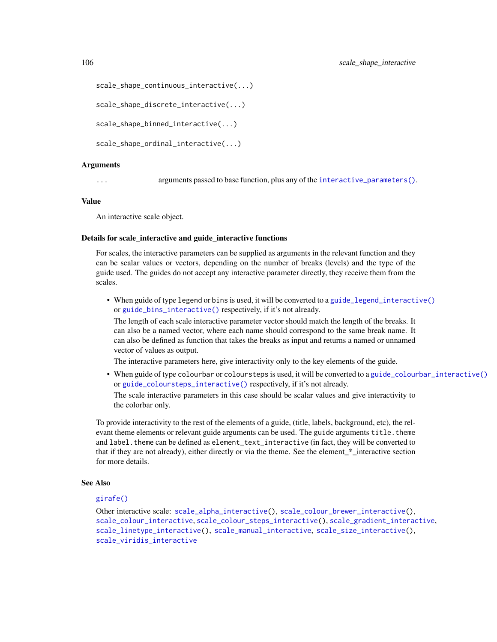```
scale_shape_continuous_interactive(...)
```

```
scale_shape_discrete_interactive(...)
```
scale\_shape\_binned\_interactive(...)

scale\_shape\_ordinal\_interactive(...)

#### Arguments

... arguments passed to base function, plus any of the [interactive\\_parameters\(\)](#page-68-0).

#### Value

An interactive scale object.

#### Details for scale\_interactive and guide\_interactive functions

For scales, the interactive parameters can be supplied as arguments in the relevant function and they can be scalar values or vectors, depending on the number of breaks (levels) and the type of the guide used. The guides do not accept any interactive parameter directly, they receive them from the scales.

• When guide of type legend or bins is used, it will be converted to a [guide\\_legend\\_interactive\(\)](#page-63-0) or [guide\\_bins\\_interactive\(\)](#page-56-0) respectively, if it's not already.

The length of each scale interactive parameter vector should match the length of the breaks. It can also be a named vector, where each name should correspond to the same break name. It can also be defined as function that takes the breaks as input and returns a named or unnamed vector of values as output.

The interactive parameters here, give interactivity only to the key elements of the guide.

• When guide of type colourbar or coloursteps is used, it will be converted to a [guide\\_colourbar\\_interactive\(\)](#page-58-0) or [guide\\_coloursteps\\_interactive\(\)](#page-61-0) respectively, if it's not already.

The scale interactive parameters in this case should be scalar values and give interactivity to the colorbar only.

To provide interactivity to the rest of the elements of a guide, (title, labels, background, etc), the relevant theme elements or relevant guide arguments can be used. The guide arguments title.theme and label. theme can be defined as element\_text\_interactive (in fact, they will be converted to that if they are not already), either directly or via the theme. See the element\_\*\_interactive section for more details.

## See Also

# [girafe\(\)](#page-51-0)

Other interactive scale: [scale\\_alpha\\_interactive\(](#page-90-0)), [scale\\_colour\\_brewer\\_interactive\(](#page-91-0)), [scale\\_colour\\_interactive](#page-93-0), [scale\\_colour\\_steps\\_interactive\(](#page-95-0)), [scale\\_gradient\\_interactive](#page-96-0), [scale\\_linetype\\_interactive\(](#page-100-0)), [scale\\_manual\\_interactive](#page-101-0), [scale\\_size\\_interactive\(](#page-106-0)), [scale\\_viridis\\_interactive](#page-107-0)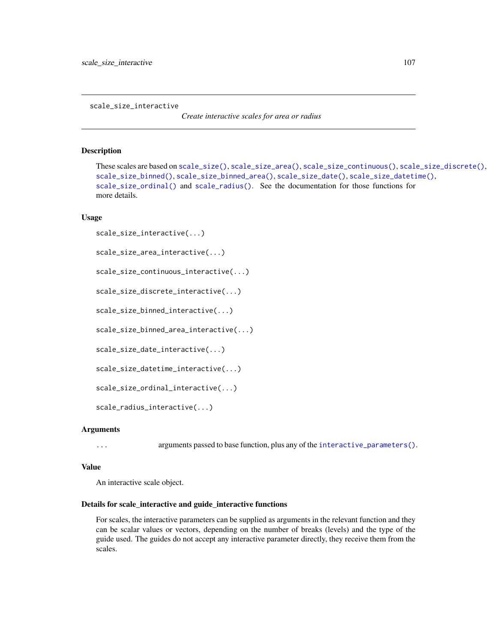<span id="page-106-0"></span>scale\_size\_interactive

*Create interactive scales for area or radius*

## Description

```
These scales are based on scale_size(), scale_size_area(), scale_size_continuous(), scale_size_discrete(),
scale_size_binned(), scale_size_binned_area(), scale_size_date(), scale_size_datetime(),
scale_size_ordinal() and scale_radius(). See the documentation for those functions for
more details.
```
# Usage

```
scale_size_interactive(...)
```

```
scale_size_area_interactive(...)
```
scale\_size\_continuous\_interactive(...)

```
scale_size_discrete_interactive(...)
```
scale\_size\_binned\_interactive(...)

scale\_size\_binned\_area\_interactive(...)

scale\_size\_date\_interactive(...)

scale\_size\_datetime\_interactive(...)

scale\_size\_ordinal\_interactive(...)

```
scale_radius_interactive(...)
```
# Arguments

... arguments passed to base function, plus any of the [interactive\\_parameters\(\)](#page-68-0).

#### Value

An interactive scale object.

## Details for scale\_interactive and guide\_interactive functions

For scales, the interactive parameters can be supplied as arguments in the relevant function and they can be scalar values or vectors, depending on the number of breaks (levels) and the type of the guide used. The guides do not accept any interactive parameter directly, they receive them from the scales.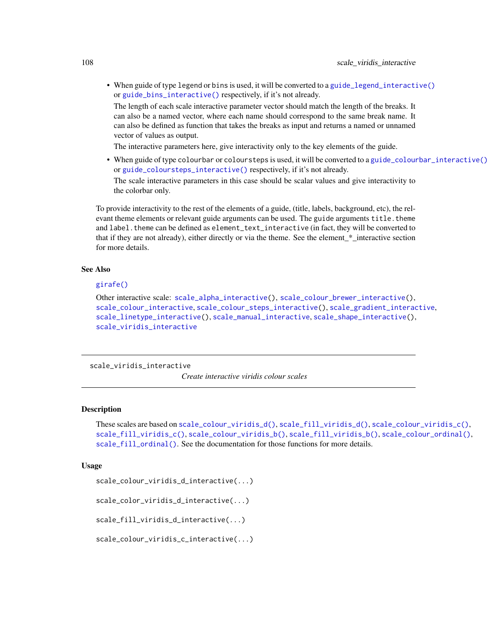• When guide of type legend or bins is used, it will be converted to a [guide\\_legend\\_interactive\(\)](#page-63-0) or [guide\\_bins\\_interactive\(\)](#page-56-0) respectively, if it's not already.

The length of each scale interactive parameter vector should match the length of the breaks. It can also be a named vector, where each name should correspond to the same break name. It can also be defined as function that takes the breaks as input and returns a named or unnamed vector of values as output.

The interactive parameters here, give interactivity only to the key elements of the guide.

• When guide of type colourbar or coloursteps is used, it will be converted to a [guide\\_colourbar\\_interactive\(\)](#page-58-0) or [guide\\_coloursteps\\_interactive\(\)](#page-61-0) respectively, if it's not already.

The scale interactive parameters in this case should be scalar values and give interactivity to the colorbar only.

To provide interactivity to the rest of the elements of a guide, (title, labels, background, etc), the relevant theme elements or relevant guide arguments can be used. The guide arguments title. theme and label. theme can be defined as element\_text\_interactive (in fact, they will be converted to that if they are not already), either directly or via the theme. See the element\_\*\_interactive section for more details.

#### See Also

## [girafe\(\)](#page-51-0)

Other interactive scale: [scale\\_alpha\\_interactive\(](#page-90-0)), [scale\\_colour\\_brewer\\_interactive\(](#page-91-0)), [scale\\_colour\\_interactive](#page-93-0), [scale\\_colour\\_steps\\_interactive\(](#page-95-0)), [scale\\_gradient\\_interactive](#page-96-0), [scale\\_linetype\\_interactive\(](#page-100-0)), [scale\\_manual\\_interactive](#page-101-0), [scale\\_shape\\_interactive\(](#page-104-0)), [scale\\_viridis\\_interactive](#page-107-0)

<span id="page-107-0"></span>scale\_viridis\_interactive

*Create interactive viridis colour scales*

## **Description**

These scales are based on [scale\\_colour\\_viridis\\_d\(\)](#page-0-0), [scale\\_fill\\_viridis\\_d\(\)](#page-0-0), [scale\\_colour\\_viridis\\_c\(\)](#page-0-0), [scale\\_fill\\_viridis\\_c\(\)](#page-0-0), [scale\\_colour\\_viridis\\_b\(\)](#page-0-0), [scale\\_fill\\_viridis\\_b\(\)](#page-0-0), [scale\\_colour\\_ordinal\(\)](#page-0-0), [scale\\_fill\\_ordinal\(\)](#page-0-0). See the documentation for those functions for more details.

# Usage

scale\_colour\_viridis\_d\_interactive(...)

scale\_color\_viridis\_d\_interactive(...)

scale\_fill\_viridis\_d\_interactive(...)

scale\_colour\_viridis\_c\_interactive(...)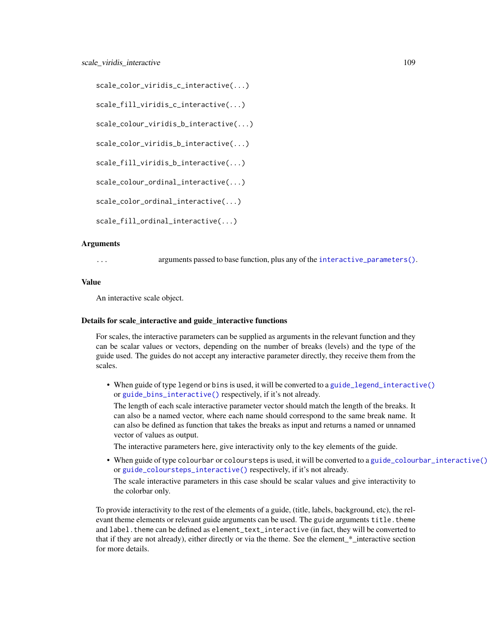```
scale_color_viridis_c_interactive(...)
scale_fill_viridis_c_interactive(...)
scale_colour_viridis_b_interactive(...)
scale_color_viridis_b_interactive(...)
scale_fill_viridis_b_interactive(...)
scale_colour_ordinal_interactive(...)
scale_color_ordinal_interactive(...)
scale_fill_ordinal_interactive(...)
```
#### Arguments

... arguments passed to base function, plus any of the [interactive\\_parameters\(\)](#page-68-0).

#### Value

An interactive scale object.

## Details for scale\_interactive and guide\_interactive functions

For scales, the interactive parameters can be supplied as arguments in the relevant function and they can be scalar values or vectors, depending on the number of breaks (levels) and the type of the guide used. The guides do not accept any interactive parameter directly, they receive them from the scales.

• When guide of type legend or bins is used, it will be converted to a [guide\\_legend\\_interactive\(\)](#page-63-0) or [guide\\_bins\\_interactive\(\)](#page-56-0) respectively, if it's not already.

The length of each scale interactive parameter vector should match the length of the breaks. It can also be a named vector, where each name should correspond to the same break name. It can also be defined as function that takes the breaks as input and returns a named or unnamed vector of values as output.

The interactive parameters here, give interactivity only to the key elements of the guide.

• When guide of type colourbar or coloursteps is used, it will be converted to a [guide\\_colourbar\\_interactive\(\)](#page-58-0) or [guide\\_coloursteps\\_interactive\(\)](#page-61-0) respectively, if it's not already. The scale interactive parameters in this case should be scalar values and give interactivity to the colorbar only.

To provide interactivity to the rest of the elements of a guide, (title, labels, background, etc), the relevant theme elements or relevant guide arguments can be used. The guide arguments title, theme and label. theme can be defined as element\_text\_interactive (in fact, they will be converted to that if they are not already), either directly or via the theme. See the element\_\*\_interactive section for more details.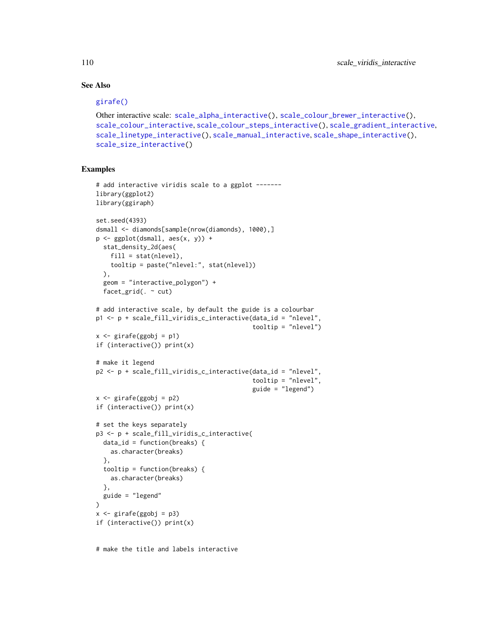# See Also

# [girafe\(\)](#page-51-0)

```
Other interactive scale: scale_alpha_interactive(), scale_colour_brewer_interactive(),
scale_colour_interactive, scale_colour_steps_interactive(), scale_gradient_interactive,
scale_linetype_interactive(), scale_manual_interactive, scale_shape_interactive(),
scale_size_interactive()
```
# Examples

```
# add interactive viridis scale to a ggplot -------
library(ggplot2)
library(ggiraph)
set.seed(4393)
dsmall <- diamonds[sample(nrow(diamonds), 1000),]
p <- ggplot(dsmall, aes(x, y)) +
 stat_density_2d(aes(
   fill = stat(nlevel),
    tooltip = paste("nlevel:", stat(nlevel))
  ),
  geom = "interactive_polygon") +
  facet_grid(. \sim cut)
# add interactive scale, by default the guide is a colourbar
p1 <- p + scale_fill_viridis_c_interactive(data_id = "nlevel",
                                            tooltip = "nlevel")
x \le - girafe(ggobj = p1)
if (interactive()) print(x)
# make it legend
p2 <- p + scale_fill_viridis_c_interactive(data_id = "nlevel",
                                            tooltip = "nlevel",
                                            guide = "legend")
x \le - girafe(ggobj = p2)
if (interactive()) print(x)
# set the keys separately
p3 <- p + scale_fill_viridis_c_interactive(
 data_id = function(breaks) {
   as.character(breaks)
  },
  tooltip = function(breaks) {
   as.character(breaks)
  },
  guide = "legend"
)
x \leftarrow girafe(ggobj = p3)
if (interactive()) print(x)
```
# make the title and labels interactive

<span id="page-109-0"></span>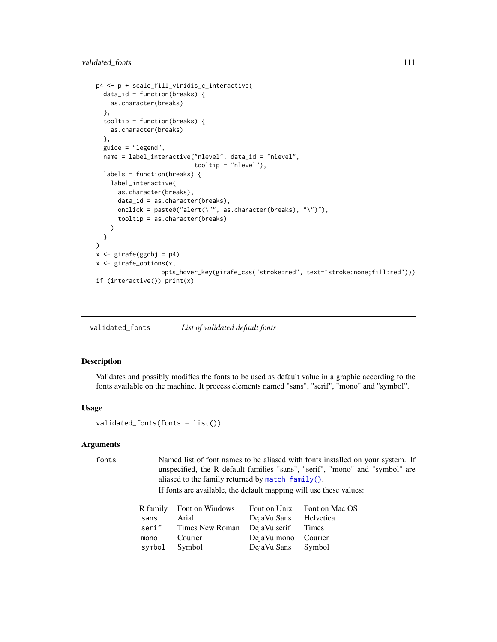```
p4 <- p + scale_fill_viridis_c_interactive(
 data_id = function(breaks) {
   as.character(breaks)
 },
 tooltip = function(breaks) {
   as.character(breaks)
 },
 guide = "legend",
 name = label_interactive("nlevel", data_id = "nlevel",
                           tooltip = "nlevel"),
 labels = function(breaks) {
   label_interactive(
      as.character(breaks),
      data_id = as.character(breaks),
      onclick = paste0("alert(\"", as.character(breaks), "\")"),
      tooltip = as.character(breaks)
   )
 }
)
x \leftarrow girafe(ggobj = p4)
x <- girafe_options(x,
                  opts_hover_key(girafe_css("stroke:red", text="stroke:none;fill:red")))
if (interactive()) print(x)
```
validated\_fonts *List of validated default fonts*

# Description

Validates and possibly modifies the fonts to be used as default value in a graphic according to the fonts available on the machine. It process elements named "sans", "serif", "mono" and "symbol".

#### Usage

```
validated_fonts(fonts = list())
```
#### Arguments

```
fonts Named list of font names to be aliased with fonts installed on your system. If
                 unspecified, the R default families "sans", "serif", "mono" and "symbol" are
                 aliased to the family returned by match_family().
```
If fonts are available, the default mapping will use these values:

|        | R family Font on Windows |                     | Font on Unix Font on Mac OS |
|--------|--------------------------|---------------------|-----------------------------|
| sans   | Arial                    | DejaVu Sans         | Helvetica                   |
| serif  | Times New Roman          | DejaVu serif        | Times                       |
| mono   | Courier                  | DejaVu mono Courier |                             |
| symbol | Symbol                   | DejaVu Sans         | Symbol                      |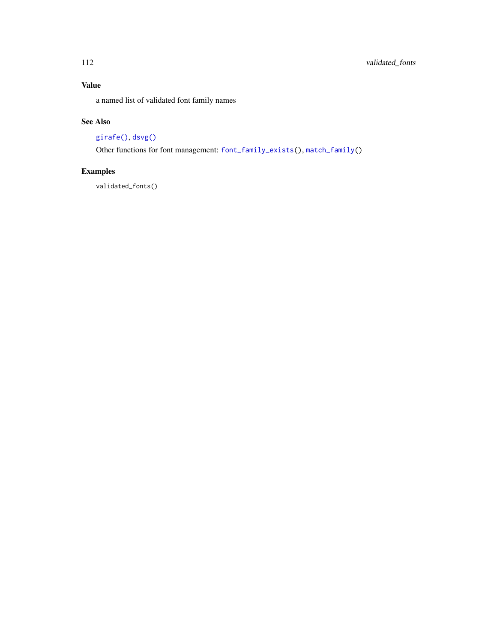# Value

a named list of validated font family names

# See Also

# [girafe\(\)](#page-51-0), [dsvg\(\)](#page-5-0)

Other functions for font management: [font\\_family\\_exists\(](#page-9-0)), [match\\_family\(](#page-81-0))

# Examples

validated\_fonts()

<span id="page-111-0"></span>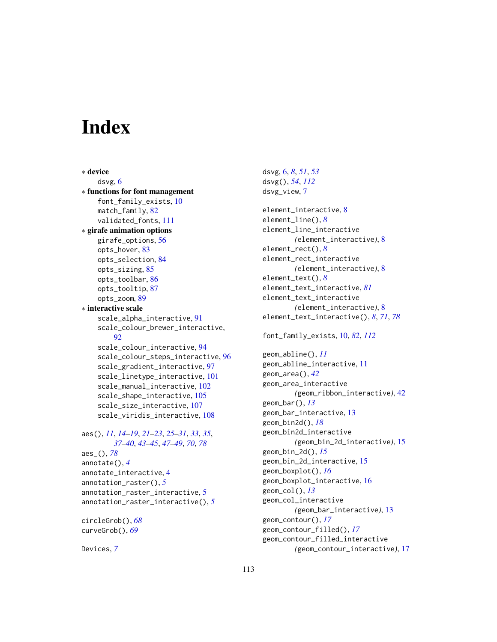# **Index**

∗ device dsvg, [6](#page-5-1) ∗ functions for font management font\_family\_exists, [10](#page-9-1) match\_family, [82](#page-81-1) validated\_fonts, [111](#page-110-0) ∗ girafe animation options girafe\_options, [56](#page-55-0) opts\_hover, [83](#page-82-0) opts\_selection, [84](#page-83-0) opts\_sizing, [85](#page-84-0) opts\_toolbar, [86](#page-85-0) opts\_tooltip, [87](#page-86-0) opts\_zoom, [89](#page-88-0) ∗ interactive scale scale\_alpha\_interactive, [91](#page-90-1) scale\_colour\_brewer\_interactive,  $92$ scale\_colour\_interactive, [94](#page-93-1) scale\_colour\_steps\_interactive, [96](#page-95-1) scale\_gradient\_interactive, [97](#page-96-1) scale\_linetype\_interactive, [101](#page-100-1) scale\_manual\_interactive, [102](#page-101-1) scale\_shape\_interactive, [105](#page-104-1) scale\_size\_interactive, [107](#page-106-1) scale\_viridis\_interactive, [108](#page-107-0) aes(), *[11](#page-10-0)*, *[14](#page-13-0)[–19](#page-18-0)*, *[21](#page-20-0)[–23](#page-22-0)*, *[25–](#page-24-0)[31](#page-30-0)*, *[33](#page-32-0)*, *[35](#page-34-0)*, *[37](#page-36-0)[–40](#page-39-0)*, *[43](#page-42-0)[–45](#page-44-0)*, *[47–](#page-46-0)[49](#page-48-0)*, *[70](#page-69-0)*, *[78](#page-77-0)* aes\_(), *[78](#page-77-0)* annotate(), *[4](#page-3-0)* annotate\_interactive, [4](#page-3-0) annotation\_raster(), *[5](#page-4-0)* annotation\_raster\_interactive, [5](#page-4-0) annotation\_raster\_interactive(), *[5](#page-4-0)* circleGrob(), *[68](#page-67-0)*

curveGrob(), *[69](#page-68-1)*

Devices, *[7](#page-6-0)*

dsvg, [6,](#page-5-1) *[8](#page-7-0)*, *[51](#page-50-0)*, *[53](#page-52-0)* dsvg(), *[54](#page-53-0)*, *[112](#page-111-0)* dsvg\_view, [7](#page-6-0) element\_interactive, [8](#page-7-0) element\_line(), *[8](#page-7-0)* element\_line\_interactive *(*element\_interactive*)*, [8](#page-7-0) element\_rect(), *[8](#page-7-0)* element\_rect\_interactive *(*element\_interactive*)*, [8](#page-7-0) element\_text(), *[8](#page-7-0)* element\_text\_interactive, *[81](#page-80-0)* element\_text\_interactive *(*element\_interactive*)*, [8](#page-7-0) element\_text\_interactive(), *[8](#page-7-0)*, *[71](#page-70-0)*, *[78](#page-77-0)* font\_family\_exists, [10,](#page-9-1) *[82](#page-81-1)*, *[112](#page-111-0)* geom\_abline(), *[11](#page-10-0)* geom\_abline\_interactive, [11](#page-10-0) geom\_area(), *[42](#page-41-0)* geom\_area\_interactive *(*geom\_ribbon\_interactive*)*, [42](#page-41-0) geom\_bar(), *[13](#page-12-0)* geom\_bar\_interactive, [13](#page-12-0) geom\_bin2d(), *[18](#page-17-0)* geom\_bin2d\_interactive *(*geom\_bin\_2d\_interactive*)*, [15](#page-14-0) geom\_bin\_2d(), *[15](#page-14-0)* geom\_bin\_2d\_interactive, [15](#page-14-0) geom\_boxplot(), *[16](#page-15-0)* geom\_boxplot\_interactive, [16](#page-15-0) geom\_col(), *[13](#page-12-0)* geom\_col\_interactive *(*geom\_bar\_interactive*)*, [13](#page-12-0) geom\_contour(), *[17](#page-16-0)* geom\_contour\_filled(), *[17](#page-16-0)* geom\_contour\_filled\_interactive *(*geom\_contour\_interactive*)*, [17](#page-16-0)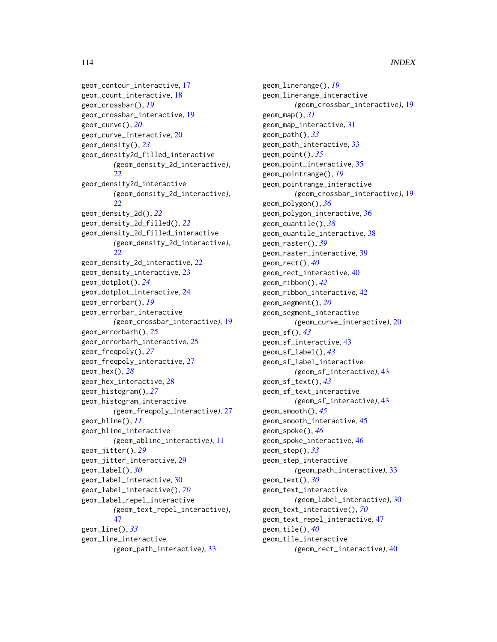```
geom_contour_interactive, 17
geom_count_interactive, 18
geom_crossbar(), 19
geom_crossbar_interactive, 19
geom_curve(), 20
geom_curve_interactive, 20
geom_density(), 23
geom_density2d_filled_interactive
        (geom_density_2d_interactive),
        22
geom_density2d_interactive
        (geom_density_2d_interactive),
        22
geom_density_2d(), 22
geom_density_2d_filled(), 22
geom_density_2d_filled_interactive
        (geom_density_2d_interactive),
        22
geom_density_2d_interactive, 22
geom_density_interactive, 23
geom_dotplot(), 24
geom_dotplot_interactive, 24
geom_errorbar(), 19
geom_errorbar_interactive
        (geom_crossbar_interactive), 19
geom_errorbarh(), 25
geom_errorbarh_interactive, 25
geom_freqpoly(), 27
geom_freqpoly_interactive, 27
geom_hex(), 28
geom_hex_interactive, 28
geom_histogram(), 27
geom_histogram_interactive
        (geom_freqpoly_interactive), 27
geom_hline(), 11
geom_hline_interactive
        (geom_abline_interactive), 11
geom_jitter(), 29
geom_jitter_interactive, 29
geom_label(), 30
geom_label_interactive, 30
geom_label_interactive(), 70
geom_label_repel_interactive
        (geom_text_repel_interactive),
        47
geom_line(), 33
geom_line_interactive
        (geom_path_interactive), 33
```
geom\_linerange(), *[19](#page-18-0)* geom\_linerange\_interactive *(*geom\_crossbar\_interactive*)*, [19](#page-18-0) geom\_map(), *[31](#page-30-0)* geom\_map\_interactive, [31](#page-30-0) geom\_path(), *[33](#page-32-0)* geom\_path\_interactive, [33](#page-32-0) geom\_point(), *[35](#page-34-0)* geom\_point\_interactive, [35](#page-34-0) geom\_pointrange(), *[19](#page-18-0)* geom\_pointrange\_interactive *(*geom\_crossbar\_interactive*)*, [19](#page-18-0) geom\_polygon(), *[36](#page-35-0)* geom\_polygon\_interactive, [36](#page-35-0) geom\_quantile(), *[38](#page-37-0)* geom\_quantile\_interactive, [38](#page-37-0) geom\_raster(), *[39](#page-38-0)* geom\_raster\_interactive, [39](#page-38-0) geom\_rect(), *[40](#page-39-0)* geom\_rect\_interactive, [40](#page-39-0) geom\_ribbon(), *[42](#page-41-0)* geom\_ribbon\_interactive, [42](#page-41-0) geom\_segment(), *[20](#page-19-0)* geom\_segment\_interactive *(*geom\_curve\_interactive*)*, [20](#page-19-0) geom\_sf(), *[43](#page-42-0)* geom\_sf\_interactive, [43](#page-42-0) geom\_sf\_label(), *[43](#page-42-0)* geom\_sf\_label\_interactive *(*geom\_sf\_interactive*)*, [43](#page-42-0) geom\_sf\_text(), *[43](#page-42-0)* geom\_sf\_text\_interactive *(*geom\_sf\_interactive*)*, [43](#page-42-0) geom\_smooth(), *[45](#page-44-0)* geom\_smooth\_interactive, [45](#page-44-0) geom\_spoke(), *[46](#page-45-0)* geom\_spoke\_interactive, [46](#page-45-0) geom\_step(), *[33](#page-32-0)* geom\_step\_interactive *(*geom\_path\_interactive*)*, [33](#page-32-0) geom\_text(), *[30](#page-29-0)* geom\_text\_interactive *(*geom\_label\_interactive*)*, [30](#page-29-0) geom\_text\_interactive(), *[70](#page-69-0)* geom\_text\_repel\_interactive, [47](#page-46-0) geom\_tile(), *[40](#page-39-0)* geom\_tile\_interactive *(*geom\_rect\_interactive*)*, [40](#page-39-0)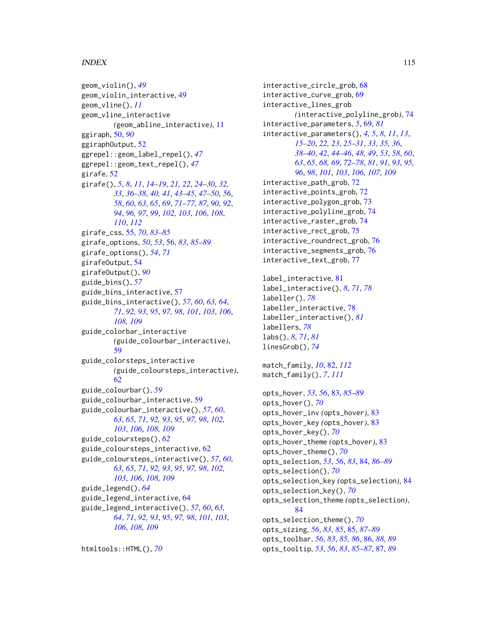geom\_violin(), *[49](#page-48-0)* geom\_violin\_interactive, [49](#page-48-0) geom\_vline(), *[11](#page-10-0)* geom\_vline\_interactive *(*geom\_abline\_interactive*)*, [11](#page-10-0) ggiraph, [50,](#page-49-0) *[90](#page-89-0)* ggiraphOutput, [52](#page-51-1) ggrepel::geom\_label\_repel(), *[47](#page-46-0)* ggrepel::geom\_text\_repel(), *[47](#page-46-0)* girafe, [52](#page-51-1) girafe(), *[5](#page-4-0)*, *[8](#page-7-0)*, *[11](#page-10-0)*, *[14](#page-13-0)[–19](#page-18-0)*, *[21,](#page-20-0) [22](#page-21-0)*, *[24–](#page-23-0)[30](#page-29-0)*, *[32,](#page-31-0) [33](#page-32-0)*, *[36](#page-35-0)[–38](#page-37-0)*, *[40,](#page-39-0) [41](#page-40-0)*, *[43–](#page-42-0)[45](#page-44-0)*, *[47–](#page-46-0)[50](#page-49-0)*, *[56](#page-55-0)*, *[58](#page-57-0)*, *[60](#page-59-0)*, *[63](#page-62-0)*, *[65](#page-64-0)*, *[69](#page-68-1)*, *[71–](#page-70-0)[77](#page-76-0)*, *[87](#page-86-0)*, *[90](#page-89-0)*, *[92](#page-91-1)*, *[94](#page-93-1)*, *[96,](#page-95-1) [97](#page-96-1)*, *[99](#page-98-0)*, *[102,](#page-101-1) [103](#page-102-0)*, *[106](#page-105-0)*, *[108](#page-107-0)*, *[110](#page-109-0)*, *[112](#page-111-0)* girafe\_css, [55,](#page-54-0) *[70](#page-69-0)*, *[83–](#page-82-0)[85](#page-84-0)* girafe\_options, *[50](#page-49-0)*, *[53](#page-52-0)*, [56,](#page-55-0) *[83](#page-82-0)*, *[85–](#page-84-0)[89](#page-88-0)* girafe\_options(), *[54](#page-53-0)*, *[71](#page-70-0)* girafeOutput, [54](#page-53-0) girafeOutput(), *[90](#page-89-0)* guide\_bins(), *[57](#page-56-1)* guide\_bins\_interactive, [57](#page-56-1) guide\_bins\_interactive(), *[57](#page-56-1)*, *[60](#page-59-0)*, *[63,](#page-62-0) [64](#page-63-1)*, *[71](#page-70-0)*, *[92,](#page-91-1) [93](#page-92-0)*, *[95](#page-94-0)*, *[97,](#page-96-1) [98](#page-97-0)*, *[101](#page-100-1)*, *[103](#page-102-0)*, *[106](#page-105-0)*, *[108,](#page-107-0) [109](#page-108-0)* guide\_colorbar\_interactive *(*guide\_colourbar\_interactive*)*, [59](#page-58-1) guide\_colorsteps\_interactive *(*guide\_coloursteps\_interactive*)*, [62](#page-61-1) guide\_colourbar(), *[59](#page-58-1)* guide\_colourbar\_interactive, [59](#page-58-1) guide\_colourbar\_interactive(), *[57](#page-56-1)*, *[60](#page-59-0)*, *[63](#page-62-0)*, *[65](#page-64-0)*, *[71](#page-70-0)*, *[92,](#page-91-1) [93](#page-92-0)*, *[95](#page-94-0)*, *[97,](#page-96-1) [98](#page-97-0)*, *[102,](#page-101-1) [103](#page-102-0)*, *[106](#page-105-0)*, *[108,](#page-107-0) [109](#page-108-0)* guide\_coloursteps(), *[62](#page-61-1)* guide\_coloursteps\_interactive, [62](#page-61-1) guide\_coloursteps\_interactive(), *[57](#page-56-1)*, *[60](#page-59-0)*, *[63](#page-62-0)*, *[65](#page-64-0)*, *[71](#page-70-0)*, *[92,](#page-91-1) [93](#page-92-0)*, *[95](#page-94-0)*, *[97,](#page-96-1) [98](#page-97-0)*, *[102,](#page-101-1) [103](#page-102-0)*, *[106](#page-105-0)*, *[108,](#page-107-0) [109](#page-108-0)* guide\_legend(), *[64](#page-63-1)* guide\_legend\_interactive, [64](#page-63-1) guide\_legend\_interactive(), *[57](#page-56-1)*, *[60](#page-59-0)*, *[63,](#page-62-0) [64](#page-63-1)*, *[71](#page-70-0)*, *[92,](#page-91-1) [93](#page-92-0)*, *[95](#page-94-0)*, *[97,](#page-96-1) [98](#page-97-0)*, *[101](#page-100-1)*, *[103](#page-102-0)*, *[106](#page-105-0)*, *[108,](#page-107-0) [109](#page-108-0)*

htmltools::HTML(), *[70](#page-69-0)*

interactive\_circle\_grob, [68](#page-67-0) interactive\_curve\_grob, [69](#page-68-1) interactive\_lines\_grob *(*interactive\_polyline\_grob*)*, [74](#page-73-0) interactive\_parameters, *[5](#page-4-0)*, [69,](#page-68-1) *[81](#page-80-0)* interactive\_parameters(), *[4,](#page-3-0) [5](#page-4-0)*, *[8](#page-7-0)*, *[11](#page-10-0)*, *[13](#page-12-0)*, *[15](#page-14-0)[–20](#page-19-0)*, *[22,](#page-21-0) [23](#page-22-0)*, *[25](#page-24-0)[–31](#page-30-0)*, *[33](#page-32-0)*, *[35,](#page-34-0) [36](#page-35-0)*, *[38](#page-37-0)[–40](#page-39-0)*, *[42](#page-41-0)*, *[44](#page-43-0)[–46](#page-45-0)*, *[48,](#page-47-0) [49](#page-48-0)*, *[53](#page-52-0)*, *[58](#page-57-0)*, *[60](#page-59-0)*, *[63](#page-62-0)*, *[65](#page-64-0)*, *[68,](#page-67-0) [69](#page-68-1)*, *[72](#page-71-0)[–78](#page-77-0)*, *[81](#page-80-0)*, *[91](#page-90-1)*, *[93](#page-92-0)*, *[95,](#page-94-0) [96](#page-95-1)*, *[98](#page-97-0)*, *[101](#page-100-1)*, *[103](#page-102-0)*, *[106,](#page-105-0) [107](#page-106-1)*, *[109](#page-108-0)* interactive\_path\_grob, [72](#page-71-0) interactive\_points\_grob, [72](#page-71-0) interactive\_polygon\_grob, [73](#page-72-0) interactive\_polyline\_grob, [74](#page-73-0) interactive\_raster\_grob, [74](#page-73-0) interactive\_rect\_grob, [75](#page-74-0) interactive\_roundrect\_grob, [76](#page-75-0) interactive\_segments\_grob, [76](#page-75-0) interactive\_text\_grob, [77](#page-76-0) label interactive, [81](#page-80-0) label\_interactive(), *[8](#page-7-0)*, *[71](#page-70-0)*, *[78](#page-77-0)* labeller(), *[78](#page-77-0)* labeller\_interactive, [78](#page-77-0) labeller\_interactive(), *[81](#page-80-0)* labellers, *[78](#page-77-0)* labs(), *[8](#page-7-0)*, *[71](#page-70-0)*, *[81](#page-80-0)* linesGrob(), *[74](#page-73-0)* match\_family, *[10](#page-9-1)*, [82,](#page-81-1) *[112](#page-111-0)* match\_family(), *[7](#page-6-0)*, *[111](#page-110-0)* opts\_hover, *[53](#page-52-0)*, *[56](#page-55-0)*, [83,](#page-82-0) *[85](#page-84-0)[–89](#page-88-0)* opts\_hover(), *[70](#page-69-0)* opts\_hover\_inv *(*opts\_hover*)*, [83](#page-82-0) opts\_hover\_key *(*opts\_hover*)*, [83](#page-82-0) opts\_hover\_key(), *[70](#page-69-0)* opts\_hover\_theme *(*opts\_hover*)*, [83](#page-82-0) opts\_hover\_theme(), *[70](#page-69-0)* opts\_selection, *[53](#page-52-0)*, *[56](#page-55-0)*, *[83](#page-82-0)*, [84,](#page-83-0) *[86](#page-85-0)[–89](#page-88-0)* opts\_selection(), *[70](#page-69-0)* opts\_selection\_key *(*opts\_selection*)*, [84](#page-83-0) opts\_selection\_key(), *[70](#page-69-0)* opts\_selection\_theme *(*opts\_selection*)*, [84](#page-83-0) opts\_selection\_theme(), *[70](#page-69-0)* opts\_sizing, *[56](#page-55-0)*, *[83](#page-82-0)*, *[85](#page-84-0)*, [85,](#page-84-0) *[87](#page-86-0)[–89](#page-88-0)* opts\_toolbar, *[56](#page-55-0)*, *[83](#page-82-0)*, *[85,](#page-84-0) [86](#page-85-0)*, [86,](#page-85-0) *[88,](#page-87-0) [89](#page-88-0)* opts\_tooltip, *[53](#page-52-0)*, *[56](#page-55-0)*, *[83](#page-82-0)*, *[85](#page-84-0)[–87](#page-86-0)*, [87,](#page-86-0) *[89](#page-88-0)*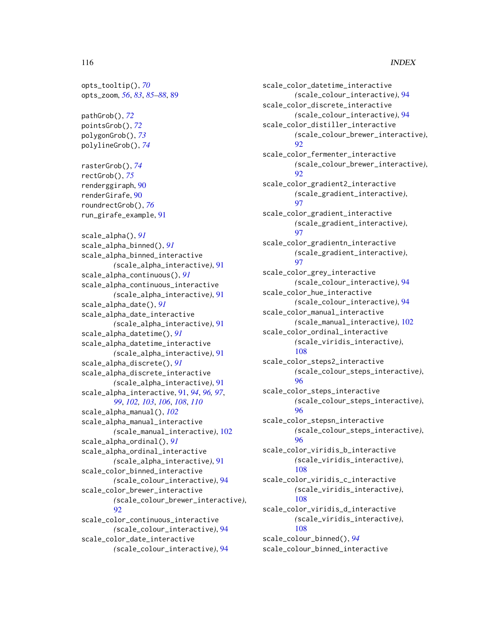opts\_tooltip(), *[70](#page-69-0)* opts\_zoom, *[56](#page-55-0)*, *[83](#page-82-0)*, *[85](#page-84-0)[–88](#page-87-0)*, [89](#page-88-0)

pathGrob(), *[72](#page-71-0)* pointsGrob(), *[72](#page-71-0)* polygonGrob(), *[73](#page-72-0)* polylineGrob(), *[74](#page-73-0)*

rasterGrob(), *[74](#page-73-0)* rectGrob(), *[75](#page-74-0)* renderggiraph, [90](#page-89-0) renderGirafe, [90](#page-89-0) roundrectGrob(), *[76](#page-75-0)* run\_girafe\_example, [91](#page-90-1)

scale\_alpha(), *[91](#page-90-1)* scale\_alpha\_binned(), *[91](#page-90-1)* scale\_alpha\_binned\_interactive *(*scale\_alpha\_interactive*)*, [91](#page-90-1) scale\_alpha\_continuous(), *[91](#page-90-1)* scale\_alpha\_continuous\_interactive *(*scale\_alpha\_interactive*)*, [91](#page-90-1) scale\_alpha\_date(), *[91](#page-90-1)* scale\_alpha\_date\_interactive *(*scale\_alpha\_interactive*)*, [91](#page-90-1) scale\_alpha\_datetime(), *[91](#page-90-1)* scale\_alpha\_datetime\_interactive *(*scale\_alpha\_interactive*)*, [91](#page-90-1) scale\_alpha\_discrete(), *[91](#page-90-1)* scale\_alpha\_discrete\_interactive *(*scale\_alpha\_interactive*)*, [91](#page-90-1) scale\_alpha\_interactive, [91,](#page-90-1) *[94](#page-93-1)*, *[96,](#page-95-1) [97](#page-96-1)*, *[99](#page-98-0)*, *[102,](#page-101-1) [103](#page-102-0)*, *[106](#page-105-0)*, *[108](#page-107-0)*, *[110](#page-109-0)* scale\_alpha\_manual(), *[102](#page-101-1)* scale\_alpha\_manual\_interactive *(*scale\_manual\_interactive*)*, [102](#page-101-1) scale\_alpha\_ordinal(), *[91](#page-90-1)* scale\_alpha\_ordinal\_interactive *(*scale\_alpha\_interactive*)*, [91](#page-90-1) scale\_color\_binned\_interactive *(*scale\_colour\_interactive*)*, [94](#page-93-1) scale\_color\_brewer\_interactive *(*scale\_colour\_brewer\_interactive*)*, [92](#page-91-1) scale\_color\_continuous\_interactive *(*scale\_colour\_interactive*)*, [94](#page-93-1) scale\_color\_date\_interactive *(*scale\_colour\_interactive*)*, [94](#page-93-1)

scale\_color\_datetime\_interactive *(*scale\_colour\_interactive*)*, [94](#page-93-1) scale\_color\_discrete\_interactive *(*scale\_colour\_interactive*)*, [94](#page-93-1) scale\_color\_distiller\_interactive *(*scale\_colour\_brewer\_interactive*)*, [92](#page-91-1) scale\_color\_fermenter\_interactive *(*scale\_colour\_brewer\_interactive*)*,  $92$ scale\_color\_gradient2\_interactive *(*scale\_gradient\_interactive*)*, [97](#page-96-1) scale\_color\_gradient\_interactive *(*scale\_gradient\_interactive*)*, [97](#page-96-1) scale\_color\_gradientn\_interactive *(*scale\_gradient\_interactive*)*, [97](#page-96-1) scale\_color\_grey\_interactive *(*scale\_colour\_interactive*)*, [94](#page-93-1) scale\_color\_hue\_interactive *(*scale\_colour\_interactive*)*, [94](#page-93-1) scale\_color\_manual\_interactive *(*scale\_manual\_interactive*)*, [102](#page-101-1) scale\_color\_ordinal\_interactive *(*scale\_viridis\_interactive*)*, [108](#page-107-0) scale\_color\_steps2\_interactive *(*scale\_colour\_steps\_interactive*)*, [96](#page-95-1) scale\_color\_steps\_interactive *(*scale\_colour\_steps\_interactive*)*, [96](#page-95-1) scale\_color\_stepsn\_interactive *(*scale\_colour\_steps\_interactive*)*, [96](#page-95-1) scale\_color\_viridis\_b\_interactive *(*scale\_viridis\_interactive*)*, [108](#page-107-0) scale\_color\_viridis\_c\_interactive *(*scale\_viridis\_interactive*)*, [108](#page-107-0) scale\_color\_viridis\_d\_interactive *(*scale\_viridis\_interactive*)*, [108](#page-107-0) scale\_colour\_binned(), *[94](#page-93-1)*

scale\_colour\_binned\_interactive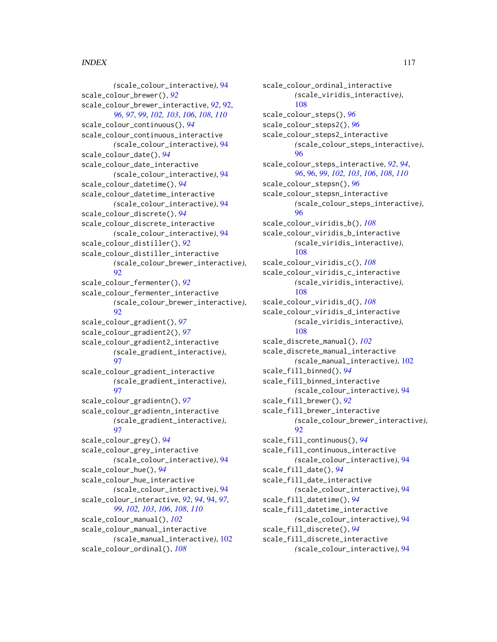*(*scale\_colour\_interactive*)*, [94](#page-93-1) scale\_colour\_brewer(), *[92](#page-91-1)* scale\_colour\_brewer\_interactive, *[92](#page-91-1)*, [92,](#page-91-1) *[96,](#page-95-1) [97](#page-96-1)*, *[99](#page-98-0)*, *[102,](#page-101-1) [103](#page-102-0)*, *[106](#page-105-0)*, *[108](#page-107-0)*, *[110](#page-109-0)* scale\_colour\_continuous(), *[94](#page-93-1)* scale\_colour\_continuous\_interactive *(*scale\_colour\_interactive*)*, [94](#page-93-1) scale\_colour\_date(), *[94](#page-93-1)* scale\_colour\_date\_interactive *(*scale\_colour\_interactive*)*, [94](#page-93-1) scale\_colour\_datetime(), *[94](#page-93-1)* scale\_colour\_datetime\_interactive *(*scale\_colour\_interactive*)*, [94](#page-93-1) scale\_colour\_discrete(), *[94](#page-93-1)* scale\_colour\_discrete\_interactive *(*scale\_colour\_interactive*)*, [94](#page-93-1) scale\_colour\_distiller(), *[92](#page-91-1)* scale\_colour\_distiller\_interactive *(*scale\_colour\_brewer\_interactive*)*,  $92$ scale\_colour\_fermenter(), *[92](#page-91-1)* scale\_colour\_fermenter\_interactive *(*scale\_colour\_brewer\_interactive*)*, [92](#page-91-1) scale\_colour\_gradient(), *[97](#page-96-1)* scale\_colour\_gradient2(), *[97](#page-96-1)* scale\_colour\_gradient2\_interactive *(*scale\_gradient\_interactive*)*, [97](#page-96-1) scale\_colour\_gradient\_interactive *(*scale\_gradient\_interactive*)*, [97](#page-96-1) scale\_colour\_gradientn(), *[97](#page-96-1)* scale\_colour\_gradientn\_interactive *(*scale\_gradient\_interactive*)*, [97](#page-96-1) scale\_colour\_grey(), *[94](#page-93-1)* scale\_colour\_grey\_interactive *(*scale\_colour\_interactive*)*, [94](#page-93-1) scale\_colour\_hue(), *[94](#page-93-1)* scale\_colour\_hue\_interactive *(*scale\_colour\_interactive*)*, [94](#page-93-1) scale\_colour\_interactive, *[92](#page-91-1)*, *[94](#page-93-1)*, [94,](#page-93-1) *[97](#page-96-1)*, *[99](#page-98-0)*, *[102,](#page-101-1) [103](#page-102-0)*, *[106](#page-105-0)*, *[108](#page-107-0)*, *[110](#page-109-0)* scale\_colour\_manual(), *[102](#page-101-1)* scale\_colour\_manual\_interactive *(*scale\_manual\_interactive*)*, [102](#page-101-1) scale\_colour\_ordinal(), *[108](#page-107-0)*

scale\_colour\_ordinal\_interactive *(*scale\_viridis\_interactive*)*, [108](#page-107-0) scale\_colour\_steps(), *[96](#page-95-1)* scale\_colour\_steps2(), *[96](#page-95-1)* scale\_colour\_steps2\_interactive *(*scale\_colour\_steps\_interactive*)*, [96](#page-95-1) scale\_colour\_steps\_interactive, *[92](#page-91-1)*, *[94](#page-93-1)*, *[96](#page-95-1)*, [96,](#page-95-1) *[99](#page-98-0)*, *[102,](#page-101-1) [103](#page-102-0)*, *[106](#page-105-0)*, *[108](#page-107-0)*, *[110](#page-109-0)* scale\_colour\_stepsn(), *[96](#page-95-1)* scale\_colour\_stepsn\_interactive *(*scale\_colour\_steps\_interactive*)*, [96](#page-95-1) scale\_colour\_viridis\_b(), *[108](#page-107-0)* scale\_colour\_viridis\_b\_interactive *(*scale\_viridis\_interactive*)*, [108](#page-107-0) scale\_colour\_viridis\_c(), *[108](#page-107-0)* scale\_colour\_viridis\_c\_interactive *(*scale\_viridis\_interactive*)*, [108](#page-107-0) scale\_colour\_viridis\_d(), *[108](#page-107-0)* scale\_colour\_viridis\_d\_interactive *(*scale\_viridis\_interactive*)*, [108](#page-107-0) scale\_discrete\_manual(), *[102](#page-101-1)* scale\_discrete\_manual\_interactive *(*scale\_manual\_interactive*)*, [102](#page-101-1) scale\_fill\_binned(), *[94](#page-93-1)* scale\_fill\_binned\_interactive *(*scale\_colour\_interactive*)*, [94](#page-93-1) scale\_fill\_brewer(), *[92](#page-91-1)* scale\_fill\_brewer\_interactive *(*scale\_colour\_brewer\_interactive*)*, [92](#page-91-1) scale\_fill\_continuous(), *[94](#page-93-1)* scale\_fill\_continuous\_interactive *(*scale\_colour\_interactive*)*, [94](#page-93-1) scale\_fill\_date(), *[94](#page-93-1)* scale\_fill\_date\_interactive *(*scale\_colour\_interactive*)*, [94](#page-93-1) scale\_fill\_datetime(), *[94](#page-93-1)* scale\_fill\_datetime\_interactive *(*scale\_colour\_interactive*)*, [94](#page-93-1) scale\_fill\_discrete(), *[94](#page-93-1)* scale\_fill\_discrete\_interactive *(*scale\_colour\_interactive*)*, [94](#page-93-1)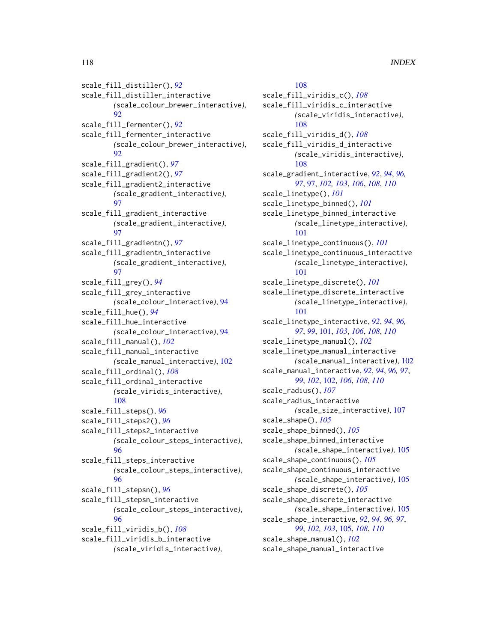scale\_fill\_distiller(), *[92](#page-91-1)* scale\_fill\_distiller\_interactive *(*scale\_colour\_brewer\_interactive*)*, [92](#page-91-1) scale\_fill\_fermenter(), *[92](#page-91-1)* scale\_fill\_fermenter\_interactive *(*scale\_colour\_brewer\_interactive*)*, [92](#page-91-1) scale\_fill\_gradient(), *[97](#page-96-1)* scale\_fill\_gradient2(), *[97](#page-96-1)* scale\_fill\_gradient2\_interactive *(*scale\_gradient\_interactive*)*, [97](#page-96-1) scale\_fill\_gradient\_interactive *(*scale\_gradient\_interactive*)*, [97](#page-96-1) scale\_fill\_gradientn(), *[97](#page-96-1)* scale\_fill\_gradientn\_interactive *(*scale\_gradient\_interactive*)*, **[97](#page-96-1)** scale\_fill\_grey(), *[94](#page-93-1)* scale\_fill\_grey\_interactive *(*scale\_colour\_interactive*)*, [94](#page-93-1) scale\_fill\_hue(), *[94](#page-93-1)* scale\_fill\_hue\_interactive *(*scale\_colour\_interactive*)*, [94](#page-93-1) scale\_fill\_manual(), *[102](#page-101-1)* scale\_fill\_manual\_interactive *(*scale\_manual\_interactive*)*, [102](#page-101-1) scale\_fill\_ordinal(), *[108](#page-107-0)* scale\_fill\_ordinal\_interactive *(*scale\_viridis\_interactive*)*, [108](#page-107-0) scale\_fill\_steps(), *[96](#page-95-1)* scale\_fill\_steps2(), *[96](#page-95-1)* scale\_fill\_steps2\_interactive *(*scale\_colour\_steps\_interactive*)*, [96](#page-95-1) scale\_fill\_steps\_interactive *(*scale\_colour\_steps\_interactive*)*, [96](#page-95-1) scale\_fill\_stepsn(), *[96](#page-95-1)* scale\_fill\_stepsn\_interactive *(*scale\_colour\_steps\_interactive*)*, [96](#page-95-1) scale\_fill\_viridis\_b(), *[108](#page-107-0)* scale\_fill\_viridis\_b\_interactive

*(*scale\_viridis\_interactive*)*,

# [108](#page-107-0)

scale\_fill\_viridis\_c(), *[108](#page-107-0)* scale\_fill\_viridis\_c\_interactive *(*scale\_viridis\_interactive*)*, [108](#page-107-0) scale\_fill\_viridis\_d(), *[108](#page-107-0)* scale\_fill\_viridis\_d\_interactive *(*scale\_viridis\_interactive*)*, [108](#page-107-0) scale\_gradient\_interactive, *[92](#page-91-1)*, *[94](#page-93-1)*, *[96,](#page-95-1) [97](#page-96-1)*, [97,](#page-96-1) *[102,](#page-101-1) [103](#page-102-0)*, *[106](#page-105-0)*, *[108](#page-107-0)*, *[110](#page-109-0)* scale\_linetype(), *[101](#page-100-1)* scale\_linetype\_binned(), *[101](#page-100-1)* scale\_linetype\_binned\_interactive *(*scale\_linetype\_interactive*)*, [101](#page-100-1) scale\_linetype\_continuous(), *[101](#page-100-1)* scale\_linetype\_continuous\_interactive *(*scale\_linetype\_interactive*)*, [101](#page-100-1) scale\_linetype\_discrete(), *[101](#page-100-1)* scale\_linetype\_discrete\_interactive *(*scale\_linetype\_interactive*)*, [101](#page-100-1) scale\_linetype\_interactive, *[92](#page-91-1)*, *[94](#page-93-1)*, *[96,](#page-95-1) [97](#page-96-1)*, *[99](#page-98-0)*, [101,](#page-100-1) *[103](#page-102-0)*, *[106](#page-105-0)*, *[108](#page-107-0)*, *[110](#page-109-0)* scale\_linetype\_manual(), *[102](#page-101-1)* scale\_linetype\_manual\_interactive *(*scale\_manual\_interactive*)*, [102](#page-101-1) scale\_manual\_interactive, *[92](#page-91-1)*, *[94](#page-93-1)*, *[96,](#page-95-1) [97](#page-96-1)*, *[99](#page-98-0)*, *[102](#page-101-1)*, [102,](#page-101-1) *[106](#page-105-0)*, *[108](#page-107-0)*, *[110](#page-109-0)* scale\_radius(), *[107](#page-106-1)* scale\_radius\_interactive *(*scale\_size\_interactive*)*, [107](#page-106-1) scale\_shape(), *[105](#page-104-1)* scale\_shape\_binned(), *[105](#page-104-1)* scale\_shape\_binned\_interactive *(*scale\_shape\_interactive*)*, [105](#page-104-1) scale\_shape\_continuous(), *[105](#page-104-1)* scale\_shape\_continuous\_interactive *(*scale\_shape\_interactive*)*, [105](#page-104-1) scale\_shape\_discrete(), *[105](#page-104-1)* scale\_shape\_discrete\_interactive *(*scale\_shape\_interactive*)*, [105](#page-104-1) scale\_shape\_interactive, *[92](#page-91-1)*, *[94](#page-93-1)*, *[96,](#page-95-1) [97](#page-96-1)*, *[99](#page-98-0)*, *[102,](#page-101-1) [103](#page-102-0)*, [105,](#page-104-1) *[108](#page-107-0)*, *[110](#page-109-0)* scale\_shape\_manual(), *[102](#page-101-1)* scale\_shape\_manual\_interactive